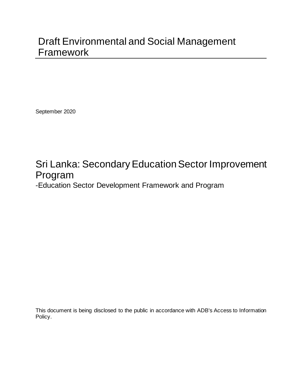# Draft Environmental and Social Management Framework

September 2020

# Sri Lanka: Secondary Education Sector Improvement Program

-Education Sector Development Framework and Program

This document is being disclosed to the public in accordance with ADB's Access to Information Policy.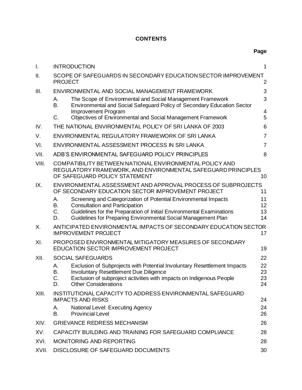# **CONTENTS**

**Page**

| I.    | <b>INTRODUCTION</b>                                                                                                                                                                                                                                      | 1                    |  |  |  |
|-------|----------------------------------------------------------------------------------------------------------------------------------------------------------------------------------------------------------------------------------------------------------|----------------------|--|--|--|
| ΙΙ.   | SCOPE OF SAFEGUARDS IN SECONDARY EDUCATION SECTOR IMPROVEMENT<br><b>PROJECT</b><br>$\overline{2}$                                                                                                                                                        |                      |  |  |  |
| III.  | ENVIRONMENTAL AND SOCIAL MANAGEMENT FRAMEWORK                                                                                                                                                                                                            | 3                    |  |  |  |
|       | The Scope of Environmental and Social Management Framework<br>А.<br><b>B.</b><br>Environmental and Social Safeguard Policy of Secondary Education Sector                                                                                                 | 3                    |  |  |  |
|       | Improvement Program<br>Objectives of Environmental and Social Management Framework<br>$C_{\cdot}$                                                                                                                                                        | 4<br>5               |  |  |  |
| IV.   | THE NATIONAL ENVIRONMENTAL POLICY OF SRI LANKA OF 2003                                                                                                                                                                                                   | 6                    |  |  |  |
| V.    | $\overline{7}$<br>ENVIRONMENTAL REGULATORY FRAMEWORK OF SRI LANKA                                                                                                                                                                                        |                      |  |  |  |
| VI.   | $\overline{7}$<br>ENVIRONMENTAL ASSESSMENT PROCESS IN SRI LANKA                                                                                                                                                                                          |                      |  |  |  |
| VII.  | ADB'S ENVIRONMENTAL SAFEGUARD POLICY PRINCIPLES                                                                                                                                                                                                          | 8                    |  |  |  |
| VIII. | COMPATIBILITY BETWEEN NATIONAL ENVIRONMENTAL POLICY AND<br>REGULATORY FRAMEWORK, AND ENVIRONMENTAL SAFEGUARD PRINCIPLES<br>OF SAFEGUARD POLICY STATEMENT<br>10                                                                                           |                      |  |  |  |
| IX.   | ENVIRONMENTAL ASSESSMENT AND APPROVAL PROCESS OF SUBPROJECTS<br>OF SECONDARY EDUCATION SECTOR IMPROVEMENT PROJECT                                                                                                                                        | 11                   |  |  |  |
|       | Screening and Categorization of Potential Environmental Impacts<br>Α.<br>В.<br><b>Consultation and Participation</b><br>C.<br>Guidelines for the Preparation of Initial Environmental Examinations                                                       | 11<br>12<br>13       |  |  |  |
|       | Guidelines for Preparing Environmental Social Management Plan<br>D.                                                                                                                                                                                      | 14                   |  |  |  |
| Х.    | ANTICIPATED ENVIRONMENTAL IMPACTS OF SECONDARY EDUCATION SECTOR<br><b>IMPROVEMENT PROJECT</b><br>17                                                                                                                                                      |                      |  |  |  |
| XI.   | PROPOSED ENVIRONMENTAL MITIGATORY MEASURES OF SECONDARY<br><b>EDUCATION SECTOR IMPROVEMENT PROJECT</b>                                                                                                                                                   | 19                   |  |  |  |
| XII.  | <b>SOCIAL SAFEGUARDS</b>                                                                                                                                                                                                                                 | 22                   |  |  |  |
|       | Exclusion of Subprojects with Potential Involuntary Resettlement Impacts<br>А.<br><b>Involuntary Resettlement Due Diligence</b><br>В.<br>Exclusion of subproject activities with impacts on Indigenous People<br>C.<br><b>Other Considerations</b><br>D. | 22<br>23<br>23<br>24 |  |  |  |
| XIII. | INSTITUTIONAL CAPACITY TO ADDRESS ENVIRONMENTAL SAFEGUARD<br><b>IMPACTS AND RISKS</b>                                                                                                                                                                    | 24                   |  |  |  |
|       | National Level: Executing Agency<br>А.<br><b>Provincial Level</b><br>В.                                                                                                                                                                                  | 24<br>26             |  |  |  |
| XIV.  | <b>GRIEVANCE REDRESS MECHANISM</b>                                                                                                                                                                                                                       | 26                   |  |  |  |
| XV.   | CAPACITY BUILDING AND TRAINING FOR SAFEGUARD COMPLIANCE<br>28                                                                                                                                                                                            |                      |  |  |  |
| XVI.  | <b>MONITORING AND REPORTING</b><br>28                                                                                                                                                                                                                    |                      |  |  |  |
| XVII. | DISCLOSURE OF SAFEGUARD DOCUMENTS<br>30                                                                                                                                                                                                                  |                      |  |  |  |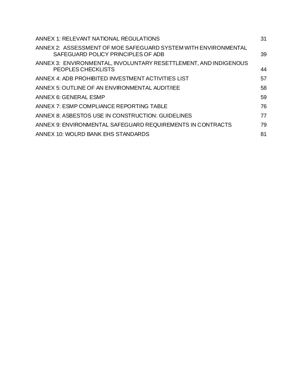| ANNEX 1: RELEVANT NATIONAL REGULATIONS                                                               | 31 |
|------------------------------------------------------------------------------------------------------|----|
| ANNEX 2: ASSESSMENT OF MOE SAFEGUARD SYSTEM WITH ENVIRONMENTAL<br>SAFEGUARD POLICY PRINCIPLES OF ADB | 39 |
| ANNEX 3: ENVIRONMENTAL, INVOLUNTARY RESETTLEMENT, AND INDIGENOUS<br>PEOPLES CHECKLISTS               | 44 |
| ANNEX 4: ADB PROHIBITED INVESTMENT ACTIVITIES LIST                                                   | 57 |
| ANNEX 5: OUTLINE OF AN ENVIRONMENTAL AUDIT/IEE                                                       | 58 |
| <b>ANNEX 6: GENERAL ESMP</b>                                                                         | 59 |
| ANNEX 7: ESMP COMPLIANCE REPORTING TABLE                                                             | 76 |
| ANNEX 8: ASBESTOS USE IN CONSTRUCTION: GUIDELINES                                                    | 77 |
| ANNEX 9: ENVIRONMENTAL SAFEGUARD REQUIREMENTS IN CONTRACTS                                           | 79 |
| ANNEX 10: WOLRD BANK EHS STANDARDS                                                                   | 81 |
|                                                                                                      |    |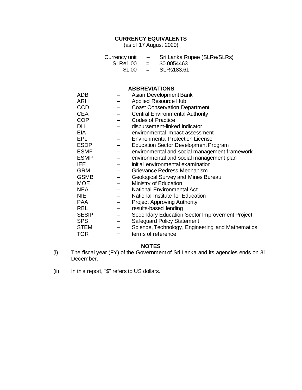# **CURRENCY EQUIVALENTS**

(as of 17 August 2020)

| Currency unit | $-$                       | Sri Lanka Rupee (SLRe/SLRs) |
|---------------|---------------------------|-----------------------------|
| SLRe1.00      | $\mathbf{r} = \mathbf{r}$ | \$0.0054463                 |
| \$1.00        | $\mathbf{r} = \mathbf{r}$ | SLRs183.61                  |

# **ABBREVIATIONS**

| <b>ADB</b>   | Asian Development Bank                           |
|--------------|--------------------------------------------------|
| <b>ARH</b>   | <b>Applied Resource Hub</b>                      |
| <b>CCD</b>   | <b>Coast Conservation Department</b>             |
| <b>CEA</b>   | <b>Central Environmental Authority</b>           |
| <b>COP</b>   | <b>Codes of Practice</b>                         |
| DLI          | disbursement-linked indicator                    |
| <b>EIA</b>   | environmental impact assessment                  |
| EPL          | <b>Environmental Protection License</b>          |
| <b>ESDP</b>  | <b>Education Sector Development Program</b>      |
| <b>ESMF</b>  | environmental and social management framework    |
| <b>ESMP</b>  | environmental and social management plan         |
| IEE.         | initial environmental examination                |
| <b>GRM</b>   | Grievance Redress Mechanism                      |
| <b>GSMB</b>  | Geological Survey and Mines Bureau               |
| <b>MOE</b>   | Ministry of Education                            |
| <b>NEA</b>   | <b>National Environmental Act</b>                |
| <b>NIE</b>   | National Institute for Education                 |
| <b>PAA</b>   | <b>Project Approving Authority</b>               |
| <b>RBL</b>   | results-based lending                            |
| <b>SESIP</b> | Secondary Education Sector Improvement Project   |
| <b>SPS</b>   | <b>Safeguard Policy Statement</b>                |
| <b>STEM</b>  | Science, Technology, Engineering and Mathematics |
| <b>TOR</b>   | terms of reference                               |

#### **NOTES**

- (i) The fiscal year (FY) of the Government of Sri Lanka and its agencies ends on 31 December.
- (ii) In this report, "\$" refers to US dollars.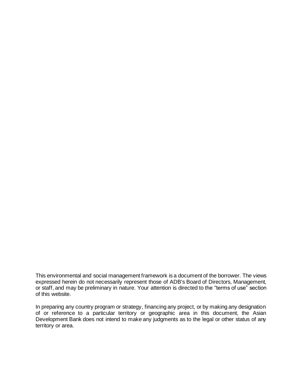This environmental and social management framework is a document of the borrower. The views expressed herein do not necessarily represent those of ADB's Board of Directors, Management, or staff, and may be preliminary in nature. Your attention is directed to the "terms of use" section of this website.

In preparing any country program or strategy, financing any project, or by making any designation of or reference to a particular territory or geographic area in this document, the Asian Development Bank does not intend to make any judgments as to the legal or other status of any territory or area.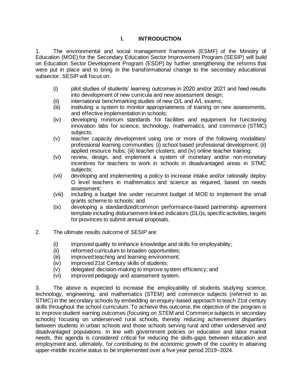# **I. INTRODUCTION**

<span id="page-6-0"></span>1. The environmental and social management framework (ESMF) of the Ministry of Education (MOE) for the Secondary Education Sector Improvement Program (SESIP) will build on Education Sector Development Program (ESDP) by further strengthening the reforms that were put in place and to bring in the transformational change to the secondary educational subsector. SESIP will focus on:

- (i) pilot studies of students' learning outcomes in 2020 and/or 2021 and feed results into development of new curricula and new assessment design;
- (ii) international benchmarking studies of new O/L and A/L exams;<br>(iii) instituting a system to monitor appropriateness of training on n
- instituting a system to monitor appropriateness of training on new assessments, and effective implementation in schools;
- (iv) developing minimum standards for facilities and equipment for functioning innovation labs for science, technology, mathematics, and commerce (STMC) subjects:
- (v) teacher capacity development using one or more of the following modalities/ professional learning communities: (i) school based professional development; (ii) applied resource hubs; (iii) teacher clusters; and (iv) online teacher training;
- (vi) review, design, and implement a system of monetary and/or non-monetary incentives for teachers to work in schools in disadvantaged areas in STMC subjects;
- (vii) developing and implementing a policy to increase intake and/or rationally deploy O level teachers in mathematics and science as required, based on needs assessment;
- (viii) including a budget line under recurrent budget of MOE to implement the small grants scheme to schools; and
- (ix) developing a standardized/common performance-based partnership agreement template including disbursement-linked indicators (DLI)s, specific activities, targets for provinces to submit annual proposals.
- 2. The ultimate results outcome of SESIP are:
	- (i) improved quality to enhance knowledge and skills for employability;
	- (ii) reformed curriculum to broaden opportunities;
	- (iii) improved teaching and learning environment;
	- (iv) improved 21st Century skills of students;
	- (v) delegated decision-making to improve system efficiency; and
	- (vi) improved pedagogy and assessment system.

3. The above is expected to increase the employability of students studying science, technology, engineering, and mathematics (STEM) and commerce subjects (referred to as STMC) in the secondary schools by embedding an enquiry-based approach to teach 21st century skills throughout the school curriculum. To achieve this outcome, the objective of the program is to improve student earning outcomes (focusing on STEM and Commerce subjects in secondary schools) focusing on underserved rural schools, thereby reducing achievement disparities between students in urban schools and those schools serving rural and other underserved and disadvantaged populations. In line with government policies on education and labor market needs, this agenda is considered critical for reducing the skills-gaps between education and employment and, ultimately, for contributing to the economic growth of the country in attaining upper-middle income status to be implemented over a five year period 2019–2024.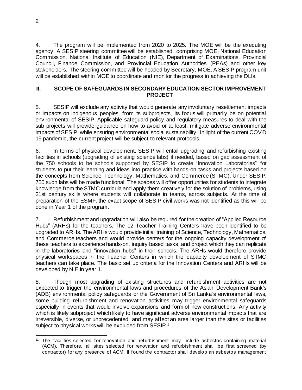4. The program will be implemented from 2020 to 2025. The MOE will be the executing agency. A SESIP steering committee will be established, comprising MOE, National Education Commission, National Institute of Education (NIE), Department of Examinations, Provincial Council, Finance Commission, and Provincial Education Authorities (PEAs) and other key stakeholders. The steering committee will be headed by Secretary, MOE. A SESIP program unit will be established within MOE to coordinate and monitor the progress in achieving the DLIs.

#### <span id="page-7-0"></span>**II. SCOPE OF SAFEGUARDS IN SECONDARY EDUCATION SECTOR IMPROVEMENT PROJECT**

5. SESIP will exclude any activity that would generate any involuntary resettlement impacts or impacts on indigenous peoples, from its subprojects, its focus will primarily be on potential environmental of SESIP. Applicable safeguard policy and regulatory measures to deal with the sub projects will provide guidance on how to avoid or at least, mitigate adverse environmental impacts of SESIP, while ensuring environmental social sustainability. In light of the current COVID 19 pandemic, the current project will be subject to relevant protocols.

6. In terms of physical development, SESIP will entail upgrading and refurbishing existing facilities in schools (upgrading of existing science labs) if needed, based on gap assessment of the 750 schools to be schools supported by SESIP to create "Innovation Laboratories" for students to put their learning and ideas into practice with hands-on tasks and projects based on the concepts from Science, Technology, Mathematics, and Commerce (STMC). Under SESIP, 750 such labs will be made functional. The spaces will offer opportunities for students to integrate knowledge from the STMC curricula and apply them creatively for the solution of problems, using 21st century skills where students will collaborate in teams, across subjects. At the time of preparation of the ESMF, the exact scope of SESIP civil works was not identified as this will be done in Year 1 of the program.

7. Refurbishment and upgradation will also be required for the creation of "Applied Resource Hubs" (ARHs) for the teachers. The 12 Teacher Training Centers have been identified to be upgraded to ARHs. The ARHs would provide initial training of Science, Technology, Mathematics, and Commerce teachers and would provide centers for the ongoing capacity development of these teachers to experience hands-on, inquiry based tasks, and project which they can replicate in the laboratories and "innovation hubs" in their schools. The ARHs would therefore provide physical workspaces in the Teacher Centers in which the capacity development of STMC teachers can take place. The basic set up criteria for the Innovation Centers and ARHs will be developed by NIE in year 1.

8. Though most upgrading of existing structures and refurbishment activities are not expected to trigger the environmental laws and procedures of the Asian Development Bank's (ADB) environmental policy safeguards or the Government of Sri Lanka's environmental laws, some building refurbishment and renovation activities may trigger environmental safeguards especially in events that would involve expansions and form of new constructions. Any activity which is likely subproject which likely to have significant adverse environmental impacts that are irreversible, diverse, or unprecedented, and may affect an area larger than the sites or facilities subject to physical works will be excluded from SESIP.<sup>1</sup>

<sup>11</sup> The facilities selected for renovation and refurbishment may include asbestos containing material (ACM). Therefore, all sites selected for renovation and refurbishment shall be first screened (by contractor) for any presence of ACM. If found the contractor shall develop an asbestos management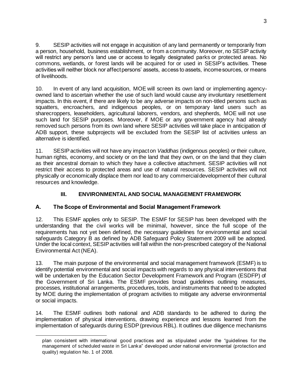9. SESIP activities will not engage in acquisition of any land permanently or temporarily from a person, household, business establishment, or from a community. Moreover, no SESIP activity will restrict any person's land use or access to legally designated parks or protected areas. No commons, wetlands, or forest lands will be acquired for or used in SESIP's activities. These activities will neither block nor affect persons' assets, access to assets, income sources, or means of livelihoods.

10. In event of any land acquisition, MOE will screen its own land or implementing agencyowned land to ascertain whether the use of such land would cause any involuntary resettlement impacts. In this event, if there are likely to be any adverse impacts on non-titled persons such as squatters, encroachers, and indigenous peoples, or on temporary land users such as sharecroppers, leaseholders, agricultural laborers, vendors, and shepherds, MOE will not use such land for SESIP purposes. Moreover, if MOE or any government agency had already removed such persons from its own land where SESIP activities will take place in anticipation of ADB support, these subprojects will be excluded from the SESIP list of activities unless an alternative is identified.

11. SESIP activities will not have any impact on *Vaddhas* (indigenous peoples) or their culture, human rights, economy, and society or on the land that they own, or on the land that they claim as their ancestral domain to which they have a collective attachment. SESIP activities will not restrict their access to protected areas and use of natural resources. SESIP activities will not physically or economically displace them nor lead to any commercial development of their cultural resources and knowledge.

# **III. ENVIRONMENTAL AND SOCIAL MANAGEMENT FRAMEWORK**

# <span id="page-8-1"></span><span id="page-8-0"></span>**A. The Scope of Environmental and Social Management Framework**

12. This ESMF applies only to SESIP. The ESMF for SESIP has been developed with the understanding that the civil works will be minimal, however, since the full scope of the requirements has not yet been defined, the necessary guidelines for environmental and social safeguards Category B as defined by ADB Safeguard Policy Statement 2009 will be adopted. Under the local context, SESIP activities will fall within the non-prescribed category of the National Environmental Act (NEA).

13. The main purpose of the environmental and social management framework (ESMF) is to identify potential environmental and social impacts with regards to any physical interventions that will be undertaken by the Education Sector Development Framework and Program (ESDFP) of the Government of Sri Lanka. The ESMF provides broad guidelines outlining measures, processes, institutional arrangements, procedures, tools, and instruments that need to be adopted by MOE during the implementation of program activities to mitigate any adverse environmental or social impacts.

14. The ESMF outlines both national and ADB standards to be adhered to during the implementation of physical interventions, drawing experience and lessons learned from the implementation of safeguards during ESDP (previous RBL). It outlines due diligence mechanisms

plan consistent with international good practices and as stipulated under the "guidelines for the management of scheduled waste in Sri Lanka" developed under national environmental (protection and quality) regulation No. 1 of 2008.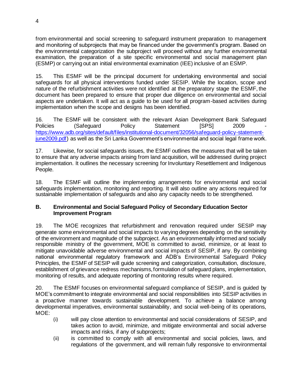from environmental and social screening to safeguard instrument preparation to management and monitoring of subprojects that may be financed under the government's program. Based on the environmental categorization the subproject will proceed without any further environmental examination, the preparation of a site specific environmental and social management plan (ESMP) or carrying out an initial environmental examination (IEE) inclusive of an ESMP.

15. This ESMF will be the principal document for undertaking environmental and social safeguards for all physical interventions funded under SESIP. While the location, scope and nature of the refurbishment activities were not identified at the preparatory stage the ESMF, the document has been prepared to ensure that proper due diligence on environmental and social aspects are undertaken. It will act as a guide to be used for all program-based activities during implementation when the scope and designs has been identified.

16. The ESMF will be consistent with the relevant Asian Development Bank Safeguard Policies (Safeguard Policy Statement ISPSI 2009 [https://www.adb.org/sites/default/files/institutional-document/32056/safeguard-policy-statement](https://www.adb.org/sites/default/files/institutional-document/32056/safeguard-policy-statement-june2009.pdf)[june2009.pdf\)](https://www.adb.org/sites/default/files/institutional-document/32056/safeguard-policy-statement-june2009.pdf) as well as the Sri Lanka Government's environmental and social legal frame work.

17. Likewise, for social safeguards issues, the ESMF outlines the measures that will be taken to ensure that any adverse impacts arising from land acquisition, will be addressed during project implementation. It outlines the necessary screening for Involuntary Resettlement and Indigenous People.

18. The ESMF will outline the implementing arrangements for environmental and social safeguards implementation, monitoring and reporting. It will also outline any actions required for sustainable implementation of safeguards and also any capacity needs to be strengthened.

## <span id="page-9-0"></span>**B. Environmental and Social Safeguard Policy of Secondary Education Sector Improvement Program**

19. The MOE recognizes that refurbishment and renovation required under SESIP may generate some environmental and social impacts to varying degrees depending on the sensitivity of the environment and magnitude of the subproject. As an environmentally informed and socially responsible ministry of the government, MOE is committed to avoid, minimize, or at least to mitigate unavoidable adverse environmental and social impacts of SESIP, if any. By combining national environmental regulatory framework and ADB's Environmental Safeguard Policy Principles, the ESMF of SESIP will guide screening and categorization, consultation, disclosure, establishment of grievance redress mechanisms, formulation of safeguard plans, implementation, monitoring of results, and adequate reporting of monitoring results where required.

20. The ESMF focuses on environmental safeguard compliance of SESIP, and is guided by MOE's commitment to integrate environmental and social responsibilities into SESIP activities in a proactive manner towards sustainable development. To achieve a balance among developmental imperatives, environmental sustainability, and social well-being of its operations, MOE:

- (i) will pay close attention to environmental and social considerations of SESIP, and takes action to avoid, minimize, and mitigate environmental and social adverse impacts and risks, if any of subprojects;
- (ii) is committed to comply with all environmental and social policies, laws, and regulations of the government, and will remain fully responsive to environmental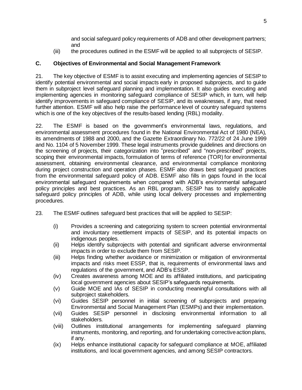and social safeguard policy requirements of ADB and other development partners; and

(iii) the procedures outlined in the ESMF will be applied to all subprojects of SESIP.

# <span id="page-10-0"></span>**C. Objectives of Environmental and Social Management Framework**

21. The key objective of ESMF is to assist executing and implementing agencies of SESIP to identify potential environmental and social impacts early in proposed subprojects, and to guide them in subproject level safeguard planning and implementation. It also guides executing and implementing agencies in monitoring safeguard compliance of SESIP which, in turn, will help identify improvements in safeguard compliance of SESIP, and its weaknesses, if any, that need further attention. ESMF will also help raise the performance level of country safeguard systems which is one of the key objectives of the results-based lending (RBL) modality.

22. The ESMF is based on the government's environmental laws, regulations, and environmental assessment procedures found in the National Environmental Act of 1980 (NEA), its amendments of 1988 and 2000, and the Gazette Extraordinary No. 772/22 of 24 June 1999 and No. 1104 of 5 November 1999. These legal instruments provide guidelines and directions on the screening of projects, their categorization into "prescribed" and "non-prescribed" projects, scoping their environmental impacts, formulation of terms of reference (TOR) for environmental assessment, obtaining environmental clearance, and environmental compliance monitoring during project construction and operation phases. ESMF also draws best safeguard practices from the environmental safeguard policy of ADB. ESMF also fills in gaps found in the local environmental safeguard requirements when compared with ADB's environmental safeguard policy principles and best practices. As an RBL program, SESIP has to satisfy applicable safeguard policy principles of ADB, while using local delivery processes and implementing procedures.

- 23. The ESMF outlines safeguard best practices that will be applied to SESIP:
	- (i) Provides a screening and categorizing system to screen potential environmental and involuntary resettlement impacts of SESIP, and its potential impacts on indigenous peoples.
	- (ii) Helps identify subprojects with potential and significant adverse environmental impacts in order to exclude them from SESIP.
	- (iii) Helps finding whether avoidance or minimization or mitigation of environmental impacts and risks meet ESSP, that is, requirements of environmental laws and regulations of the government, and ADB's ESSP.
	- (iv) Creates awareness among MOE and its affiliated institutions, and participating local government agencies about SESIP's safeguards requirements.
	- (v) Guide MOE and IAs of SESIP in conducting meaningful consultations with all subproject stakeholders.
	- (vi) Guides SESIP personnel in initial screening of subprojects and preparing Environmental and Social Management Plan (ESMPs) and their implementation.
	- (vii) Guides SESIP personnel in disclosing environmental information to all stakeholders.
	- (viii) Outlines institutional arrangements for implementing safeguard planning instruments, monitoring, and reporting, and for undertaking corrective action plans, if any.
	- (ix) Helps enhance institutional capacity for safeguard compliance at MOE, affiliated institutions, and local government agencies, and among SESIP contractors.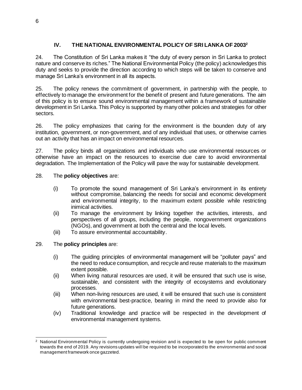# **IV. THE NATIONAL ENVIRONMENTAL POLICY OF SRI LANKA OF 2003<sup>2</sup>**

<span id="page-11-0"></span>24. The Constitution of Sri Lanka makes it "the duty of every person in Sri Lanka to protect nature and conserve its riches." The National Environmental Policy (the policy) acknowledges this duty and seeks to provide the direction according to which steps will be taken to conserve and manage Sri Lanka's environment in all its aspects.

25. The policy renews the commitment of government, in partnership with the people, to effectively to manage the environment for the benefit of present and future generations. The aim of this policy is to ensure sound environmental management within a framework of sustainable development in Sri Lanka. This Policy is supported by many other policies and strategies for other sectors.

26. The policy emphasizes that caring for the environment is the bounden duty of any institution, government, or non-government, and of any individual that uses, or otherwise carries out an activity that has an impact on environmental resources.

27. The policy binds all organizations and individuals who use environmental resources or otherwise have an impact on the resources to exercise due care to avoid environmental degradation. The Implementation of the Policy will pave the way for sustainable development.

## 28. The **policy objectives** are:

- (i) To promote the sound management of Sri Lanka's environment in its entirety without compromise, balancing the needs for social and economic development and environmental integrity, to the maximum extent possible while restricting inimical activities.
- (ii) To manage the environment by linking together the activities, interests, and perspectives of all groups, including the people, nongovernment organizations (NGOs), and government at both the central and the local levels.
- (iii) To assure environmental accountability.

#### 29. The **policy principles** are:

- (i) The guiding principles of environmental management will be "polluter pays" and the need to reduce consumption, and recycle and reuse materials to the maximum extent possible.
- (ii) When living natural resources are used, it will be ensured that such use is wise, sustainable, and consistent with the integrity of ecosystems and evolutionary processes.
- (iii) When non-living resources are used, it will be ensured that such use is consistent with environmental best-practice, bearing in mind the need to provide also for future generations.
- (iv) Traditional knowledge and practice will be respected in the development of environmental management systems.

<sup>&</sup>lt;sup>2</sup> National Environmental Policy is currently undergoing revision and is expected to be open for public comment towards the end of 2019. Any revisions updates will be required to be incorporated to the environmental and social management framework once gazzeted.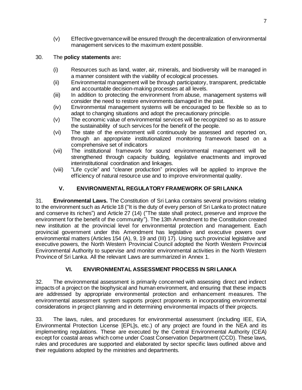(v) Effective governance will be ensured through the decentralization of environmental management services to the maximum extent possible.

## 30. The **policy statements** are**:**

- (i) Resources such as land, water, air, minerals, and biodiversity will be managed in a manner consistent with the viability of ecological processes.
- (ii) Environmental management will be through participatory, transparent, predictable and accountable decision-making processes at all levels.
- (iii) In addition to protecting the environment from abuse, management systems will consider the need to restore environments damaged in the past.
- (iv) Environmental management systems will be encouraged to be flexible so as to adapt to changing situations and adopt the precautionary principle.
- (v) The economic value of environmental services will be recognized so as to assure the sustainability of such services for the benefit of the people.
- (vi) The state of the environment will continuously be assessed and reported on, through an appropriate institutionalized monitoring framework based on a comprehensive set of indicators
- (vii) The institutional framework for sound environmental management will be strengthened through capacity building, legislative enactments and improved interinstitutional coordination and linkages.
- (viii) "Life cycle" and "cleaner production" principles will be applied to improve the efficiency of natural resource use and to improve environmental quality.

# **V. ENVIRONMENTAL REGULATORY FRAMEWORK OF SRI LANKA**

<span id="page-12-0"></span>31. **Environmental Laws.** The Constitution of Sri Lanka contains several provisions relating to the environment such as Article 18 ("It is the duty of every person of Sri Lanka to protect nature and conserve its riches") and Article 27 (14) ("The state shall protect, preserve and improve the environment for the benefit of the community"). The 13th Amendment to the Constitution created new institution at the provincial level for environmental protection and management. Each provincial government under this Amendment has legislative and executive powers over environmental matters (Articles 154 (A), 9, 19 and (III) 17). Using such provincial legislative and executive powers, the North Western Provincial Council adopted the North Western Provincial Environmental Authority to supervise and monitor environmental activities in the North Western Province of Sri Lanka. All the relevant Laws are summarized in Annex 1.

# **VI. ENVIRONMENTAL ASSESSMENT PROCESS IN SRI LANKA**

<span id="page-12-1"></span>32. The environmental assessment is primarily concerned with assessing direct and indirect impacts of a project on the biophysical and human environment, and ensuring that these impacts are addressed by appropriate environmental protection and enhancement measures. The environmental assessment system supports project proponents in incorporating environmental considerations in project planning and in determining environmental impacts of their projects.

33. The laws, rules, and procedures for environmental assessment (including IEE, EIA, Environmental Protection License [EPL]s, etc.) of any project are found in the NEA and its implementing regulations. These are executed by the Central Environmental Authority (CEA) except for coastal areas which come under Coast Conservation Department (CCD). These laws, rules and procedures are supported and elaborated by sector specific laws outlined above and their regulations adopted by the ministries and departments.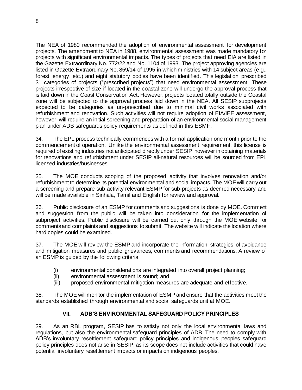The NEA of 1980 recommended the adoption of environmental assessment for development projects. The amendment to NEA in 1988, environmental assessment was made mandatory for projects with significant environmental impacts. The types of projects that need EIA are listed in the Gazette Extraordinary No. 772/22 and No. 1104 of 1993. The project approving agencies are listed in Gazette Extraordinary No. 859/14 of 1995 in which ministries with 14 subject areas (e.g., forest, energy, etc.) and eight statutory bodies have been identified. This legislation prescribed 31 categories of projects ("prescribed projects") that need environmental assessment. These projects irrespective of size if located in the coastal zone will undergo the approval process that is laid down in the Coast Conservation Act. However, projects located totally outside the Coastal zone will be subjected to the approval process laid down in the NEA. All SESIP subprojects expected to be categories as un-prescribed due to minimal civil works associated with refurbishment and renovation. Such activities will not require adoption of EIA/IEE assessment, however, will require an initial screening and preparation of an environmental social management plan under ADB safeguards policy requirements as defined in this ESMF.

34. The EPL process technically commences with a formal application one month prior to the commencement of operation. Unlike the environmental assessment requirement, this license is required of existing industries not anticipated directly under SESIP, however in obtaining materials for renovations and refurbishment under SESIP all-natural resources will be sourced from EPL licensed industries/businesses.

35. The MOE conducts scoping of the proposed activity that involves renovation and/or refurbishment to determine its potential environmental and social impacts. The MOE will carry out a screening and prepare sub activity relevant ESMP for sub-projects as deemed necessary and will be made available in Sinhala, Tamil and English for review and approval.

36. Public disclosure of an ESMP for comments and suggestions is done by MOE. Comment and suggestion from the public will be taken into consideration for the implementation of subproject activities. Public disclosure will be carried out only through the MOE website for comments and complaints and suggestions to submit. The website will indicate the location where hard copies could be examined.

37. The MOE will review the ESMP and incorporate the information, strategies of avoidance and mitigation measures and public grievances, comments and recommendations. A review of an ESMP is guided by the following criteria:

- (i) environmental considerations are integrated into overall project planning;
- (ii) environmental assessment is sound; and
- (iii) proposed environmental mitigation measures are adequate and effective.

38. The MOE will monitor the implementation of ESMP and ensure that the activities meet the standards established through environmental and social safeguards unit at MOE.

# **VII. ADB'S ENVIRONMENTAL SAFEGUARD POLICY PRINCIPLES**

<span id="page-13-0"></span>39. As an RBL program, SESIP has to satisfy not only the local environmental laws and regulations, but also the environmental safeguard principles of ADB. The need to comply with ADB's involuntary resettlement safeguard policy principles and indigenous peoples safeguard policy principles does not arise in SESIP, as its scope does not include activities that could have potential involuntary resettlement impacts or impacts on indigenous peoples.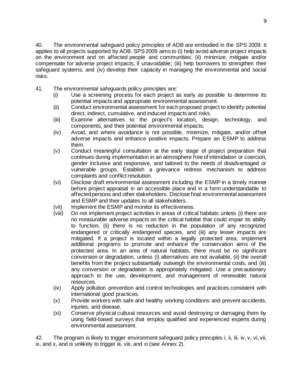40. The environmental safeguard policy principles of ADB are embodied in the SPS 2009. It applies to all projects supported by ADB. SPS2009 aims to (i) help avoid adverse project impacts on the environment and on affected people and communities; (ii) minimize, mitigate and/or compensate for adverse project impacts, if unavoidable; (iii) help borrowers to strengthen their safeguard systems; and (iv) develop their capacity in managing the environmental and social risks.

- 41. The environmental safeguards policy principles are:
	- (i) Use a screening process for each project as early as possible to determine its potential impacts and appropriate environmental assessment.
	- (ii) Conduct environmental assessment for each proposed project to identify potential direct, indirect, cumulative, and induced impacts and risks.
	- (iii) Examine alternatives to the project's location, design, technology, and components, and their potential environmental impacts.
	- (iv) Avoid, and where avoidance is not possible, minimize, mitigate, and/or offset adverse impacts and enhance positive impacts. Prepare an ESMP to address them.
	- (v) Conduct meaningful consultation at the early stage of project preparation that continues during implementation in an atmosphere free of intimidation or coercion, gender inclusive and responsive, and tailored to the needs of disadvantaged or vulnerable groups. Establish a grievance redress mechanism to address complaints and conflict resolution.
	- (vi) Disclose draft environmental assessment including the ESMP in a timely manner before project appraisal in an accessible place and in a form understandable to affected persons and other stakeholders. Disclose final environmental assessment and ESMP and their updates to all stakeholders.
	- (vii) Implement the ESMP and monitor its effectiveness.
	- (viii) Do not implement project activities in areas of critical habitats unless (i) there are no measurable adverse impacts on the critical habitat that could impair its ability to function, (ii) there is no reduction in the population of any recognized endangered or critically endangered species, and (iii) any lesser impacts are mitigated. If a project is located within a legally protected area, implement additional programs to promote and enhance the conservation aims of the protected area. In an area of natural habitats, there must be no significant conversion or degradation, unless (i) alternatives are not available, (ii) the overall benefits from the project substantially outweigh the environmental costs, and (iii) any conversion or degradation is appropriately mitigated. Use a precautionary approach to the use, development, and management of renewable natural resources.
	- (ix) Apply pollution prevention and control technologies and practices consistent with international good practices.
	- (x) Provide workers with safe and healthy working conditions and prevent accidents, iniuries, and disease.
	- (xi) Conserve physical cultural resources and avoid destroying or damaging them by using field-based surveys that employ qualified and experienced experts during environmental assessment.

42. The program is likely to trigger environment safeguard policy principles i, ii, iii, iv, v, vi, vii, ix, and x, and is unlikely to trigger iii, viii, and xi (see Annex 2).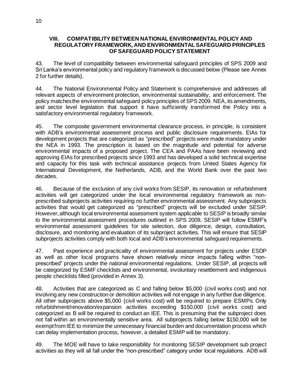#### <span id="page-15-0"></span>**VIII. COMPATIBILITY BETWEEN NATIONAL ENVIRONMENTAL POLICY AND REGULATORY FRAMEWORK, AND ENVIRONMENTAL SAFEGUARD PRINCIPLES OF SAFEGUARD POLICY STATEMENT**

43. The level of compatibility between environmental safeguard principles of SPS 2009 and Sri Lanka's environmental policy and regulatory framework is discussed below (Please see Annex 2 for further details).

44. The National Environmental Policy and Statement is comprehensive and addresses all relevant aspects of environment protection, environmental sustainability, and enforcement. The policy matches the environmental safeguard policy principles of SPS 2009. NEA, its amendments, and sector level legislation that support it have sufficiently transformed the Policy into a satisfactory environmental regulatory framework.

45. The composite government environmental clearance process, in principle, is consistent with ADB's environmental assessment process and public disclosure requirements. EIAs for development projects that are categorized as "prescribed" projects were made mandatory under the NEA in 1993. The prescription is based on the magnitude and potential for adverse environmental impacts of a proposed project. The CEA and PAAs have been reviewing and approving EIAs for prescribed projects since 1993 and has developed a solid technical expertise and capacity for this task with technical assistance projects from United States Agency for International Development, the Netherlands, ADB, and the World Bank over the past two decades.

46. Because of the exclusion of any civil works from SESIP, its renovation or refurbishment activities will get categorized under the local environmental regulatory framework as nonprescribed subprojects activities requiring no further environmental assessment. Any subprojects activities that would get categorized as "prescribed" projects will be excluded under SESIP. However, although local environmental assessment system applicable to SESIP is broadly similar to the environmental assessment procedures outlined in SPS 2009, SESIP will follow ESMF's environmental assessment guidelines for site selection, due diligence, design, consultation, disclosure, and monitoring and evaluation of its subproject activities. This will ensure that SESIP subprojects activities comply with both local and ADB's environmental safeguard requirements.

47. Past experience and practicality of environmental assessment for projects under ESDP as well as other local programs have shown relatively minor impacts falling within "nonprescribed" projects under the national environmental regulations. Under SESIP, all projects will be categorized by ESMF checklists and environmental, involuntary resettlement and indigenous people checklists filled (provided in Annex 3).

48. Activities that are categorized as C and falling below \$5,000 (civil works cost) and not involving any new construction or demolition activities will not engage in any further due diligence. All other subprojects above \$5,000 (civil works cost) will be required to prepare ESMPs. Only refurbishment/renovation/expansion activities exceeding \$150,000 (civil works cost) and categorized as B will be required to conduct an IEE. This is presuming that the subproject does not fall within an environmentally sensitive area. All subprojects falling below \$150,000 will be exempt from IEE to minimize the unnecessary financial burden and documentation process which can delay implementation process, however, a detailed ESMP will be mandatory.

49. The MOE will have to take responsibility for monitoring SESIP development sub project activities as they will all fall under the "non-prescribed" category under local regulations. ADB will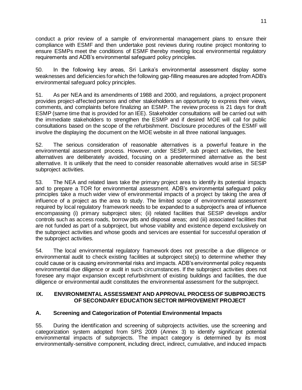conduct a prior review of a sample of environmental management plans to ensure their compliance with ESMF and then undertake post reviews during routine project monitoring to ensure ESMPs meet the conditions of ESMF thereby meeting local environmental regulatory requirements and ADB's environmental safeguard policy principles.

50. In the following key areas, Sri Lanka's environmental assessment display some weaknesses and deficiencies for which the following gap-filling measures are adopted from ADB's environmental safeguard policy principles.

51. As per NEA and its amendments of 1988 and 2000, and regulations, a project proponent provides project-affected persons and other stakeholders an opportunity to express their views, comments, and complaints before finalizing an ESMP. The review process is 21 days for draft ESMP (same time that is provided for an IEE). Stakeholder consultations will be carried out with the immediate stakeholders to strengthen the ESMP and if desired MOE will call for public consultations based on the scope of the refurbishment. Disclosure procedures of the ESMF will involve the displaying the document on the MOE website in all three national languages.

52. The serious consideration of reasonable alternatives is a powerful feature in the environmental assessment process. However, under SESIP, sub project activities, the best alternatives are deliberately avoided, focusing on a predetermined alternative as the best alternative. It is unlikely that the need to consider reasonable alternatives would arise in SESIP subproject activities.

53. The NEA and related laws take the primary project area to identify its potential impacts and to prepare a TOR for environmental assessment. ADB's environmental safeguard policy principles take a much wider view of environmental impacts of a project by taking the area of influence of a project as the area to study. The limited scope of environmental assessment required by local regulatory framework needs to be expanded to a subproject's area of influence encompassing (i) primary subproject sites; (ii) related facilities that SESIP develops and/or controls such as access roads, borrow pits and disposal areas; and (iii) associated facilities that are not funded as part of a subproject, but whose viability and existence depend exclusively on the subproject activities and whose goods and services are essential for successful operation of the subproject activities.

54. The local environmental regulatory framework does not prescribe a due diligence or environmental audit to check existing facilities at subproject site(s) to determine whether they could cause or is causing environmental risks and impacts. ADB's environmental policy requests environmental due diligence or audit in such circumstances. If the subproject activities does not foresee any major expansion except refurbishment of existing buildings and facilities, the due diligence or environmental audit constitutes the environmental assessment for the subproject.

#### <span id="page-16-0"></span>**IX. ENVIRONMENTAL ASSESSMENT AND APPROVAL PROCESS OF SUBPROJECTS OF SECONDARY EDUCATION SECTOR IMPROVEMENT PROJECT**

# <span id="page-16-1"></span>**A. Screening and Categorization of Potential Environmental Impacts**

55. During the identification and screening of subprojects activities, use the screening and categorization system adopted from SPS 2009 (Annex 3) to identify significant potential environmental impacts of subprojects. The impact category is determined by its most environmentally-sensitive component, including direct, indirect, cumulative, and induced impacts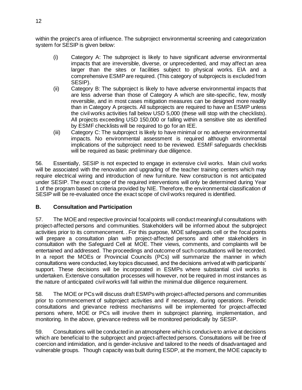within the project's area of influence. The subproject environmental screening and categorization system for SESIP is given below:

- (i) Category A: The subproject is likely to have significant adverse environmental impacts that are irreversible, diverse, or unprecedented, and may affect an area larger than the sites or facilities subject to physical works. EIA and a comprehensive ESMPare required. (This category of subprojects is excluded from SESIP).
- (ii) Category B: The subproject is likely to have adverse environmental impacts that are less adverse than those of Category A which are site-specific, few, mostly reversible, and in most cases mitigation measures can be designed more readily than in Category A projects. All subprojects are required to have an ESMP unless the civil works activities fall below USD 5,000 (these will stop with the checklists). All projects exceeding USD 150,000 or falling within a sensitive site as identified by ESMF checklists will be required to go for an IEE.
- (iii) Category C: The subproject is likely to have minimal or no adverse environmental impacts. No environmental assessment is required although environmental implications of the subproject need to be reviewed. ESMF safeguards checklists will be required as basic preliminary due diligence.

56. Essentially, SESIP is not expected to engage in extensive civil works. Main civil works will be associated with the renovation and upgrading of the teacher training centers which may require electrical wiring and introduction of new furniture. New construction is not anticipated under SESIP. The exact scope of the required interventions will only be determined during Year 1 of the program based on criteria provided by NIE. Therefore, the environmental classification of SESIP will be re-evaluated once the exact scope of civil works required is identified.

# <span id="page-17-0"></span>**B. Consultation and Participation**

57. The MOE and respective provincial focal points will conduct meaningful consultations with project-affected persons and communities. Stakeholders will be informed about the subproject activities prior to its commencement. . For this purpose, MOE safeguards cell or the focal points will prepare a consultation plan with project-affected persons and other stakeholders in consultation with the Safeguard Cell at MOE. Their views, comments, and complaints will be entertained and addressed. The proceedings and outcome of such consultations will be recorded. In a report the MOEs or Provincial Councils (PCs) will summarize the manner in which consultations were conducted, key topics discussed, and the decisions arrived at with participants' support. These decisions will be incorporated in ESMPs where substantial civil works is undertaken. Extensive consultation processes will however, not be required in most instances as the nature of anticipated civil works will fall within the minimal due diligence requirement.

58. The MOE or PCs will discuss draft ESMPs with project-affected persons and communities prior to commencement of subproject activities and if necessary, during operations. Periodic consultations and grievance redress mechanisms will be implemented for project-affected persons where, MOE or PCs will involve them in subproject planning, implementation, and monitoring. In the above, grievance redress will be monitored periodically by SESIP.

59. Consultations will be conducted in an atmosphere which is conducive to arrive at decisions which are beneficial to the subproject and project-affected persons. Consultations will be free of coercion and intimidation, and is gender-inclusive and tailored to the needs of disadvantaged and vulnerable groups. Though capacity was built during ESDP, at the moment, the MOE capacity to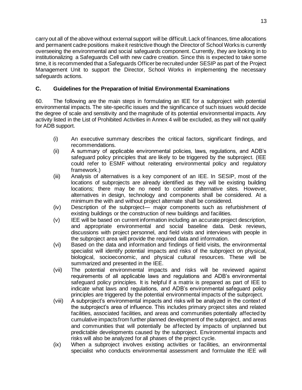carry out all of the above without external support will be difficult.Lack of finances, time allocations and permanent cadre positions make it restrictive though the Director of School Works is currently overseeing the environmental and social safeguards component. Currently, they are looking in to institutionalizing a Safeguards Cell with new cadre creation. Since this is expected to take some time, it is recommended that a Safeguards Officer be recruited under SESIP as part of the Project Management Unit to support the Director, School Works in implementing the necessary safeguards actions.

# <span id="page-18-0"></span>**C. Guidelines for the Preparation of Initial Environmental Examinations**

60. The following are the main steps in formulating an IEE for a subproject with potential environmental impacts. The site-specific issues and the significance of such issues would decide the degree of scale and sensitivity and the magnitude of its potential environmental impacts. Any activity listed in the List of Prohibited Activities in Annex 4 will be excluded, as they will not qualify for ADB support.

- (i) An executive summary describes the critical factors, significant findings, and recommendations.
- (ii) A summary of applicable environmental policies, laws, regulations, and ADB's safeguard policy principles that are likely to be triggered by the subproject. (IEE could refer to ESMF without reiterating environmental policy and regulatory framework.)
- (iii) Analysis of alternatives is a key component of an IEE. In SESIP, most of the locations of subprojects are already identified as they will be existing building locations; there may be no need to consider alternative sites. However, alternatives in design, technology and components shall be considered. At a minimum the with and without project alternate shall be considered.
- (iv) Description of the subproject— major components such as refurbishment of existing buildings or the construction of new buildings and facilities.
- (v) IEE will be based on current information including an accurate project description, and appropriate environmental and social baseline data. Desk reviews, discussions with project personnel, and field visits and interviews with people in the subproject area will provide the required data and information.
- (vi) Based on the data and information and findings of field visits, the environmental specialist will identify potential impacts and risks of the subproject on physical, biological, socioeconomic, and physical cultural resources. These will be summarized and presented in the IEE.
- (vii) The potential environmental impacts and risks will be reviewed against requirements of all applicable laws and regulations and ADB's environmental safeguard policy principles. It is helpful if a matrix is prepared as part of IEE to indicate what laws and regulations, and ADB's environmental safeguard policy principles are triggered by the potential environmental impacts of the subproject.
- (viii) A subproject's environmental impacts and risks will be analyzed in the context of the subproject's area of influence. This includes primary project sites and related facilities, associated facilities, and areas and communities potentially affected by cumulative impacts from further planned development of the subproject, and areas and communities that will potentially be affected by impacts of unplanned but predictable developments caused by the subproject. Environmental impacts and risks will also be analyzed for all phases of the project cycle.
- (ix) When a subproject involves existing activities or facilities, an environmental specialist who conducts environmental assessment and formulate the IEE will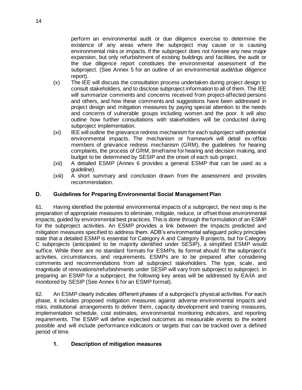perform an environmental audit or due diligence exercise to determine the existence of any areas where the subproject may cause or is causing environmental risks or impacts. If the subproject does not foresee any new major expansion, but only refurbishment of existing buildings and facilities, the audit or the due diligence report constitutes the environmental assessment of the subproject. (See Annex 5 for an outline of an environmental audit/due diligence report).

- (x) The IEE will discuss the consultation process undertaken during project design to consult stakeholders, and to disclose subproject information to all of them. The IEE will summarize comments and concerns received from project-affected persons and others, and how these comments and suggestions have been addressed in project design and mitigation measures by paying special attention to the needs and concerns of vulnerable groups including women and the poor. It will also outline how further consultations with stakeholders will be conducted during subproject implementation.
- (xi) IEE will outline the grievance redress mechanism for each subproject with potential environmental impacts. The mechanism or framework will detail ex-officio members of grievance redress mechanism (GRM), the guidelines for hearing complaints, the process of GRM, timeframe for hearing and decision making, and budget to be determined by SESIP and the onset of each sub project.
- (xii) A detailed ESMP (Annex 6 provides a general ESMP that can be used as a guideline).
- (xiii) A short summary and conclusion drawn from the assessment and provides recommendation.

# <span id="page-19-0"></span>**D. Guidelines for Preparing Environmental Social Management Plan**

61. Having identified the potential environmental impacts of a subproject, the next step is the preparation of appropriate measures to eliminate, mitigate, reduce, or offset those environmental impacts, guided by environmental best practices. This is done through the formulation of an ESMP for the subproject activities. An ESMP provides a link between the impacts predicted and mitigation measures specified to address them. ADB's environmental safeguard policy principles state that a detailed ESMP is essential for Category A and Category B projects, but for Category C subprojects (anticipated to be majority identified under SESIP), a simplified ESMP would suffice. While there are no standard formats for ESMPs, its format should fit the subproject's activities, circumstances, and requirements. ESMPs are to be prepared after considering comments and recommendations from all subproject stakeholders. The type, scale, and magnitude of renovations/refurbishments under SESIP will vary from subproject to subproject. In preparing an ESMP for a subproject, the following key areas will be addressed by EA/IA and monitored by SESIP (See Annex 6 for an ESMP format).

62. An ESMP clearly indicates different phases of a subproject's physical activities. For each phase, it includes proposed mitigation measures against adverse environmental impacts and risks, institutional arrangements to deliver them, capacity development and training measures, implementation schedule, cost estimates, environmental monitoring indicators, and reporting requirements. The ESMP will define expected outcomes as measurable events to the extent possible and will include performance indicators or targets that can be tracked over a defined period of time.

#### **1. Description of mitigation measures**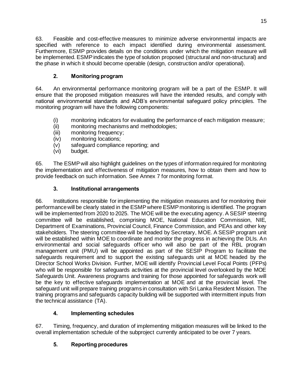63. Feasible and cost-effective measures to minimize adverse environmental impacts are specified with reference to each impact identified during environmental assessment. Furthermore, ESMP provides details on the conditions under which the mitigation measure will be implemented. ESMPindicates the type of solution proposed (structural and non-structural) and the phase in which it should become operable (design, construction and/or operational).

# **2. Monitoring program**

64. An environmental performance monitoring program will be a part of the ESMP. It will ensure that the proposed mitigation measures will have the intended results, and comply with national environmental standards and ADB's environmental safeguard policy principles. The monitoring program will have the following components:

- (i) monitoring indicators for evaluating the performance of each mitigation measure;
- (ii) monitoring mechanisms and methodologies;
- (iii) monitoring frequency;
- (iv) monitoring locations;
- (v) safeguard compliance reporting; and
- (vi) budget.

65. The ESMPwill also highlight guidelines on the types of information required for monitoring the implementation and effectiveness of mitigation measures, how to obtain them and how to provide feedback on such information. See Annex 7 for monitoring format.

# **3. Institutional arrangements**

66. Institutions responsible for implementing the mitigation measures and for monitoring their performance will be clearly stated in the ESMPwhere ESMP monitoring is identified. The program will be implemented from 2020 to 2025. The MOE will be the executing agency. A SESIP steering committee will be established, comprising MOE, National Education Commission, NIE, Department of Examinations, Provincial Council, Finance Commission, and PEAs and other key stakeholders. The steering committee will be headed by Secretary, MOE. A SESIP program unit will be established within MOE to coordinate and monitor the progress in achieving the DLIs. An environmental and social safeguards officer who will also be part of the RBL program management unit (PMU) will be appointed as part of the SESIP Program to facilitate the safeguards requirement and to support the existing safeguards unit at MOE headed by the Director School Works Division. Further, MOE will identify Provincial Level Focal Points (PFPs) who will be responsible for safeguards activities at the provincial level overlooked by the MOE Safeguards Unit. Awareness programs and training for those appointed for safeguards work will be the key to effective safeguards implementation at MOE and at the provincial level. The safeguard unit will prepare training programs in consultation with Sri Lanka Resident Mission. The training programs and safeguards capacity building will be supported with intermittent inputs from the technical assistance (TA).

# **4. Implementing schedules**

67. Timing, frequency, and duration of implementing mitigation measures will be linked to the overall implementation schedule of the subproject currently anticipated to be over 7 years.

# **5. Reporting procedures**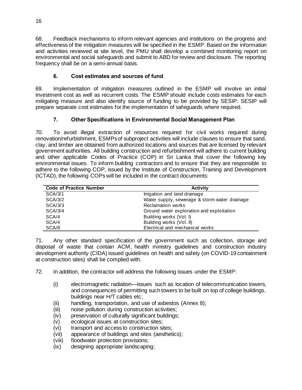68. Feedback mechanisms to inform relevant agencies and institutions on the progress and effectiveness of the mitigation measures will be specified in the ESMP. Based on the information and activities reviewed at site level, the PMU shall develop a combined monitoring report on environmental and social safeguards and submit to ABD for review and disclosure. The reporting frequency shall be on a semi-annual basis.

# **6. Cost estimates and sources of fund**

69. Implementation of mitigation measures outlined in the ESMP will involve an initial investment cost as well as recurrent costs. The ESMP should include costs estimates for each mitigating measure and also identify source of funding to be provided by SESIP. SESIP will prepare separate cost estimates for the implementation of safeguards where required.

# **7. Other Specifications in Environmental Social Management Plan**

70. To avoid illegal extraction of resources required for civil works required during renovation/refurbishment, ESMPs of subproject activities will include clauses to ensure that sand, clay, and timber are obtained from authorized locations and sources that are licensed by relevant government authorities. All building construction and refurbishment will adhere to current building and other applicable Codes of Practice (COP) in Sri Lanka that cover the following key environmental issues. To inform building contractors and to ensure that they are responsible to adhere to the following COP, issued by the Institute of Construction, Training and Development (ICTAD), the following COPs will be included in the contract documents:

| <b>Code of Practice Number</b> | <b>Activity</b>                               |
|--------------------------------|-----------------------------------------------|
| SCA/3/1                        | Irrigation and land drainage                  |
| SCA/3/2                        | Water supply, sewerage & storm water drainage |
| SCA/3/3                        | <b>Reclamation works</b>                      |
| SCA/3/4                        | Ground water exploration and exploitation     |
| SCA/4                          | Building works (Vol. I)                       |
| SCA/4                          | Building works (Vol. II)                      |
| SCA/8                          | Electrical and mechanical works               |

71. Any other standard specification of the government such as collection, storage and disposal of waste that contain ACM, health ministry guidelines and construction industry development authority (CIDA) issued guidelines on health and safety (on COVID-19 containment at construction sites) shall be complied with.

- 72. In addition, the contractor will address the following issues under the ESMP:
	- (i) electromagnetic radiation—issues such as location of telecommunication towers, and consequences of permitting such towers to be built on top of college buildings, buildings near H/T cables etc;
	- (ii) handling, transportation, and use of asbestos (Annex 8);
	- (iii) noise pollution during construction activities;
	- (iv) preservation of culturally significant buildings;
	- (v) ecological issues at construction sites;
	- (vi) transport and access to construction sites;
	- (vii) appearance of buildings and sites (aesthetics);
	- (viii) floodwater protection provisions;
	- (ix) designing appropriate landscaping;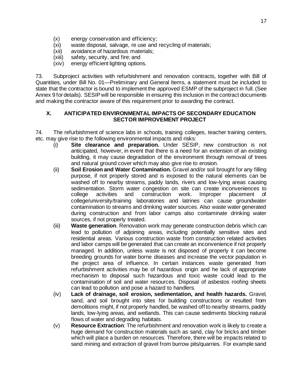- (x) energy conservation and efficiency;
- (xi) waste disposal, salvage, re use and recycling of materials;
- (xii) avoidance of hazardous materials;
- (xiii) safety, security, and fire; and
- (xiv) energy efficient lighting options.

73. Subproject activities with refurbishment and renovation contracts, together with Bill of Quantities, under Bill No. 01—Preliminary and General Items, a statement must be included to state that the contractor is bound to implement the approved ESMP of the subproject in full. (See Annex 9 for details). SESIPwill be responsible in ensuring this inclusion in the contract documents and making the contractor aware of this requirement prior to awarding the contract.

#### <span id="page-22-0"></span>**X. ANTICIPATED ENVIRONMENTAL IMPACTS OF SECONDARY EDUCATION SECTOR IMPROVEMENT PROJECT**

74. The refurbishment of science labs in schools, training colleges, teacher training centers, etc. may give rise to the following environmental impacts and risks:

- (i) **Site clearance and preparation.** Under SESIP, new construction is not anticipated, however, in event that there is a need for an extension of an existing building, it may cause degradation of the environment through removal of trees and natural ground cover which may also give rise to erosion.
- (ii) **Soil Erosion and Water Contamination.** Gravel and/or soil brought for any filling purpose, if not properly stored and is exposed to the natural elements can be washed off to nearby streams, paddy lands, rivers and low-lying areas causing sedimentation. Storm water congestion on site can create inconveniences to college activities and construction work. Improper placement of college/university/training laboratories and latrines can cause groundwater contamination to streams and drinking water sources. Also waste water generated during construction and from labor camps also contaminate drinking water sources, if not properly treated.
- (iii) **Waste generation**. Renovation work may generate construction debris which can lead to pollution of adjoining areas, including potentially sensitive sites and residential areas. Various construction waste from construction related activities and labor camps will be generated that can create an inconvenience if not properly managed. In addition, unless waste is not disposed of properly it can become breeding grounds for water borne diseases and increase the vector population in the project area of influence. In certain instances waste generated from refurbishment activities may be of hazardous origin and he lack of appropriate mechanism to disposal such hazardous and toxic waste could lead to the contamination of soil and water resources. Disposal of asbestos roofing sheets can lead to pollution and pose a hazard to handlers.
- (iv) **Lack of drainage, soil erosion, sedimentation, and health hazards.** Gravel, sand, and soil brought into sites for building constructions or resulted from demolitions might, if not properly handled, be washed off to nearby streams, paddy lands, low-lying areas, and wetlands. This can cause sediments blocking natural flows of water and degrading habitats.
- (v) **Resource Extraction**: The refurbishment and renovation work is likely to create a huge demand for construction materials such as sand, clay for bricks and timber which will place a burden on resources. Therefore, there will be impacts related to sand mining and extraction of gravel from burrow pits/quarries. For example sand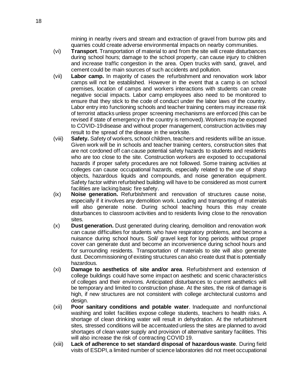mining in nearby rivers and stream and extraction of gravel from burrow pits and quarries could create adverse environmental impacts on nearby communities.

- (vi) **Transport**. Transportation of material to and from the site will create disturbances during school hours; damage to the school property, can cause injury to children and increase traffic congestion in the area. Open trucks with sand, gravel, and cement could be main sources of such accidents and pollution.
- (vii) **Labor camp.** In majority of cases the refurbishment and renovation work labor camps will not be established. However in the event that a camp is on school premises, location of camps and workers interactions with students can create negative social impacts. Labor camp employees also need to be monitored to ensure that they stick to the code of conduct under the labor laws of the country. Labor entry into functioning schools and teacher training centers may increase risk of terrorist attacks unless proper screening mechanisms are enforced (this can be revised if state of emergency in the country is removed).Workers may be exposed to COVID-19 disease and without proper management, construction activities may result to the spread of the disease in the worksite.
- (viii) **Safety.** Safety of workers, school children, teachers and residents will be an issue. Given work will be in schools and teacher training centers, construction sites that are not cordoned off can cause potential safety hazards to students and residents who are too close to the site. Construction workers are exposed to occupational hazards if proper safety procedures are not followed. Some training activities at colleges can cause occupational hazards, especially related to the use of sharp objects, hazardous liquids and compounds, and noise generation equipment. Safety factor within refurbished building will have to be considered as most current facilities are lacking basic fire safety.
- (ix) **Noise generation.** Refurbishment and renovation of structures cause noise, especially if it involves any demolition work. Loading and transporting of materials will also generate noise. During school teaching hours this may create disturbances to classroom activities and to residents living close to the renovation sites.
- (x) **Dust generation.** Dust generated during clearing, demolition and renovation work can cause difficulties for students who have respiratory problems, and become a nuisance during school hours. Soil/ gravel kept for long periods without proper cover can generate dust and become an inconvenience during school hours and for surrounding residents. Transportation of materials to site will also generate dust. Decommissioning of existing structures can also create dust that is potentially hazardous.
- (xi) **Damage to aesthetics of site and/or area**. Refurbishment and extension of college buildings could have some impact on aesthetic and scenic characteristics of colleges and their environs. Anticipated disturbances to current aesthetics will be temporary and limited to construction phase. At the sites, the risk of damage is high, if new structures are not consistent with college architectural customs and design.
- (xii) **Poor sanitary conditions and potable water**. Inadequate and nonfunctional washing and toilet facilities expose college students, teachers to health risks. A shortage of clean drinking water will result in dehydration. At the refurbishment sites, stressed conditions will be accentuated unless the sites are planned to avoid shortages of clean water supply and provision of alternative sanitary facilities. This will also increase the risk of contracting COVID 19.
- (xiii) **Lack of adherence to set standard disposal of hazardous waste**. During field visits of ESDPI, a limited number of science laboratories did not meet occupational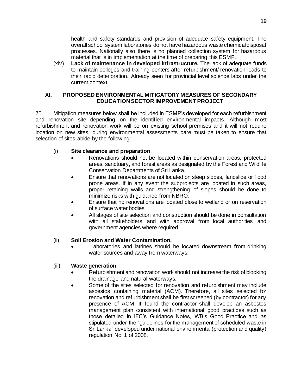health and safety standards and provision of adequate safety equipment. The overall school system laboratories do not have hazardous waste chemical disposal processes. Nationally also there is no planned collection system for hazardous material that is in implementation at the time of preparing this ESMF.

(xiv) **Lack of maintenance in developed infrastructure.** The lack of adequate funds to maintain colleges and training centers after refurbishment/ renovation leads to their rapid deterioration. Already seen for provincial level science labs under the current context.

## <span id="page-24-0"></span>**XI. PROPOSED ENVIRONMENTAL MITIGATORY MEASURES OF SECONDARY EDUCATION SECTOR IMPROVEMENT PROJECT**

75. Mitigation measures below shall be included in ESMP's developed for each refurbishment and renovation site depending on the identified environmental impacts. Although most refurbishment and renovation work will be on existing school premises and it will not require location on new sites, during environmental assessments care must be taken to ensure that selection of sites abide by the following:

# (i) **Site clearance and preparation**.

- Renovations should not be located within conservation areas, protected areas, sanctuary, and forest areas as designated by the Forest and Wildlife Conservation Departments of Sri Lanka.
- Ensure that renovations are not located on steep slopes, landslide or flood prone areas. If in any event the subprojects are located in such areas, proper retaining walls and strengthening of slopes should be done to minimize risks with guidance from NBRO.
- Ensure that no renovations are located close to wetland or on reservation of surface water bodies.
- All stages of site selection and construction should be done in consultation with all stakeholders and with approval from local authorities and government agencies where required.

# (ii) **Soil Erosion and Water Contamination.**

Laboratories and latrines should be located downstream from drinking water sources and away from waterways.

# (iii) **Waste generation**.

- Refurbishment and renovation work should not increase the risk of blocking the drainage and natural waterways.
- Some of the sites selected for renovation and refurbishment may include asbestos containing material (ACM). Therefore, all sites selected for renovation and refurbishment shall be first screened (by contractor) for any presence of ACM. If found the contractor shall develop an asbestos management plan consistent with international good practices such as those detailed in IFC's Guidance Notes, WB's Good Practice and as stipulated under the "guidelines for the management of scheduled waste in Sri Lanka" developed under national environmental (protection and quality) regulation No. 1 of 2008.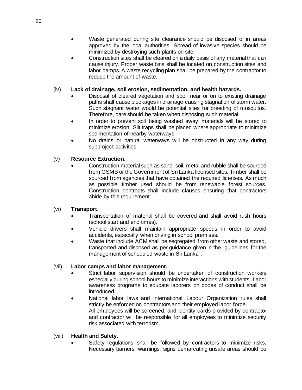- Waste generated during site clearance should be disposed of in areas approved by the local authorities. Spread of invasive species should be minimized by destroying such plants on site.
- Construction sites shall be cleared on a daily basis of any material that can cause injury. Proper waste bins shall be located on construction sites and labor camps. A waste recycling plan shall be prepared by the contractor to reduce the amount of waste.

# (iv) **Lack of drainage, soil erosion, sedimentation, and health hazards.**

- Disposal of cleared vegetation and spoil near or on to existing drainage paths shall cause blockages in drainage causing stagnation of storm water. Such stagnant water would be potential sites for breeding of mosquitos. Therefore, care should be taken when disposing such material.
- In order to prevent soil being washed away, materials will be stored to minimize erosion. Silt traps shall be placed where appropriate to minimize sedimentation of nearby waterways.
- No drains or natural waterways will be obstructed in any way during subproject activities.

# (v) **Resource Extraction**.

• Construction material such as sand, soil, metal and rubble shall be sourced from GSMB or the Government of Sri Lanka licensed sites. Timber shall be sourced from agencies that have obtained the required licenses. As much as possible timber used should be from renewable forest sources. Construction contracts shall include clauses ensuring that contractors abide by this requirement.

# (vi) **Transport**.

- Transportation of material shall be covered and shall avoid rush hours (school start and end times).
- Vehicle drivers shall maintain appropriate speeds in order to avoid accidents, especially when driving in school premises.
- Waste that include ACM shall be segregated from other waste and stored, transported and disposed as per guidance given in the "guidelines for the management of scheduled waste in Sri Lanka".

# (vii) **Labor camps and labor management.**

- Strict labor supervision should be undertaken of construction workers especially during school hours to minimize interactions with students. Labor awareness programs to educate laborers on codes of conduct shall be introduced.
- National labor laws and International Labour Organization rules shall strictly be enforced on contractors and their employed labor force. All employees will be screened, and identity cards provided by contractor and contractor will be responsible for all employees to minimize security risk associated with terrorism.

# (viii) **Health and Safety.**

Safety regulations shall be followed by contractors to minimize risks. Necessary barriers, warnings, signs demarcating unsafe areas should be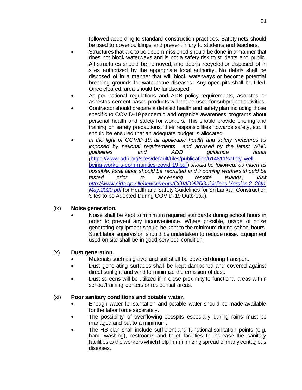followed according to standard construction practices. Safety nets should be used to cover buildings and prevent injury to students and teachers.

- Structures that are to be decommissioned should be done in a manner that does not block waterways and is not a safety risk to students and public. All structures should be removed, and debris recycled or disposed of in sites authorized by the appropriate local authority. No debris shall be disposed of in a manner that will block waterways or become potential breeding grounds for waterborne diseases. Any open pits shall be filled. Once cleared, area should be landscaped.
- As per national regulations and ADB policy requirements, asbestos or asbestos cement-based products will not be used for subproject activities.
- Contractor should prepare a detailed health and safety plan including those specific to COVID-19 pandemic and organize awareness programs about personal health and safety for workers. This should provide briefing and training on safety precautions, their responsibilities towards safety, etc. It should be ensured that an adequate budget is allocated.
- *In the light of COVID-19, all applicable health and safety measures as*  and advised by the latest WHO<br>3 *quidance problem guidelines and ADB guidance notes (*[https://www.adb.org/sites/default/files/publication/614811/safety-well](https://www.adb.org/sites/default/files/publication/614811/safety-well-being-workers-communities-covid-19.pdf)[being-workers-communities-covid-19.pdf\)](https://www.adb.org/sites/default/files/publication/614811/safety-well-being-workers-communities-covid-19.pdf) *should be followed; as much as possible, local labor should be recruited and incoming workers should be tested prior to accessing remote islands; Visit [http://www.cida.gov.lk/newsevents/COVID%20Guidelines.Version.2\\_26th](http://www.cida.gov.lk/newsevents/COVID%20Guidelines.Version.2_26thMay.2020.pdf) [May.2020.pdf](http://www.cida.gov.lk/newsevents/COVID%20Guidelines.Version.2_26thMay.2020.pdf)* for Health and Safety Guidelines for Sri Lankan Construction Sites to be Adopted During COVID-19 Outbreak).

# (ix) **Noise generation.**

• Noise shall be kept to minimum required standards during school hours in order to prevent any inconvenience. Where possible, usage of noise generating equipment should be kept to the minimum during school hours. Strict labor supervision should be undertaken to reduce noise. Equipment used on site shall be in good serviced condition.

#### (x) **Dust generation.**

- Materials such as gravel and soil shall be covered during transport.
- Dust generating surfaces shall be kept dampened and covered against direct sunlight and wind to minimize the emission of dust.
- Dust screens will be utilized if in close proximity to functional areas within school/training centers or residential areas.

#### (xi) **Poor sanitary conditions and potable water**.

- Enough water for sanitation and potable water should be made available for the labor force separately.
- The possibility of overflowing cesspits especially during rains must be managed and put to a minimum.
- The HS plan shall include sufficient and functional sanitation points (e.g. hand washing), restrooms and toilet facilities to increase the sanitary facilities to the workers which help in minimizing spread of many contagious diseases.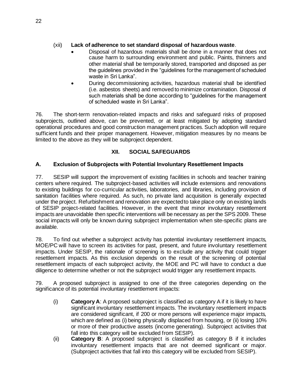# (xii) **Lack of adherence to set standard disposal of hazardous waste**.

- Disposal of hazardous materials shall be done in a manner that does not cause harm to surrounding environment and public. Paints, thinners and other material shall be temporarily stored, transported and disposed as per the guidelines provided in the "guidelines for the management of scheduled waste in Sri Lanka".
- During decommissioning activities, hazardous material shall be identified (i.e. asbestos sheets) and removed to minimize contamination. Disposal of such materials shall be done according to "guidelines for the management of scheduled waste in Sri Lanka".

76. The short-term renovation-related impacts and risks and safeguard risks of proposed subprojects, outlined above, can be prevented, or at least mitigated by adopting standard operational procedures and good construction management practices. Such adoption will require sufficient funds and their proper management. However, mitigation measures by no means be limited to the above as they will be subproject dependent.

# **XII. SOCIAL SAFEGUARDS**

# <span id="page-27-1"></span><span id="page-27-0"></span>**A. Exclusion of Subprojects with Potential Involuntary Resettlement Impacts**

77. SESIP will support the improvement of existing facilities in schools and teacher training centers where required. The subproject-based activities will include extensions and renovations to existing buildings for co-curricular activities, laboratories, and libraries, including provision of sanitation facilities where required. As such, no private land acquisition is generally expected under the project. Refurbishment and renovation are expected to take place only on existing lands of SESIP project-related facilities. However, in the event that minor involuntary resettlement impacts are unavoidable then specific interventions will be necessary as per the SPS 2009. These social impacts will only be known during subproject implementation when site-specific plans are available.

78. To find out whether a subproject activity has potential involuntary resettlement impacts, MOE/PC will have to screen its activities for past, present, and future involuntary resettlement impacts. Under SESIP, the rationale of screening is to exclude any activity that could trigger resettlement impacts. As this exclusion depends on the result of the screening of potential resettlement impacts of each subproject activity, the MOE and PC will have to conduct a due diligence to determine whether or not the subproject would trigger any resettlement impacts.

79. A proposed subproject is assigned to one of the three categories depending on the significance of its potential involuntary resettlement impacts:

- (i) **Category A**: A proposed subproject is classified as category A if it is likely to have significant involuntary resettlement impacts. The involuntary resettlement impacts are considered significant, if 200 or more persons will experience major impacts, which are defined as (i) being physically displaced from housing, or (ii) losing 10% or more of their productive assets (income generating). Subproject activities that fall into this category will be excluded from SESIP).
- (ii) **Category B**: A proposed subproject is classified as category B if it includes involuntary resettlement impacts that are not deemed significant or major. (Subproject activities that fall into this category will be excluded from SESIP).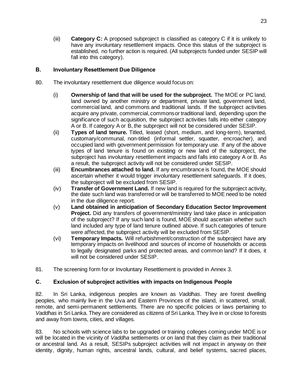(iii) **Category C:** A proposed subproject is classified as category C if it is unlikely to have any involuntary resettlement impacts. Once this status of the subproject is established, no further action is required. (All subprojects funded under SESIP will fall into this category).

## <span id="page-28-0"></span>**B. Involuntary Resettlement Due Diligence**

- 80. The involuntary resettlement due diligence would focus on:
	- (i) **Ownership of land that will be used for the subproject.** The MOE or PC land, land owned by another ministry or department, private land, government land, commercial land, and commons and traditional lands. If the subproject activities acquire any private, commercial, commons or traditional land, depending upon the significance of such acquisition, the subproject activities falls into either category A or B. If category A or B, the subproject will not be considered under SESIP.
	- (ii) **Types of land tenure.** Titled, leased (short, medium, and long-term), tenanted, customary/communal, non-titled (informal settler, squatter, encroacher), and occupied land with government permission for temporary use. If any of the above types of land tenure is found on existing or new land of the subproject, the subproject has involuntary resettlement impacts and falls into category A or B. As a result, the subproject activity will not be considered under SESIP.
	- (iii) **Encumbrances attached to land.** If any encumbrance is found, the MOE should ascertain whether it would trigger involuntary resettlement safeguards. If it does, the subproject will be excluded from SESIP.
	- (iv) **Transfer of Government Land.** If new land is required for the subproject activity, the date such land was transferred or will be transferred to MOE need to be noted in the due diligence report.
	- (v) **Land obtained in anticipation of Secondary Education Sector Improvement Project.** Did any transfers of government/ministry land take place in anticipation of the subproject? If any such land is found, MOE should ascertain whether such land included any type of land tenure outlined above. If such categories of tenure were affected, the subproject activity will be excluded from SESIP.
	- (vi) **Temporary Impacts.** Will refurbishment/construction of the subproject have any temporary impacts on livelihood and sources of income of households or access to legally designated parks and protected areas, and common land? If it does, it will not be considered under SESIP.
- 81. The screening form for or Involuntary Resettlement is provided in Annex 3.

# <span id="page-28-1"></span>**C. Exclusion of subproject activities with impacts on Indigenous People**

82. In Sri Lanka, indigenous peoples are known as *Vaddhas.* They are forest dwelling peoples, who mainly live in the Uva and Eastern Provinces of the island, in scattered, small, remote, and semi-permanent settlements. There are no specific policies or laws pertaining to *Vaddhas* in Sri Lanka. They are considered as citizens of Sri Lanka. They live in or close to forests and away from towns, cities, and villages.

83. No schools with science labs to be upgraded or training colleges coming under MOE is or will be located in the vicinity of *Vaddha* settlements or on land that they claim as their traditional or ancestral land. As a result, SESIPs subproject activities will not impact in anyway on their identity, dignity, human rights, ancestral lands, cultural, and belief systems, sacred places,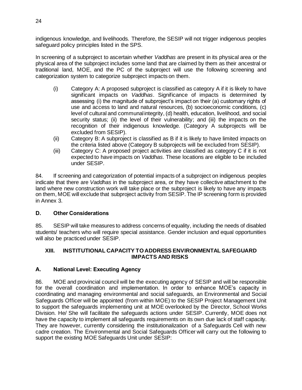indigenous knowledge, and livelihoods. Therefore, the SESIP will not trigger indigenous peoples safeguard policy principles listed in the SPS.

In screening of a subproject to ascertain whether *Vaddhas* are present in its physical area or the physical area of the subproject includes some land that are claimed by them as their ancestral or traditional land, MOE, and the PC of the subproject will use the following screening and categorization system to categorize subproject impacts on them.

- (i) Category A: A proposed subproject is classified as category A if it is likely to have significant impacts on *Vaddhas*. Significance of impacts is determined by assessing (i) the magnitude of subproject's impact on their (a) customary rights of use and access to land and natural resources, (b) socioeconomic conditions, (c) level of cultural and communal integrity, (d) health, education, livelihood, and social security status; (ii) the level of their vulnerability; and (iii) the impacts on the recognition of their indigenous knowledge. (Category A subprojects will be excluded from SESIP).
- (ii) Category B: A subproject is classified as B if it is likely to have limited impacts on the criteria listed above (Category B subprojects will be excluded from SESIP).
- (iii) Category C: A proposed project activities are classified as category C if it is not expected to have impacts on *Vaddhas.* These locations are eligible to be included under SESIP.

84. If screening and categorization of potential impacts of a subproject on indigenous peoples indicate that there are *Vaddhas* in the subproject area, or they have collective attachment to the land where new construction work will take place or the subproject is likely to have any impacts on them, MOE will exclude that subproject activity from SESIP. The IP screening form is provided in Annex 3.

# <span id="page-29-0"></span>**D. Other Considerations**

85. SESIP will take measures to address concerns of equality, including the needs of disabled students/ teachers who will require special assistance. Gender inclusion and equal opportunities will also be practiced under SESIP.

## <span id="page-29-1"></span>**XIII. INSTITUTIONAL CAPACITY TO ADDRESS ENVIRONMENTAL SAFEGUARD IMPACTS AND RISKS**

# <span id="page-29-2"></span>**A. National Level: Executing Agency**

86. MOE and provincial council will be the executing agency of SESIP and will be responsible for the overall coordination and implementation. In order to enhance MOE's capacity in coordinating and managing environmental and social safeguards, an Environmental and Social Safeguards Officer will be appointed (from within MOE) to the SESIP Project Management Unit to support the safeguards implementing unit at MOE overlooked by the Director, School Works Division. He/ She will facilitate the safeguards actions under SESIP. Currently, MOE does not have the capacity to implement all safeguards requirements on its own due lack of staff capacity. They are however, currently considering the institutionalization of a Safeguards Cell with new cadre creation. The Environmental and Social Safeguards Officer will carry out the following to support the existing MOE Safeguards Unit under SESIP: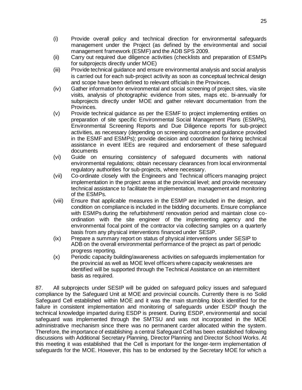- (i) Provide overall policy and technical direction for environmental safeguards management under the Project (as defined by the environmental and social management framework (ESMF) and the ADB SPS 2009.
- (ii) Carry out required due diligence activities (checklists and preparation of ESMPs for subprojects directly under MOE)
- (iii) Provide technical guidance and ensure environmental analysis and social analysis is carried out for each sub-project activity as soon as conceptual technical design and scope have been defined to relevant officials in the Provinces.
- (iv) Gather information for environmental and social screening of project sites, via site visits, analysis of photographic evidence from sites, maps etc. bi-annually for subprojects directly under MOE and gather relevant documentation from the Provinces.
- (v) Provide technical guidance as per the ESMF to project implementing entities on preparation of site specific Environmental Social Management Plans (ESMPs), Environmental Screening Reports and Due Diligence reports for sub-project activities, as necessary (depending on screening outcome and guidance provided in the ESMF and ESMPs); provide decision and coordination for hiring technical assistance in event IEEs are required and endorsement of these safeguard documents
- (vi) Guide on ensuring consistency of safeguard documents with national environmental regulations; obtain necessary clearances from local environmental regulatory authorities for sub-projects, where necessary.
- (vii) Co-ordinate closely with the Engineers and Technical officers managing project implementation in the project areas at the provincial level; and provide necessary technical assistance to facilitate the implementation, management and monitoring of the ESMPs.
- (viii) Ensure that applicable measures in the ESMP are included in the design, and condition on compliance is included in the bidding documents. Ensure compliance with ESMPs during the refurbishment/ renovation period and maintain close coordination with the site engineer of the implementing agency and the environmental focal point of the contractor via collecting samples on a quarterly basis from any physical interventions financed under SESIP.
- (ix) Prepare a summary report on status of physical interventions under SESIP to ADB on the overall environmental performance of the project as part of periodic progress reporting.
- (x) Periodic capacity building/awareness activities on safeguards implementation for the provincial as well as MOE level officers where capacity weaknesses are identified will be supported through the Technical Assistance on an intermittent basis as required.

87. All subprojects under SESIP will be guided on safeguard policy issues and safeguard compliance by the Safeguard Unit at MOE and provincial councils. Currently there is no Solid Safeguard Cell established within MOE and it was the main stumbling block identified for the failure in consistent implementation and monitoring of safeguards under ESDP though the technical knowledge imparted during ESDP is present. During ESDP, environmental and social safeguard was implemented through the SMTSU and was not incorporated in the MOE administrative mechanism since there was no permanent carder allocated within the system. Therefore, the importance of establishing a central Safeguard Cell has been established following discussions with Additional Secretary Planning, Director Planning and Director School Works. At this meeting it was established that the Cell is important for the longer-term implementation of safeguards for the MOE. However, this has to be endorsed by the Secretary MOE for which a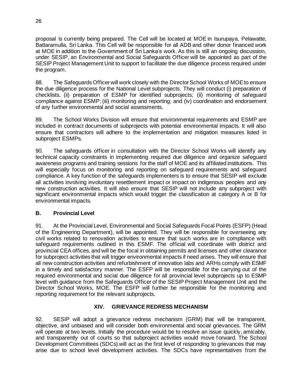proposal is currently being prepared. The Cell will be located at MOE in Isurupaya, Pelawatte, Battaramulla, Sri Lanka. This Cell will be responsible for all ADB and other donor financed work at MOE in addition to the Government of Sri Lanka's work. As this is still an ongoing discussion, under SESIP, an Environmental and Social Safeguards Officer will be appointed as part of the SESIP Project Management Unit to support to facilitate the due diligence process required under the program.

88. The Safeguards Officer will work closely with the Director School Works of MOE to ensure the due diligence process for the National Level subprojects. They will conduct (i) preparation of checklists, (ii) preparation of ESMP for identified subprojects; (ii) monitoring of safeguard compliance against ESMP; (iii) monitoring and reporting; and (iv) coordination and endorsement of any further environmental and social assessments.

89. The School Works Division will ensure that environmental requirements and ESMP are included in contract documents of subprojects with potential environmental impacts. It will also ensure that contractors will adhere to the implementation and mitigation measures listed in subproject ESMPs.

90. The safeguards officer in consultation with the Director School Works will identify any technical capacity constraints in implementing required due diligence and organize safeguard awareness programs and training sessions for the staff of MOE and its affiliated institutions. This will especially focus on monitoring and reporting on safeguard requirements and safeguard compliance. A key function of the safeguards implementers is to ensure that SESIP will exclude all activities involving involuntary resettlement impact or impact on indigenous peoples and any new construction activities. It will also ensure that SESIP will not include any subproject with significant environmental impacts which would trigger the classification at category A or B for environmental impacts.

# <span id="page-31-0"></span>**B. Provincial Level**

91. At the Provincial Level, Environmental and Social Safeguards Focal Points (ESFP) (Head of the Engineering Department), will be appointed. They will be responsible for overseeing any civil works related to renovation activities to ensure that such works are in compliance with safeguard requirements outlined in this ESMF. The official will coordinate with district and provincial CEA offices, and will be the focal in obtaining permits and licenses and other clearance for subproject activities that will trigger environmental impacts if need arises. They will ensure that all new construction activities and refurbishment of innovation labs and ARHs comply with ESMF in a timely and satisfactory manner. The ESFP will be responsible for the carrying out of the required environmental and social due diligence for all provincial level subprojects up to ESMP level with guidance from the Safeguards Officer of the SESIP Project Management Unit and the Director School Works, MOE. The ESFP will further be responsible for the monitoring and reporting requirement for the relevant subprojects.

# **XIV. GRIEVANCE REDRESS MECHANISM**

<span id="page-31-1"></span>92. SESIP will adopt a grievance redress mechanism (GRM) that will be transparent, objective, and unbiased and will consider both environmental and social grievances. The GRM will operate at two levels. Initially the procedure would be to resolve an issue quickly, amicably, and transparently out of courts so that subproject activities would move forward. The School Development Committees (SDCs) will act as the first level of responding to grievances that may arise due to school level development activities. The SDCs have representatives from the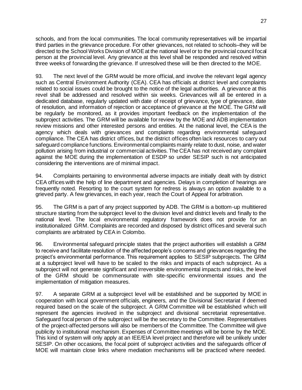schools, and from the local communities. The local community representatives will be impartial third parties in the grievance procedure. For other grievances, not related to schools–they will be directed to the School Works Division of MOE at the national level or to the provincial council focal person at the provincial level. Any grievance at this level shall be responded and resolved within three weeks of forwarding the grievance. If unresolved these will be then directed to the MOE.

93. The next level of the GRM would be more official, and involve the relevant legal agency such as Central Environment Authority (CEA). CEA has officials at district level and complaints related to social issues could be brought to the notice of the legal authorities. A grievance at this revel shall be addressed and resolved within six weeks. Grievances will all be entered in a dedicated database, regularly updated with date of receipt of grievance, type of grievance, date of resolution, and information of rejection or acceptance of grievance at the MOE. The GRM will be regularly be monitored, as it provides important feedback on the implementation of the subproject activities. The GRM will be available for review by the MOE and ADB implementation review missions and other interested persons and entities. At the national level, the CEA is the agency which deals with grievances and complaints regarding environmental safeguard compliance. The CEA has district offices, but the district offices often lack resources to carry out safeguard compliance functions. Environmental complaints mainly relate to dust, noise, and water pollution arising from industrial or commercial activities. The CEA has not received any complaint against the MOE during the implementation of ESDP so under SESIP such is not anticipated considering the interventions are of minimal impact.

94. Complaints pertaining to environmental adverse impacts are initially dealt with by district CEA offices with the help of line department and agencies. Delays in completion of hearings are frequently noted. Resorting to the court system for redress is always an option available to a grieved party. A few grievances, in each year, reach the Court of Appeal for arbitration.

95. The GRM is a part of any project supported by ADB. The GRM is a bottom-up multitiered structure starting from the subproject level to the division level and district levels and finally to the national level. The local environmental regulatory framework does not provide for an institutionalized GRM. Complaints are recorded and disposed by district offices and several such complaints are arbitrated by CEA in Colombo.

96. Environmental safeguard principle states that the project authorities will establish a GRM to receive and facilitate resolution of the affected people's concerns and grievances regarding the project's environmental performance. This requirement applies to SESIP subprojects. The GRM at a subproject level will have to be scaled to the risks and impacts of each subproject. As a subproject will not generate significant and irreversible environmental impacts and risks, the level of the GRM should be commensurate with site-specific environmental issues and the implementation of mitigation measures.

97. A separate GRM at a subproject level will be established and be supported by MOE in cooperation with local government officials, engineers, and the Divisional Secretariat if deemed required based on the scale of the subproject. A GRM Committee will be established which will represent the agencies involved in the subproject and divisional secretariat representative. Safeguard focal person of the subproject will be the secretary to the Committee. Representatives of the project-affected persons will also be members of the Committee. The Committee will give publicity to institutional mechanism. Expenses of Committee meetings will be borne by the MOE. This kind of system will only apply at an IEE/EIA level project and therefore will be unlikely under SESIP. On other occasions, the focal point of subproject activities and the safeguards officer of MOE will maintain close links where mediation mechanisms will be practiced where needed.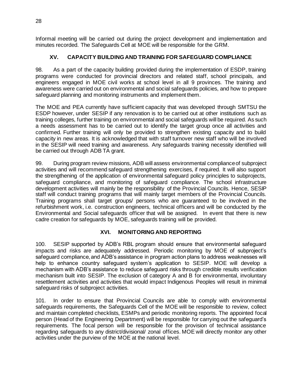Informal meeting will be carried out during the project development and implementation and minutes recorded. The Safeguards Cell at MOE will be responsible for the GRM.

# **XV. CAPACITY BUILDING AND TRAINING FOR SAFEGUARD COMPLIANCE**

<span id="page-33-0"></span>98. As a part of the capacity building provided during the implementation of ESDP, training programs were conducted for provincial directors and related staff, school principals, and engineers engaged in MOE civil works at school level in all 9 provinces. The training and awareness were carried out on environmental and social safeguards policies, and how to prepare safeguard planning and monitoring instruments and implement them.

The MOE and PEA currently have sufficient capacity that was developed through SMTSU the ESDP however, under SESIP if any renovation is to be carried out at other institutions such as training colleges, further training on environmental and social safeguards will be required. As such a needs assessment has to be carried out to identify the target group once all activities and confirmed. Further training will only be provided to strengthen existing capacity and to build capacity in new areas. It is acknowledged that with staff turnover new staff who will be involved in the SESIP will need training and awareness. Any safeguards training necessity identified will be carried out through ADB TA grant.

99. During program review missions, ADB will assess environmental compliance of subproject activities and will recommend safeguard strengthening exercises, if required. It will also support the strengthening of the application of environmental safeguard policy principles to subprojects, safeguard compliance, and monitoring of safeguard compliance. The school infrastructure development activities will mainly be the responsibility of the Provincial Councils. Hence, SESIP staff will conduct training programs that will mainly target members of the Provincial Councils. Training programs shall target groups/ persons who are guaranteed to be involved in the refurbishment work, i.e. construction engineers, technical officers and will be conducted by the Environmental and Social safeguards officer that will be assigned. In event that there is new cadre creation for safeguards by MOE, safeguards training will be provided.

# **XVI. MONITORING AND REPORTING**

<span id="page-33-1"></span>100. SESIP supported by ADB's RBL program should ensure that environmental safeguard impacts and risks are adequately addressed. Periodic monitoring by MOE of subproject's safeguard compliance, and ADB's assistance in program action plans to address weaknesses will help to enhance country safeguard system's application to SESIP. MOE will develop a mechanism with ADB's assistance to reduce safeguard risks through credible results verification mechanism built into SESIP. The exclusion of category A and B for environmental, involuntary resettlement activities and activities that would impact Indigenous Peoples will result in minimal safeguard risks of subproject activities.

101. In order to ensure that Provincial Councils are able to comply with environmental safeguards requirements, the Safeguards Cell of the MOE will be responsible to review, collect and maintain completed checklists, ESMPs and periodic monitoring reports. The appointed focal person (Head of the Engineering Department) will be responsible for carrying out the safeguard's requirements. The focal person will be responsible for the provision of technical assistance regarding safeguards to any district/divisional/ zonal offices. MOE will directly monitor any other activities under the purview of the MOE at the national level.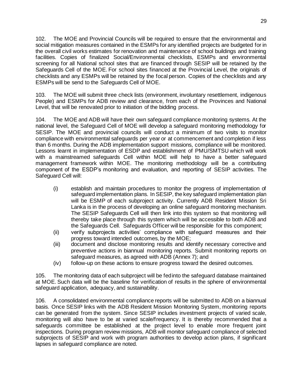102. The MOE and Provincial Councils will be required to ensure that the environmental and social mitigation measures contained in the ESMPs for any identified projects are budgeted for in the overall civil works estimates for renovation and maintenance of school buildings and training facilities. Copies of finalized Social/Environmental checklists, ESMPs and environmental screening for all National school sites that are financed through SESIP will be retained by the Safeguards Cell of the MOE. For school sites financed at the Provincial Level, the originals of checklists and any ESMPs will be retained by the focal person. Copies of the checklists and any ESMPs will be send to the Safeguards Cell of MOE.

103. The MOE will submit three check lists (environment, involuntary resettlement, indigenous People) and ESMPs for ADB review and clearance, from each of the Provinces and National Level, that will be renovated prior to initiation of the bidding process.

104. The MOE and ADB will have their own safeguard compliance monitoring systems. At the national level, the Safeguard Cell of MOE will develop a safeguard monitoring methodology for SESIP. The MOE and provincial councils will conduct a minimum of two visits to monitor compliance with environmental safeguards per year or at commencement and completion if less than 6 months. During the ADB implementation support missions, compliance will be monitored. Lessons learnt in implementation of ESDP and establishment of PMU/SMTSU which will work with a mainstreamed safeguards Cell within MOE will help to have a better safeguard management framework within MOE. The monitoring methodology will be a contributing component of the ESDP's monitoring and evaluation, and reporting of SESIP activities. The Safeguard Cell will:

- (i) establish and maintain procedures to monitor the progress of implementation of safeguard implementation plans. In SESIP, the key safeguard implementation plan will be ESMP of each subproject activity. Currently ADB Resident Mission Sri Lanka is in the process of developing an online safeguard monitoring mechanism. The SESIP Safeguards Cell will then link into this system so that monitoring will thereby take place through this system which will be accessible to both ADB and the Safeguards Cell. Safeguards Officer will be responsible for this component;
- (ii) verify subprojects activities' compliance with safeguard measures and their progress toward intended outcomes, by the MOE;
- (iii) document and disclose monitoring results and identify necessary corrective and preventive actions in biannual monitoring reports. Submit monitoring reports on safeguard measures, as agreed with ADB (Annex 7); and
- (iv) follow-up on these actions to ensure progress toward the desired outcomes.

105. The monitoring data of each subproject will be fed into the safeguard database maintained at MOE. Such data will be the baseline for verification of results in the sphere of environmental safeguard application, adequacy, and sustainability.

106. A consolidated environmental compliance reports will be submitted to ADB on a biannual basis. Once SESIP links with the ADB Resident Mission Monitoring System, monitoring reports can be generated from the system. Since SESIP includes investment projects of varied scale, monitoring will also have to be at varied scale/frequency. It is thereby recommended that a safeguards committee be established at the project level to enable more frequent joint inspections. During program review missions, ADB will monitor safeguard compliance of selected subprojects of SESIP and work with program authorities to develop action plans, if significant lapses in safeguard compliance are noted.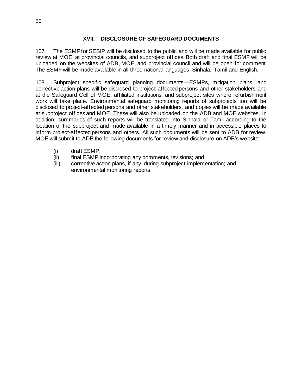#### **XVII. DISCLOSURE OF SAFEGUARD DOCUMENTS**

<span id="page-35-0"></span>107. The ESMF for SESIP will be disclosed to the public and will be made available for public review at MOE, at provincial councils, and subproject offices. Both draft and final ESMF will be uploaded on the websites of ADB, MOE, and provincial council and will be open for comment. The ESMF will be made available in all three national languages–Sinhala, Tamil and English.

108. Subproject specific safeguard planning documents—ESMPs, mitigation plans, and corrective action plans will be disclosed to project-affected persons and other stakeholders and at the Safeguard Cell of MOE, affiliated institutions, and subproject sites where refurbishment work will take place. Environmental safeguard monitoring reports of subprojects too will be disclosed to project-affected persons and other stakeholders, and copies will be made available at subproject offices and MOE. These will also be uploaded on the ADB and MOE websites. In addition, summaries of such reports will be translated into Sinhala or Tamil according to the location of the subproject and made available in a timely manner and in accessible places to inform project-affected persons and others. All such documents will be sent to ADB for review. MOE will submit to ADB the following documents for review and disclosure on ADB's website:

- (i) draft ESMP;
- (ii) final ESMP incorporating any comments, revisions; and
- (iii) corrective action plans, if any, during subproject implementation; and environmental monitoring reports.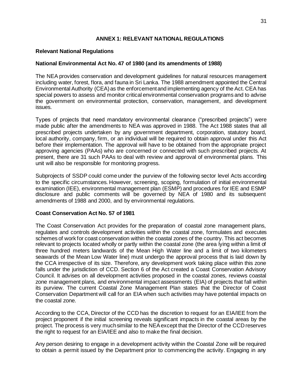## **ANNEX 1: RELEVANT NATIONAL REGULATIONS**

#### **Relevant National Regulations**

#### **National Environmental Act No. 47 of 1980 (and its amendments of 1988)**

The NEA provides conservation and development guidelines for natural resources management including water, forest, flora, and fauna in Sri Lanka. The 1988 amendment appointed the Central Environmental Authority (CEA) as the enforcement and implementing agency of the Act. CEA has special powers to assess and monitor critical environmental conservation programs and to advise the government on environmental protection, conservation, management, and development issues.

Types of projects that need mandatory environmental clearance ("prescribed projects") were made public after the amendments to NEA was approved in 1988. The Act 1988 states that all prescribed projects undertaken by any government department, corporation, statutory board, local authority, company, firm, or an individual will be required to obtain approval under this Act before their implementation. The approval will have to be obtained from the appropriate project approving agencies (PAAs) who are concerned or connected with such prescribed projects. At present, there are 31 such PAAs to deal with review and approval of environmental plans. This unit will also be responsible for monitoring progress.

Subprojects of SSDP could come under the purview of the following sector level Acts according to the specific circumstances. However, screening, scoping, formulation of initial environmental examination (IEE), environmental management plan (ESMP) and procedures for IEE and ESMP disclosure and public comments will be governed by NEA of 1980 and its subsequent amendments of 1988 and 2000, and by environmental regulations.

#### **Coast Conservation Act No. 57 of 1981**

The Coast Conservation Act provides for the preparation of coastal zone management plans, regulates and controls development activities within the coastal zone, formulates and executes schemes of work for coast conservation within the coastal zones of the country. This act becomes relevant to projects located wholly or partly within the coastal zone (the area lying within a limit of three hundred meters landwards of the Mean High Water line and a limit of two kilometers seawards of the Mean Low Water line) must undergo the approval process that is laid down by the CCA irrespective of its size. Therefore, any development work taking place within this zone falls under the jurisdiction of CCD. Section 6 of the Act created a Coast Conservation Advisory Council. It advises on all development activities proposed in the coastal zones, reviews coastal zone management plans, and environmental impact assessments (EIA) of projects that fall within its purview. The current Coastal Zone Management Plan states that the Director of Coast Conservation Department will call for an EIA when such activities may have potential impacts on the coastal zone.

According to the CCA, Director of the CCD has the discretion to request for an EIA/IEE from the project proponent if the initial screening reveals significant impacts in the coastal areas by the project. The process is very much similar to the NEA except that the Director of the CCD reserves the right to request for an EIA/IEE and also to make the final decision.

Any person desiring to engage in a development activity within the Coastal Zone will be required to obtain a permit issued by the Department prior to commencing the activity. Engaging in any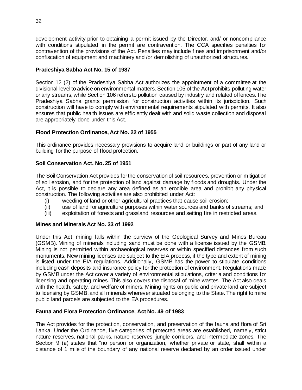development activity prior to obtaining a permit issued by the Director, and/ or noncompliance with conditions stipulated in the permit are contravention. The CCA specifies penalties for contravention of the provisions of the Act. Penalties may include fines and imprisonment and/or confiscation of equipment and machinery and /or demolishing of unauthorized structures.

## **Pradeshiya Sabha Act No. 15 of 1987**

Section 12 (2) of the Pradeshiya Sabha Act authorizes the appointment of a committee at the divisional level to advice on environmental matters. Section 105 of the Act prohibits polluting water or any streams, while Section 106 refers to pollution caused by industry and related offences. The Pradeshiya Sabha grants permission for construction activities within its jurisdiction. Such construction will have to comply with environmental requirements stipulated with permits. It also ensures that public health issues are efficiently dealt with and solid waste collection and disposal are appropriately done under this Act.

## **Flood Protection Ordinance, Act No. 22 of 1955**

This ordinance provides necessary provisions to acquire land or buildings or part of any land or building for the purpose of flood protection.

## **Soil Conservation Act, No. 25 of 1951**

The Soil Conservation Act provides for the conservation of soil resources, prevention or mitigation of soil erosion, and for the protection of land against damage by floods and droughts. Under the Act, it is possible to declare any area defined as an erodible area and prohibit any physical construction. The following activities are also prohibited under Act:

- (i) weeding of land or other agricultural practices that cause soil erosion;
- (ii) use of land for agriculture purposes within water sources and banks of streams; and
- (iii) exploitation of forests and grassland resources and setting fire in restricted areas.

## **Mines and Minerals Act No. 33 of 1992**

Under this Act, mining falls within the purview of the Geological Survey and Mines Bureau (GSMB). Mining of minerals including sand must be done with a license issued by the GSMB. Mining is not permitted within archaeological reserves or within specified distances from such monuments. New mining licenses are subject to the EIA process, if the type and extent of mining is listed under the EIA regulations. Additionally, GSMB has the power to stipulate conditions including cash deposits and insurance policy for the protection of environment. Regulations made by GSMB under the Act cover a variety of environmental stipulations, criteria and conditions for licensing and operating mines. This also covers the disposal of mine wastes. The Act also deals with the health, safety, and welfare of miners. Mining rights on public and private land are subject to licensing by GSMB, and all minerals wherever situated belonging to the State. The right to mine public land parcels are subjected to the EA procedures.

## **Fauna and Flora Protection Ordinance, Act No. 49 of 1983**

The Act provides for the protection, conservation, and preservation of the fauna and flora of Sri Lanka. Under the Ordinance, five categories of protected areas are established, namely, strict nature reserves, national parks, nature reserves, jungle corridors, and intermediate zones. The Section 9 (a) states that "no person or organization, whether private or state, shall within a distance of 1 mile of the boundary of any national reserve declared by an order issued under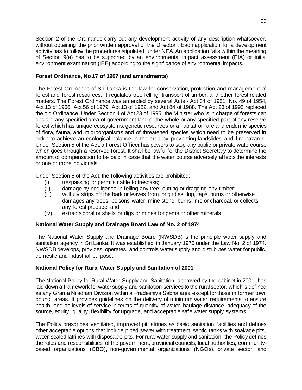Section 2 of the Ordinance carry out any development activity of any description whatsoever, without obtaining the prior written approval of the Director". Each application for a development activity has to follow the procedures stipulated under NEA. An application falls within the meaning of Section 9(a) has to be supported by an environmental impact assessment (EIA) or initial environment examination (IEE) according to the significance of environmental impacts.

## **Forest Ordinance, No 17 of 1907 (and amendments)**

The Forest Ordinance of Sri Lanka is the law for conservation, protection and management of forest and forest resources. It regulates tree felling, transport of timber, and other forest related matters. The Forest Ordinance was amended by several Acts - Act 34 of 1951, No. 49 of 1954, Act 13 of 1966, Act 56 of 1979, Act 13 of 1982, and Act 84 of 1988. The Act 23 of 1995 replaced the old Ordinance. Under Section 4 of Act 23 of 1995, the Minister who is in charge of forests can declare any specified area of government land or the whole or any specified part of any reserve forest which has unique ecosystems, genetic resources or a habitat or rare and endemic species of flora, fauna, and microorganisms and of threatened species which need to be preserved in order to achieve an ecological balance in the area by preventing landslides and fire hazards. Under Section 5 of the Act, a Forest Officer has powers to stop any public or private watercourse which goes through a reserved forest. It shall be lawful for the District Secretary to determine the amount of compensation to be paid in case that the water course adversely affects the interests or one or more individuals.

Under Section 6 of the Act, the following activities are prohibited:

- (i) trespassing or permits cattle to trespass;
- (ii) damage by negligence in felling any tree, cutting or dragging any timber;
- (iii) willfully strips off the bark or leaves from, or girdles, lop, taps, burns or otherwise damages any trees; poisons water; mine stone, burns lime or charcoal, or collects any forest produce; and
- (iv) extracts coral or shells or digs or mines for gems or other minerals.

## **National Water Supply and Drainage Board Law of No. 2 of 1974**

The National Water Supply and Drainage Board (NWSDB) is the principle water supply and sanitation agency in Sri Lanka. It was established in January 1975 under the Law No. 2 of 1974. NWSDB develops, provides, operates, and controls water supply and distributes water for public, domestic and industrial purpose.

## **National Policy for Rural Water Supply and Sanitation of 2001**

The National Policy for Rural Water Supply and Sanitation, approved by the cabinet in 2001, has laid down a framework for water supply and sanitation services to the rural sector, which is defined as any Grama Niladhari Division within a Pradeshiya Sabha area except for those in former town council areas. It provides guidelines on the delivery of minimum water requirements to ensure health, and on levels of service in terms of quantity of water, haulage distance, adequacy of the source, equity, quality, flexibility for upgrade, and acceptable safe water supply systems.

The Policy prescribes ventilated, improved pit latrines as basic sanitation facilities and defines other acceptable options that include piped sewer with treatment, septic tanks with soakage pits, water-sealed latrines with disposable pits. For rural water supply and sanitation, the Policy defines the roles and responsibilities of the government, provincial councils, local authorities, communitybased organizations (CBO), non-governmental organizations (NGOs), private sector, and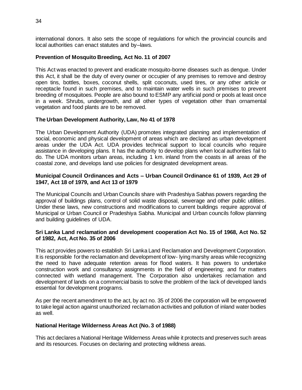international donors. It also sets the scope of regulations for which the provincial councils and local authorities can enact statutes and by–laws.

#### **Prevention of Mosquito Breeding, Act No. 11 of 2007**

This Act was enacted to prevent and eradicate mosquito-borne diseases such as dengue. Under this Act, it shall be the duty of every owner or occupier of any premises to remove and destroy open tins, bottles, boxes, coconut shells, split coconuts, used tires, or any other article or receptacle found in such premises, and to maintain water wells in such premises to prevent breeding of mosquitoes. People are also bound to ESMP any artificial pond or pools at least once in a week. Shrubs, undergrowth, and all other types of vegetation other than ornamental vegetation and food plants are to be removed.

#### **The Urban Development Authority, Law, No 41 of 1978**

The Urban Development Authority (UDA) promotes integrated planning and implementation of social, economic and physical development of areas which are declared as urban development areas under the UDA Act. UDA provides technical support to local councils who require assistance in developing plans. It has the authority to develop plans when local authorities fail to do. The UDA monitors urban areas, including 1 km. inland from the coasts in all areas of the coastal zone, and develops land use policies for designated development areas.

#### **Municipal Council Ordinances and Acts – Urban Council Ordinance 61 of 1939, Act 29 of 1947, Act 18 of 1979, and Act 13 of 1979**

The Municipal Councils and Urban Councils share with Pradeshiya Sabhas powers regarding the approval of buildings plans, control of solid waste disposal, sewerage and other public utilities. Under these laws, new constructions and modifications to current buildings require approval of Municipal or Urban Council or Pradeshiya Sabha. Municipal and Urban councils follow planning and building guidelines of UDA.

#### **Sri Lanka Land reclamation and development cooperation Act No. 15 of 1968, Act No. 52 of 1982, Act, Act No. 35 of 2006**

This act provides powers to establish Sri Lanka Land Reclamation and Development Corporation. It is responsible for the reclamation and development of low- lying marshy areas while recognizing the need to have adequate retention areas for flood waters. It has powers to undertake construction work and consultancy assignments in the field of engineering; and for matters connected with wetland management. The Corporation also undertakes reclamation and development of lands on a commercial basis to solve the problem of the lack of developed lands essential for development programs.

As per the recent amendment to the act, by act no. 35 of 2006 the corporation will be empowered to take legal action against unauthorized reclamation activities and pollution of inland water bodies as well.

#### **National Heritage Wilderness Areas Act (No. 3 of 1988)**

This act declares a National Heritage Wilderness Areas while it protects and preserves such areas and its resources. Focuses on declaring and protecting wildness areas.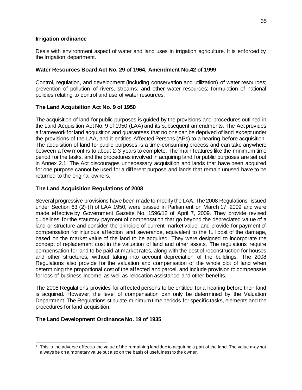#### **Irrigation ordinance**

Deals with environment aspect of water and land uses in irrigation agriculture. It is enforced by the Irrigation department.

## **Water Resources Board Act No. 29 of 1964, Amendment No.42 of 1999**

Control, regulation, and development (including conservation and utilization) of water resources; prevention of pollution of rivers, streams, and other water resources; formulation of national policies relating to control and use of water resources.

## **The Land Acquisition Act No. 9 of 1950**

The acquisition of land for public purposes is guided by the provisions and procedures outlined in the Land Acquisition Act No. 9 of 1950 (LAA) and its subsequent amendments. The Act provides a framework for land acquisition and guarantees that no one can be deprived of land except under the provisions of the LAA, and it entitles Affected Persons (APs) to a hearing before acquisition. The acquisition of land for public purposes is a time-consuming process and can take anywhere between a few months to about 2-3 years to complete. The main features like the minimum time period for the tasks, and the procedures involved in acquiring land for public purposes are set out in Annex 2.1. The Act discourages unnecessary acquisition and lands that have been acquired for one purpose cannot be used for a different purpose and lands that remain unused have to be returned to the original owners.

#### **The Land Acquisition Regulations of 2008**

Several progressive provisions have been made to modify the LAA. The 2008 Regulations, issued under Section 63 (2) (f) of LAA 1950, were passed in Parliament on March 17, 2009 and were made effective by Government Gazette No. 1596/12 of April 7, 2009. They provide revised guidelines for the statutory payment of compensation that go beyond the depreciated value of a land or structure and consider the principle of current market value, and provide for payment of compensation for injurious affection<sup>1</sup> and severance, equivalent to the full cost of the damage, based on the market value of the land to be acquired. They were designed to incorporate the concept of replacement cost in the valuation of land and other assets. The regulations require compensation for land to be paid at market rates, along with the cost of reconstruction for houses and other structures, without taking into account depreciation of the buildings. The 2008 Regulations also provide for the valuation and compensation of the whole plot of land when determining the proportional cost of the affected land parcel, and include provision to compensate for loss of business income, as well as relocation assistance and other benefits.

The 2008 Regulations provides for affected persons to be entitled for a hearing before their land is acquired. However, the level of compensation can only be determined by the Valuation Department. The Regulations stipulate minimum time periods for specific tasks, elements and the procedures for land acquisition.

## **The Land Development Ordinance No. 19 of 1935**

 $1$  This is the adverse effect to the value of the remaining land due to acquiring a part of the land. The value may not always be on a monetary value but also on the basis of usefulness to the owner.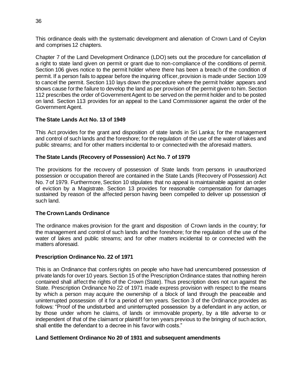This ordinance deals with the systematic development and alienation of Crown Land of Ceylon and comprises 12 chapters.

Chapter 7 of the Land Development Ordinance (LDO) sets out the procedure for cancellation of a right to state land given on permit or grant due to non-compliance of the conditions of permit. Section 106 gives notice to the permit holder where there has been a breach of the condition of permit. If a person fails to appear before the inquiring officer, provision is made under Section 109 to cancel the permit. Section 110 lays down the procedure where the permit holder appears and shows cause for the failure to develop the land as per provision of the permit given to him. Section 112 prescribes the order of Government Agent to be served on the permit holder and to be posted on land. Section 113 provides for an appeal to the Land Commissioner against the order of the Government Agent.

## **The State Lands Act No. 13 of 1949**

This Act provides for the grant and disposition of state lands in Sri Lanka; for the management and control of such lands and the foreshore; for the regulation of the use of the water of lakes and public streams; and for other matters incidental to or connected with the aforesaid matters.

## **The State Lands (Recovery of Possession) Act No. 7 of 1979**

The provisions for the recovery of possession of State lands from persons in unauthorized possession or occupation thereof are contained in the State Lands (Recovery of Possession) Act No. 7 of 1979. Furthermore, Section 10 stipulates that no appeal is maintainable against an order of eviction by a Magistrate. Section 13 provides for reasonable compensation for damages sustained by reason of the affected person having been compelled to deliver up possession of such land.

#### **The Crown Lands Ordinance**

The ordinance makes provision for the grant and disposition of Crown lands in the country; for the management and control of such lands and the foreshore; for the regulation of the use of the water of lakes and public streams; and for other matters incidental to or connected with the matters aforesaid.

#### **Prescription Ordinance No. 22 of 1971**

This is an Ordinance that confers rights on people who have had unencumbered possession of private lands for over 10 years. Section 15 of the Prescription Ordinance states that nothing herein contained shall affect the rights of the Crown (State). Thus prescription does not run against the State. Prescription Ordinance No 22 of 1971 made express provision with respect to the means by which a person may acquire the ownership of a block of land through the peaceable and uninterrupted possession of it for a period of ten years. Section 3 of the Ordinance provides as follows: "Proof of the undisturbed and uninterrupted possession by a defendant in any action, or by those under whom he claims, of lands or immovable property, by a title adverse to or independent of that of the claimant or plaintiff for ten years previous to the bringing of such action, shall entitle the defendant to a decree in his favor with costs."

#### **Land Settlement Ordinance No 20 of 1931 and subsequent amendments**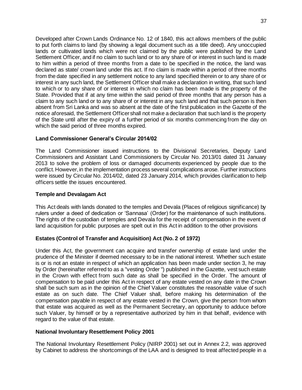Developed after Crown Lands Ordinance No. 12 of 1840, this act allows members of the public to put forth claims to land (by showing a legal document such as a title deed). Any unoccupied lands or cultivated lands which were not claimed by the public were published by the Land Settlement Officer, and if no claim to such land or to any share of or interest in such land is made to him within a period of three months from a date to be specified in the notice, the land was declared as state/ crown land under this act. If no claim is made within a period of three months from the date specified in any settlement notice to any land specified therein or to any share of or interest in any such land, the Settlement Officer shall make a declaration in writing, that such land to which or to any share of or interest in which no claim has been made is the property of the State. Provided that if at any time within the said period of three months that any person has a claim to any such land or to any share of or interest in any such land and that such person is then absent from Sri Lanka and was so absent at the date of the first publication in the Gazette of the notice aforesaid, the Settlement Officer shall not make a declaration that such land is the property of the State until after the expiry of a further period of six months commencing from the day on which the said period of three months expired.

## **Land Commissioner General's Circular 2014/02**

The Land Commissioner issued instructions to the Divisional Secretaries, Deputy Land Commissioners and Assistant Land Commissioners by Circular No. 2013/01 dated 31 January 2013 to solve the problem of loss or damaged documents experienced by people due to the conflict. However, in the implementation process several complications arose. Further instructions were issued by Circular No. 2014/02, dated 23 January 2014, which provides clarification to help officers settle the issues encountered.

## **Temple and Devalagam Act**

This Act deals with lands donated to the temples and Devala (Places of religious significance) by rulers under a deed of dedication or 'Sannasa' (Order) for the maintenance of such institutions. The rights of the custodian of temples and Devala for the receipt of compensation in the event of land acquisition for public purposes are spelt out in this Act in addition to the other provisions

## **Estates (Control of Transfer and Acquisition) Act (No. 2 of 1972)**

Under this Act, the government can acquire and transfer ownership of estate land under the prudence of the Minister if deemed necessary to be in the national interest. Whether such estate is or is not an estate in respect of which an application has been made under section 3, he may by Order (hereinafter referred to as a "vesting Order ") published in the Gazette, vest such estate in the Crown with effect from such date as shall be specified in the Order. The amount of compensation to be paid under this Act in respect of any estate vested on any date in the Crown shall be such sum as in the opinion of the Chief Valuer constitutes the reasonable value of such estate as on such date. The Chief Valuer shall, before making his determination of the compensation payable in respect of any estate vested in the Crown, give the person from whom that estate was acquired as well as the Permanent Secretary, an opportunity to adduce before such Valuer, by himself or by a representative authorized by him in that behalf, evidence with regard to the value of that estate.

## **National Involuntary Resettlement Policy 2001**

The National Involuntary Resettlement Policy (NIRP 2001) set out in Annex 2.2, was approved by Cabinet to address the shortcomings of the LAA and is designed to treat affected people in a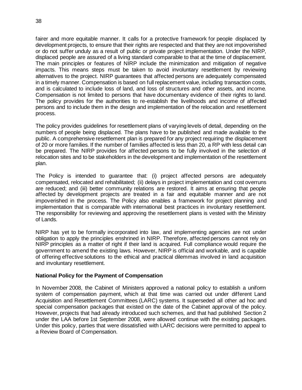fairer and more equitable manner. It calls for a protective framework for people displaced by development projects, to ensure that their rights are respected and that they are not impoverished or do not suffer unduly as a result of public or private project implementation. Under the NIRP, displaced people are assured of a living standard comparable to that at the time of displacement. The main principles or features of NIRP include the minimization and mitigation of negative impacts. This means steps must be taken to avoid involuntary resettlement by reviewing alternatives to the project. NIRP guarantees that affected persons are adequately compensated in a timely manner. Compensation is based on full replacement value, including transaction costs, and is calculated to include loss of land, and loss of structures and other assets, and income. Compensation is not limited to persons that have documentary evidence of their rights to land. The policy provides for the authorities to re-establish the livelihoods and income of affected persons and to include them in the design and implementation of the relocation and resettlement process.

The policy provides guidelines for resettlement plans of varying levels of detail, depending on the numbers of people being displaced. The plans have to be published and made available to the public. A comprehensive resettlement plan is prepared for any project requiring the displacement of 20 or more families. If the number of families affected is less than 20, a RP with less detail can be prepared. The NIRP provides for affected persons to be fully involved in the selection of relocation sites and to be stakeholders in the development and implementation of the resettlement plan.

The Policy is intended to guarantee that: (i) project affected persons are adequately compensated, relocated and rehabilitated; (ii) delays in project implementation and cost overruns are reduced; and (iii) better community relations are restored. It aims at ensuring that people affected by development projects are treated in a fair and equitable manner and are not impoverished in the process. The Policy also enables a framework for project planning and implementation that is comparable with international best practices in involuntary resettlement. The responsibility for reviewing and approving the resettlement plans is vested with the Ministry of Lands.

NIRP has yet to be formally incorporated into law, and implementing agencies are not under obligation to apply the principles enshrined in NIRP. Therefore, affected persons cannot rely on NIRP principles as a matter of right if their land is acquired. Full compliance would require the government to amend the existing laws. However, NIRP is official and workable, and is capable of offering effective solutions to the ethical and practical dilemmas involved in land acquisition and involuntary resettlement.

## **National Policy for the Payment of Compensation**

In November 2008, the Cabinet of Ministers approved a national policy to establish a uniform system of compensation payment, which at that time was carried out under different Land Acquisition and Resettlement Committees (LARC) systems. It superseded all other ad hoc and special compensation packages that existed on the date of the Cabinet approval of the policy. However, projects that had already introduced such schemes, and that had published Section 2 under the LAA before 1st September 2008, were allowed continue with the existing packages. Under this policy, parties that were dissatisfied with LARC decisions were permitted to appeal to a Review Board of Compensation.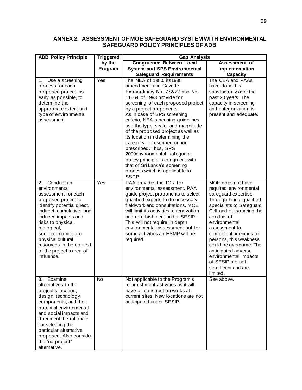## **ANNEX 2: ASSESSMENT OF MOE SAFEGUARD SYSTEM WITH ENVIRONMENTAL SAFEGUARD POLICY PRINCIPLES OF ADB**

| <b>ADB Policy Principle</b>                                                                                                                                                                                                                                                                                          | <b>Triggered</b> | <b>Gap Analysis</b>                                                                                                                                                                                                                                                                                                                                                                                                                                                                                                                                                               |                                                                                                                                                                                                                                                                                                                                                                                             |  |  |  |
|----------------------------------------------------------------------------------------------------------------------------------------------------------------------------------------------------------------------------------------------------------------------------------------------------------------------|------------------|-----------------------------------------------------------------------------------------------------------------------------------------------------------------------------------------------------------------------------------------------------------------------------------------------------------------------------------------------------------------------------------------------------------------------------------------------------------------------------------------------------------------------------------------------------------------------------------|---------------------------------------------------------------------------------------------------------------------------------------------------------------------------------------------------------------------------------------------------------------------------------------------------------------------------------------------------------------------------------------------|--|--|--|
|                                                                                                                                                                                                                                                                                                                      | by the           | <b>Congruence Between Local</b>                                                                                                                                                                                                                                                                                                                                                                                                                                                                                                                                                   | Assessment of                                                                                                                                                                                                                                                                                                                                                                               |  |  |  |
|                                                                                                                                                                                                                                                                                                                      | Program          | <b>System and SPS Environmental</b>                                                                                                                                                                                                                                                                                                                                                                                                                                                                                                                                               | Implementation                                                                                                                                                                                                                                                                                                                                                                              |  |  |  |
|                                                                                                                                                                                                                                                                                                                      |                  | <b>Safeguard Requirements</b>                                                                                                                                                                                                                                                                                                                                                                                                                                                                                                                                                     | <b>Capacity</b>                                                                                                                                                                                                                                                                                                                                                                             |  |  |  |
| 1. Use a screening<br>process for each<br>proposed project, as<br>early as possible, to<br>determine the<br>appropriate extent and<br>type of environmental<br>assessment                                                                                                                                            | Yes              | The NEA of 1980, its1988<br>amendment and Gazette<br>Extraordinary No. 772/22 and No.<br>11064 of 1993 provide for<br>screening of each proposed project<br>by a project proponents.<br>As in case of SPS screening<br>criteria, NEA screening guidelines<br>use the type, scale, and magnitude<br>of the proposed project as well as<br>its location in determining the<br>category-prescribed or non-<br>prescribed. Thus, SPS<br>2009environmental safeguard<br>policy principle is congruent with<br>that of Sri Lanka's screening<br>process which is applicable to<br>SSDP. | The CEA and PAAs<br>have done this<br>satisfactorily over the<br>past 20 years. The<br>capacity in screening<br>and categorization is<br>present and adequate.                                                                                                                                                                                                                              |  |  |  |
| 2. Conduct an<br>environmental<br>assessment for each<br>proposed project to<br>identify potential direct,<br>indirect, cumulative, and<br>induced impacts and<br>risks to physical,<br>biological,<br>socioeconomic, and<br>physical cultural<br>resources in the context<br>of the project's area of<br>influence. | Yes              | PAA provides the TOR for<br>environmental assessment. PAA<br>guide project proponents to select<br>qualified experts to do necessary<br>fieldwork and consultations. MOE<br>will limit its activities to renovation<br>and refurbishment under SESIP.<br>This will not require in depth<br>environmental assessment but for<br>some activities an ESMP will be<br>required.                                                                                                                                                                                                       | MOE does not have<br>required environmental<br>safeguard expertise.<br>Through hiring qualified<br>specialists to Safeguard<br>Cell and outsourcing the<br>conduct of<br>environmental<br>assessment to<br>competent agencies or<br>persons, this weakness<br>could be overcome. The<br>anticipated adverse<br>environmental impacts<br>of SESIP are not<br>significant and are<br>limited. |  |  |  |
| 3.<br>Examine<br>alternatives to the<br>project's location,<br>design, technology,<br>components, and their<br>potential environmental<br>and social impacts and<br>document the rationale<br>for selecting the<br>particular alternative<br>proposed. Also consider<br>the "no project"<br>alternative.             | No               | Not applicable to the Program's<br>refurbishment activities as it will<br>have all construction works at<br>current sites. New locations are not<br>anticipated under SESIP.                                                                                                                                                                                                                                                                                                                                                                                                      | See above.                                                                                                                                                                                                                                                                                                                                                                                  |  |  |  |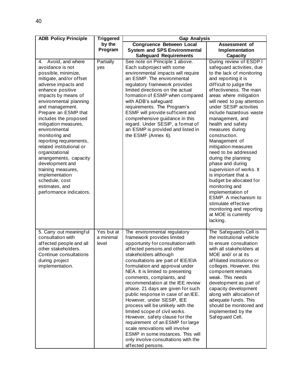| <b>ADB Policy Principle</b>                                                                                                                                                                                                                                                                                                                                                                                                                                                                                                                       | <b>Triggered</b>                 | <b>Gap Analysis</b>                                                                                                                                                                                                                                                                                                                                                                                                                                                                                                                                                                                                                                                                                                       |                                                                                                                                                                                                                                                                                                                                                                                                                                                                                                                                                                                                                                                                                                      |  |  |
|---------------------------------------------------------------------------------------------------------------------------------------------------------------------------------------------------------------------------------------------------------------------------------------------------------------------------------------------------------------------------------------------------------------------------------------------------------------------------------------------------------------------------------------------------|----------------------------------|---------------------------------------------------------------------------------------------------------------------------------------------------------------------------------------------------------------------------------------------------------------------------------------------------------------------------------------------------------------------------------------------------------------------------------------------------------------------------------------------------------------------------------------------------------------------------------------------------------------------------------------------------------------------------------------------------------------------------|------------------------------------------------------------------------------------------------------------------------------------------------------------------------------------------------------------------------------------------------------------------------------------------------------------------------------------------------------------------------------------------------------------------------------------------------------------------------------------------------------------------------------------------------------------------------------------------------------------------------------------------------------------------------------------------------------|--|--|
|                                                                                                                                                                                                                                                                                                                                                                                                                                                                                                                                                   | by the<br>Program                | <b>Congruence Between Local</b><br><b>System and SPS Environmental</b><br><b>Safeguard Requirements</b>                                                                                                                                                                                                                                                                                                                                                                                                                                                                                                                                                                                                                   | Assessment of<br>Implementation<br><b>Capacity</b>                                                                                                                                                                                                                                                                                                                                                                                                                                                                                                                                                                                                                                                   |  |  |
| 4. Avoid, and where<br>avoidance is not<br>possible, minimize,<br>mitigate, and/or offset<br>adverse impacts and<br>enhance positive<br>impacts by means of<br>environmental planning<br>and management.<br>Prepare an ESMP that<br>includes the proposed<br>mitigation measures,<br>environmental<br>monitoring and<br>reporting requirements,<br>related institutional or<br>organizational<br>arrangements, capacity<br>development and<br>training measures,<br>implementation<br>schedule, cost<br>estimates, and<br>performance indicators. | Partially<br>yes                 | See note on Principle 1 above.<br>Each subproject with some<br>environmental impacts will require<br>an ESMP. The environmental<br>regulatory framework provides<br>limited directions on the actual<br>formation of ESMP when compared<br>with ADB's safeguard<br>requirements. The Program's<br>ESMF will provide sufficient and<br>comprehensive guidance in this<br>regard. Under SESIP, a format of<br>an ESMP is provided and listed in<br>the ESMF (Annex 6).                                                                                                                                                                                                                                                      | During review of ESDP I<br>safeguard activities, due<br>to the lack of monitoring<br>and reporting it is<br>difficult to judge the<br>effectiveness. The main<br>areas where mitigation<br>will need to pay attention<br>under SESIP activities<br>include hazardous waste<br>management, and<br>health and safety<br>measures during<br>construction.<br>Management of<br>mitigation measures<br>need to be addressed<br>during the planning<br>phase and during<br>supervision of works. It<br>is important that a<br>budget be allocated for<br>monitoring and<br>implementation of<br>ESMP. A mechanism to<br>stimulate effective<br>monitoring and reporting<br>at MOE is currently<br>lacking. |  |  |
| 5. Carry out meaningful<br>consultation with<br>affected people and all<br>other stakeholders.<br>Continue consultations<br>during project<br>implementation.                                                                                                                                                                                                                                                                                                                                                                                     | Yes but at<br>a minimal<br>level | The environmental regulatory<br>framework provides limited<br>opportunity for consultation with<br>affected persons and other<br>stakeholders although<br>consultations are part of IEE/EIA<br>formulation and approval under<br>NEA. It is limited to presenting<br>comments, complaints, and<br>recommendation at the IEE review<br>phase. 21 days are given for such<br>public response in case of an IEE.<br>However, under SESIP, IEE<br>process will be unlikely with the<br>limited scope of civil works.<br>However, safety clause for the<br>requirement of an ESMP for large<br>scale renovations will involve<br>ESMP in some instances. This will<br>only involve consultations with the<br>affected persons. | The Safeguards Cell is<br>the institutional vehicle<br>to ensure consultation<br>with all stakeholders at<br>MOE and/ or at its<br>affiliated institutions or<br>colleges. However, this<br>component remains<br>weak. This needs<br>development as part of<br>capacity development<br>along with allocation of<br>adequate funds. This<br>should be monitored and<br>implemented by the<br>Safeguard Cell.                                                                                                                                                                                                                                                                                          |  |  |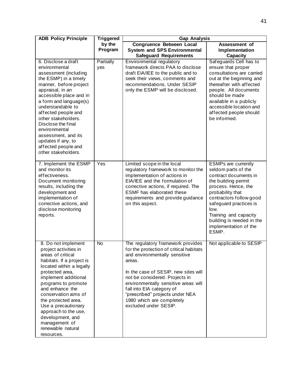| <b>ADB Policy Principle</b>                                                                                                                                                                                                                                                                                                                                                                    | <b>Triggered</b>  | <b>Gap Analysis</b>                                                                                                                                                                                                                                                                                                                                             |                                                                                                                                                                                                                                                                                                   |  |  |
|------------------------------------------------------------------------------------------------------------------------------------------------------------------------------------------------------------------------------------------------------------------------------------------------------------------------------------------------------------------------------------------------|-------------------|-----------------------------------------------------------------------------------------------------------------------------------------------------------------------------------------------------------------------------------------------------------------------------------------------------------------------------------------------------------------|---------------------------------------------------------------------------------------------------------------------------------------------------------------------------------------------------------------------------------------------------------------------------------------------------|--|--|
|                                                                                                                                                                                                                                                                                                                                                                                                | by the<br>Program | <b>Congruence Between Local</b><br><b>System and SPS Environmental</b><br><b>Safeguard Requirements</b>                                                                                                                                                                                                                                                         | Assessment of<br>Implementation<br><b>Capacity</b>                                                                                                                                                                                                                                                |  |  |
| 6. Disclose a draft<br>environmental<br>assessment (including<br>the ESMP) in a timely<br>manner, before project<br>appraisal, in an<br>accessible place and in<br>a form and language(s)<br>understandable to<br>affected people and<br>other stakeholders.<br>Disclose the final<br>environmental<br>assessment, and its<br>updates if any, to<br>affected people and<br>other stakeholders. | Partially<br>yes  | Environmental regulatory<br>framework directs PAA to disclose<br>draft EIA/IEE to the public and to<br>seek their views, comments and<br>recommendations. Under SESIP<br>only the ESMP will be disclosed.                                                                                                                                                       | Safeguards Cell has to<br>ensure that proper<br>consultations are carried<br>out at the beginning and<br>thereafter with affected<br>people. All documents<br>should be made<br>available in a publicly<br>accessible location and<br>affected people should<br>be informed.                      |  |  |
| 7. Implement the ESMP<br>and monitor its<br>effectiveness.<br>Document monitoring<br>results, including the<br>development and<br>implementation of<br>corrective actions, and<br>disclose monitoring<br>reports.                                                                                                                                                                              | Yes               | Limited scope in the local<br>regulatory framework to monitor the<br>implementation of actions in<br>EIA/IEE and the formulation of<br>corrective actions, if required. The<br><b>ESMF</b> has elaborated these<br>requirements and provide guidance<br>on this aspect.                                                                                         | <b>ESMPs are currently</b><br>seldom parts of the<br>contract documents in<br>the building permit<br>process. Hence, the<br>probability that<br>contractors follow good<br>safeguard practices is<br>low.<br>Training and capacity<br>building is needed in the<br>implementation of the<br>ESMP. |  |  |
| 8. Do not implement<br>project activities in<br>areas of critical<br>habitats. If a project is<br>located within a legally<br>protected area,<br>implement additional<br>programs to promote<br>and enhance the<br>conservation aims of<br>the protected area.<br>Use a precautionary<br>approach to the use,<br>development, and<br>management of<br>renewable natural<br>resources.          | $\overline{N}$    | The regulatory framework provides<br>for the protection of critical habitats<br>and environmentally sensitive<br>areas.<br>In the case of SESIP, new sites will<br>not be considered. Projects in<br>environmentally sensitive areas will<br>fall into EIA category of<br>"prescribed" projects under NEA<br>1980 which are completely<br>excluded under SESIP. | Not applicable to SESIP                                                                                                                                                                                                                                                                           |  |  |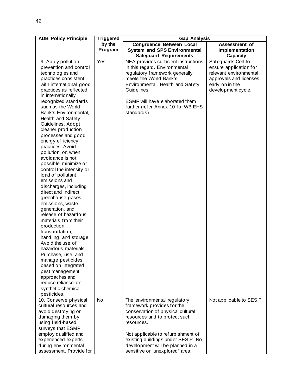| <b>ADB Policy Principle</b>                  | <b>Triggered</b>  | <b>Gap Analysis</b>                                                                                     |                                                    |  |  |
|----------------------------------------------|-------------------|---------------------------------------------------------------------------------------------------------|----------------------------------------------------|--|--|
|                                              | by the<br>Program | <b>Congruence Between Local</b><br><b>System and SPS Environmental</b><br><b>Safeguard Requirements</b> | Assessment of<br>Implementation<br><b>Capacity</b> |  |  |
|                                              | Yes               | NEA provides sufficient instructions                                                                    | Safeguards Cell to                                 |  |  |
| 9. Apply pollution<br>prevention and control |                   | in this regard. Environmental                                                                           |                                                    |  |  |
| technologies and                             |                   | regulatory framework generally                                                                          | ensure application for<br>relevant environmental   |  |  |
| practices consistent                         |                   | meets the World Bank's                                                                                  | approvals and licenses                             |  |  |
| with international good                      |                   | Environmental, Health and Safety                                                                        | early on in the                                    |  |  |
| practices as reflected                       |                   | Guidelines.                                                                                             | development cycle.                                 |  |  |
| in internationally                           |                   |                                                                                                         |                                                    |  |  |
| recognized standards                         |                   | ESMF will have elaborated them                                                                          |                                                    |  |  |
| such as the World                            |                   | further (refer Annex 10 for WB EHS                                                                      |                                                    |  |  |
| Bank's Environmental,                        |                   | standards).                                                                                             |                                                    |  |  |
| Health and Safety                            |                   |                                                                                                         |                                                    |  |  |
| Guidelines. Adopt                            |                   |                                                                                                         |                                                    |  |  |
| cleaner production                           |                   |                                                                                                         |                                                    |  |  |
| processes and good                           |                   |                                                                                                         |                                                    |  |  |
| energy efficiency                            |                   |                                                                                                         |                                                    |  |  |
| practices. Avoid                             |                   |                                                                                                         |                                                    |  |  |
| pollution, or, when                          |                   |                                                                                                         |                                                    |  |  |
| avoidance is not                             |                   |                                                                                                         |                                                    |  |  |
| possible, minimize or                        |                   |                                                                                                         |                                                    |  |  |
| control the intensity or                     |                   |                                                                                                         |                                                    |  |  |
| load of pollutant                            |                   |                                                                                                         |                                                    |  |  |
| emissions and                                |                   |                                                                                                         |                                                    |  |  |
| discharges, including<br>direct and indirect |                   |                                                                                                         |                                                    |  |  |
| greenhouse gases                             |                   |                                                                                                         |                                                    |  |  |
| emissions, waste                             |                   |                                                                                                         |                                                    |  |  |
| generation, and                              |                   |                                                                                                         |                                                    |  |  |
| release of hazardous                         |                   |                                                                                                         |                                                    |  |  |
| materials from their                         |                   |                                                                                                         |                                                    |  |  |
| production,                                  |                   |                                                                                                         |                                                    |  |  |
| transportation,                              |                   |                                                                                                         |                                                    |  |  |
| handling, and storage.                       |                   |                                                                                                         |                                                    |  |  |
| Avoid the use of                             |                   |                                                                                                         |                                                    |  |  |
| hazardous materials.                         |                   |                                                                                                         |                                                    |  |  |
| Purchase, use, and                           |                   |                                                                                                         |                                                    |  |  |
| manage pesticides                            |                   |                                                                                                         |                                                    |  |  |
| based on integrated                          |                   |                                                                                                         |                                                    |  |  |
| pest management                              |                   |                                                                                                         |                                                    |  |  |
| approaches and<br>reduce reliance on         |                   |                                                                                                         |                                                    |  |  |
| synthetic chemical                           |                   |                                                                                                         |                                                    |  |  |
| pesticides.                                  |                   |                                                                                                         |                                                    |  |  |
| 10. Conserve physical                        | <b>No</b>         | The environmental regulatory                                                                            | Not applicable to SESIP                            |  |  |
| cultural resources and                       |                   | framework provides for the                                                                              |                                                    |  |  |
| avoid destroying or                          |                   | conservation of physical cultural                                                                       |                                                    |  |  |
| damaging them by                             |                   | resources and to protect such                                                                           |                                                    |  |  |
| using field-based                            |                   | resources.                                                                                              |                                                    |  |  |
| surveys that ESMP                            |                   |                                                                                                         |                                                    |  |  |
| employ qualified and                         |                   | Not applicable to refurbishment of                                                                      |                                                    |  |  |
| experienced experts                          |                   | existing buildings under SESIP. No                                                                      |                                                    |  |  |
| during environmental                         |                   | development will be planned in a                                                                        |                                                    |  |  |
| assessment. Provide for                      |                   | sensitive or "unexplored" area.                                                                         |                                                    |  |  |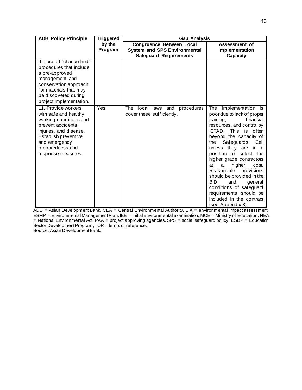| <b>ADB Policy Principle</b>                                                                                                                                                                               | <b>Triggered</b>  | <b>Gap Analysis</b>                                                    |                                                                                                                                                                                                                                                                                                                                                                                                                                                                                                      |  |  |  |
|-----------------------------------------------------------------------------------------------------------------------------------------------------------------------------------------------------------|-------------------|------------------------------------------------------------------------|------------------------------------------------------------------------------------------------------------------------------------------------------------------------------------------------------------------------------------------------------------------------------------------------------------------------------------------------------------------------------------------------------------------------------------------------------------------------------------------------------|--|--|--|
|                                                                                                                                                                                                           | by the<br>Program | <b>Congruence Between Local</b><br><b>System and SPS Environmental</b> | Assessment of<br>Implementation                                                                                                                                                                                                                                                                                                                                                                                                                                                                      |  |  |  |
|                                                                                                                                                                                                           |                   | <b>Safeguard Requirements</b>                                          | Capacity                                                                                                                                                                                                                                                                                                                                                                                                                                                                                             |  |  |  |
| the use of "chance find"<br>procedures that include<br>a pre-approved<br>management and<br>conservation approach<br>for materials that may<br>be discovered during<br>project implementation.             |                   |                                                                        |                                                                                                                                                                                                                                                                                                                                                                                                                                                                                                      |  |  |  |
| 11. Provide workers<br>with safe and healthy<br>working conditions and<br>prevent accidents,<br>injuries, and disease.<br>Establish preventive<br>and emergency<br>preparedness and<br>response measures. | Yes               | local laws and<br>procedures<br>The<br>cover these sufficiently.       | implementation is<br>The<br>poor due to lack of proper<br>financial<br>training,<br>resources, and control by<br>ICTAD. This is often<br>beyond the capacity of<br>Safeguards<br>the<br>Cell<br>unless they are in a<br>position to select the<br>higher grade contractors<br>higher<br>at<br>a<br>cost.<br>Reasonable provisions<br>should be provided in the<br><b>BID</b><br>and<br>general<br>conditions of safeguard<br>requirements should be<br>included in the contract<br>(see Appendix 8). |  |  |  |

ADB = Asian Development Bank, CEA = Central Environmental Authority, EIA = environmental impact assessment, ESMP = Environmental Management Plan, IEE = initial environmental examination, MOE = Ministry of Education, NEA = National Environmental Act, PAA = project approving agencies, SPS = social safeguard policy, ESDP = Education Sector Development Program, TOR = terms of reference.

Source: Asian Development Bank.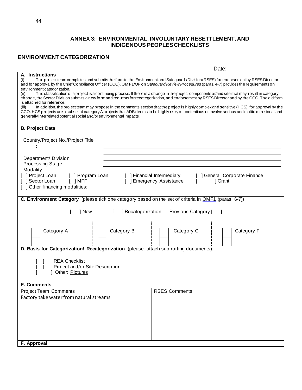#### **ANNEX 3: ENVIRONMENTAL, INVOLUNTARY RESETTLEMENT, AND INDIGENOUS PEOPLES CHECKLISTS**

## **ENVIRONMENT CATEGORIZATION**

|                                                                                                                                                                               | Date:                                                                                                                                                                                                                                                                                                                                                                                                                                                                                                                                                                                                                                                                                                                                                                                                                                                                                        |
|-------------------------------------------------------------------------------------------------------------------------------------------------------------------------------|----------------------------------------------------------------------------------------------------------------------------------------------------------------------------------------------------------------------------------------------------------------------------------------------------------------------------------------------------------------------------------------------------------------------------------------------------------------------------------------------------------------------------------------------------------------------------------------------------------------------------------------------------------------------------------------------------------------------------------------------------------------------------------------------------------------------------------------------------------------------------------------------|
| A. Instructions<br>(i)<br>environment categorization.<br>(ii)<br>is attached for reference.<br>(iii)<br>generally interrelated potential social and/or environmental impacts. | The project team completes and submits the form to the Environment and Safeguards Division (RSES) for endorsement by RSES Director,<br>and for approval by the Chief Compliance Officer (CCO). OM F1/OP on Safeguard Review Procedures (paras. 4-7) provides the requirements on<br>The classification of a project is a continuing process. If there is a change in the project components or/and site that may result in category<br>change, the Sector Division submits a new formand requests for recategorization, and endorsement by RSES Director and by the CCO. The old form<br>In addition, the project team may propose in the comments section that the project is highly complex and sensitive (HCS), for approval by the<br>CCO. HCS projects are a subset of category A projects that ADB deems to be highly risky or contentious or involve serious and multidimensional and |
| <b>B. Project Data</b>                                                                                                                                                        |                                                                                                                                                                                                                                                                                                                                                                                                                                                                                                                                                                                                                                                                                                                                                                                                                                                                                              |
| Country/Project No./Project Title                                                                                                                                             |                                                                                                                                                                                                                                                                                                                                                                                                                                                                                                                                                                                                                                                                                                                                                                                                                                                                                              |
|                                                                                                                                                                               |                                                                                                                                                                                                                                                                                                                                                                                                                                                                                                                                                                                                                                                                                                                                                                                                                                                                                              |
| Department/ Division<br><b>Processing Stage</b>                                                                                                                               |                                                                                                                                                                                                                                                                                                                                                                                                                                                                                                                                                                                                                                                                                                                                                                                                                                                                                              |
| Modality                                                                                                                                                                      |                                                                                                                                                                                                                                                                                                                                                                                                                                                                                                                                                                                                                                                                                                                                                                                                                                                                                              |
| ] Project Loan<br>[ ] Program Loan<br>$\lceil$ $\rceil$ MFF<br>Sector Loan<br>] Other financing modalities:                                                                   | [ ] General Corporate Finance<br>[ ] Financial Intermediary<br>[ ] Emergency Assistance<br>1 Grant                                                                                                                                                                                                                                                                                                                                                                                                                                                                                                                                                                                                                                                                                                                                                                                           |
| <b>C. Environment Category</b> (please tick one category based on the set of criteria in <b>OMF1</b> (paras. 6-7))                                                            |                                                                                                                                                                                                                                                                                                                                                                                                                                                                                                                                                                                                                                                                                                                                                                                                                                                                                              |
| 1 New<br>$\mathsf{L}$                                                                                                                                                         | ] Recategorization - Previous Category [                                                                                                                                                                                                                                                                                                                                                                                                                                                                                                                                                                                                                                                                                                                                                                                                                                                     |
| Category B<br>Category A                                                                                                                                                      | Category C<br>Category FI                                                                                                                                                                                                                                                                                                                                                                                                                                                                                                                                                                                                                                                                                                                                                                                                                                                                    |
| D. Basis for Categorization/ Recategorization (please. attach supporting documents):                                                                                          |                                                                                                                                                                                                                                                                                                                                                                                                                                                                                                                                                                                                                                                                                                                                                                                                                                                                                              |
| <b>REA Checklist</b><br>Project and/or Site Description<br>1 Other: Pictures                                                                                                  |                                                                                                                                                                                                                                                                                                                                                                                                                                                                                                                                                                                                                                                                                                                                                                                                                                                                                              |
| <b>E. Comments</b>                                                                                                                                                            |                                                                                                                                                                                                                                                                                                                                                                                                                                                                                                                                                                                                                                                                                                                                                                                                                                                                                              |
| <b>Project Team Comments</b>                                                                                                                                                  | <b>RSES Comments</b>                                                                                                                                                                                                                                                                                                                                                                                                                                                                                                                                                                                                                                                                                                                                                                                                                                                                         |
| Factory take water from natural streams                                                                                                                                       |                                                                                                                                                                                                                                                                                                                                                                                                                                                                                                                                                                                                                                                                                                                                                                                                                                                                                              |
|                                                                                                                                                                               |                                                                                                                                                                                                                                                                                                                                                                                                                                                                                                                                                                                                                                                                                                                                                                                                                                                                                              |
|                                                                                                                                                                               |                                                                                                                                                                                                                                                                                                                                                                                                                                                                                                                                                                                                                                                                                                                                                                                                                                                                                              |
|                                                                                                                                                                               |                                                                                                                                                                                                                                                                                                                                                                                                                                                                                                                                                                                                                                                                                                                                                                                                                                                                                              |
|                                                                                                                                                                               |                                                                                                                                                                                                                                                                                                                                                                                                                                                                                                                                                                                                                                                                                                                                                                                                                                                                                              |
|                                                                                                                                                                               |                                                                                                                                                                                                                                                                                                                                                                                                                                                                                                                                                                                                                                                                                                                                                                                                                                                                                              |
| F. Approval                                                                                                                                                                   |                                                                                                                                                                                                                                                                                                                                                                                                                                                                                                                                                                                                                                                                                                                                                                                                                                                                                              |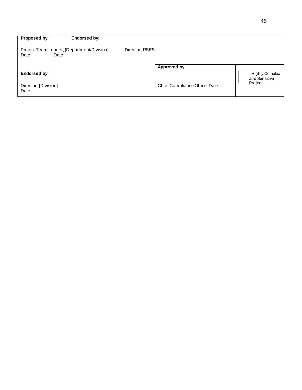| Endorsed by:<br>Proposed by:                                 |                                |                                        |
|--------------------------------------------------------------|--------------------------------|----------------------------------------|
| Project Team Leader, {Department/Division}<br>Date:<br>Date: | Director, RSES                 |                                        |
|                                                              | Approved by:                   |                                        |
| <b>Endorsed by:</b>                                          |                                | <b>Highly Complex</b><br>and Sensitive |
| Director, {Division}<br>Date:                                | Chief Compliance Officer Date: | Project                                |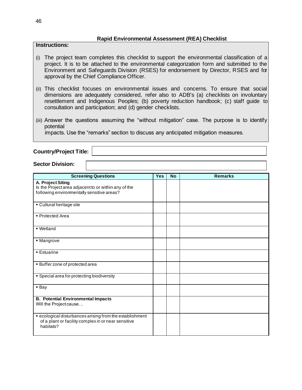#### **Rapid Environmental Assessment (REA) Checklist**

#### **Instructions:**

- (i) The project team completes this checklist to support the environmental classification of a project. It is to be attached to the environmental categorization form and submitted to the Environment and Safeguards Division (RSES) for endorsement by Director, RSES and for approval by the Chief Compliance Officer.
- (ii) This checklist focuses on environmental issues and concerns. To ensure that social dimensions are adequately considered, refer also to ADB's (a) checklists on involuntary resettlement and Indigenous Peoples; (b) poverty reduction handbook; (c) staff guide to consultation and participation; and (d) gender checklists.
- (iii) Answer the questions assuming the "without mitigation" case. The purpose is to identify potential

impacts. Use the "remarks" section to discuss any anticipated mitigation measures.

**Country/Project Title:** 

#### **Sector Division:**

| <b>Screening Questions</b>                                                | <b>Yes</b> | <b>No</b> | <b>Remarks</b> |
|---------------------------------------------------------------------------|------------|-----------|----------------|
|                                                                           |            |           |                |
| A. Project Siting<br>Is the Project area adjacent to or within any of the |            |           |                |
| following environmentally sensitive areas?                                |            |           |                |
|                                                                           |            |           |                |
|                                                                           |            |           |                |
| • Cultural heritage site                                                  |            |           |                |
|                                                                           |            |           |                |
| • Protected Area                                                          |            |           |                |
|                                                                           |            |           |                |
| ■ Wetland                                                                 |            |           |                |
|                                                                           |            |           |                |
| • Mangrove                                                                |            |           |                |
|                                                                           |            |           |                |
| <b>Estuarine</b>                                                          |            |           |                |
|                                                                           |            |           |                |
|                                                                           |            |           |                |
| • Buffer zone of protected area                                           |            |           |                |
|                                                                           |            |           |                |
| • Special area for protecting biodiversity                                |            |           |                |
|                                                                           |            |           |                |
| • Bay                                                                     |            |           |                |
|                                                                           |            |           |                |
| <b>B. Potential Environmental Impacts</b>                                 |            |           |                |
| Will the Project cause                                                    |            |           |                |
|                                                                           |            |           |                |
| • ecological disturbances arising from the establishment                  |            |           |                |
| of a plant or facility complex in or near sensitive                       |            |           |                |
| habitats?                                                                 |            |           |                |
|                                                                           |            |           |                |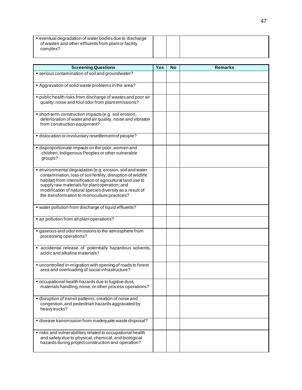| • eventual degradation of water bodies due to discharge<br>of wastes and other effluents from plant or facility<br>complex? |  |  |
|-----------------------------------------------------------------------------------------------------------------------------|--|--|
|                                                                                                                             |  |  |

| <b>Screening Questions</b>                                                                                                                                                                                                                                                                                                                           | <b>Yes</b> | <b>No</b> | <b>Remarks</b> |
|------------------------------------------------------------------------------------------------------------------------------------------------------------------------------------------------------------------------------------------------------------------------------------------------------------------------------------------------------|------------|-----------|----------------|
| · serious contamination of soil and groundwater?                                                                                                                                                                                                                                                                                                     |            |           |                |
| Aggravation of solid waste problems in the area?                                                                                                                                                                                                                                                                                                     |            |           |                |
| · public health risks from discharge of wastes and poor air<br>quality; noise and foul odor from plant emissions?                                                                                                                                                                                                                                    |            |           |                |
| · short-term construction impacts (e.g. soil erosion,<br>deterioration of water and air quality, noise and vibration<br>from construction equipment?                                                                                                                                                                                                 |            |           |                |
| · dislocation or involuntary resettlement of people?                                                                                                                                                                                                                                                                                                 |            |           |                |
| disproportionate impacts on the poor, women and<br>children, Indigenous Peoples or other vulnerable<br>groups?                                                                                                                                                                                                                                       |            |           |                |
| · environmental degradation (e.g. erosion, soil and water<br>contamination, loss of soil fertility, disruption of wildlife<br>habitat) from intensification of agricultural land use to<br>supply raw materials for plant operation; and<br>modification of natural species diversity as a result of<br>the transformation to monoculture practices? |            |           |                |
| • water pollution from discharge of liquid effluents?                                                                                                                                                                                                                                                                                                |            |           |                |
| • air pollution from all plant operations?                                                                                                                                                                                                                                                                                                           |            |           |                |
| gaseous and odor emissions to the atmosphere from<br>processing operations?                                                                                                                                                                                                                                                                          |            |           |                |
| • accidental release of potentially hazardous solvents,<br>acidic and alkaline materials?                                                                                                                                                                                                                                                            |            |           |                |
| • uncontrolled in-migration with opening of roads to forest<br>area and overloading of social infrastructure?                                                                                                                                                                                                                                        |            |           |                |
| " occupational health hazards due to fugitive dust,<br>materials handling, noise, or other process operations?                                                                                                                                                                                                                                       |            |           |                |
| · disruption of transit patterns, creation of noise and<br>congestion, and pedestrian hazards aggravated by<br>heavy trucks?                                                                                                                                                                                                                         |            |           |                |
| • disease transmission from inadequate waste disposal?                                                                                                                                                                                                                                                                                               |            |           |                |
| · risks and vulnerabilities related to occupational health<br>and safety due to physical, chemical, and biological<br>hazards during project construction and operation?                                                                                                                                                                             |            |           |                |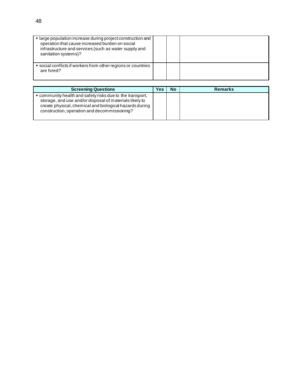| • large population increase during project construction and<br>operation that cause increased burden on social<br>infrastructure and services (such as water supply and<br>sanitation systems)? |  |  |
|-------------------------------------------------------------------------------------------------------------------------------------------------------------------------------------------------|--|--|
| ■ social conflicts if workers from other regions or countries<br>are hired?                                                                                                                     |  |  |

| <b>Screening Questions</b>                                                                                                                                                                                                      | Yes | <b>No</b> | <b>Remarks</b> |
|---------------------------------------------------------------------------------------------------------------------------------------------------------------------------------------------------------------------------------|-----|-----------|----------------|
| • community health and safety risks due to the transport,<br>storage, and use and/or disposal of materials likely to<br>create physical, chemical and biological hazards during<br>construction, operation and decommissioning? |     |           |                |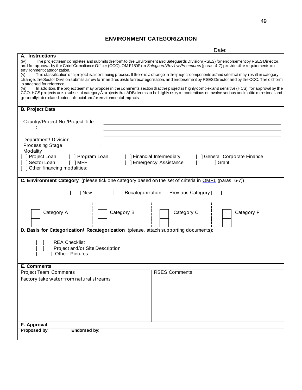# **ENVIRONMENT CATEGORIZATION**

|                                                                                                                                                                                                                                                                                                                         | Date:                                                                                                                                           |  |  |  |
|-------------------------------------------------------------------------------------------------------------------------------------------------------------------------------------------------------------------------------------------------------------------------------------------------------------------------|-------------------------------------------------------------------------------------------------------------------------------------------------|--|--|--|
| A. Instructions                                                                                                                                                                                                                                                                                                         |                                                                                                                                                 |  |  |  |
| (iv)<br>The project team completes and submits the form to the Environment and Safeguards Division (RSES) for endorsement by RSES Director,<br>and for approval by the Chief Compliance Officer (CCO). OM F1/OP on Safeguard Review Procedures (paras. 4-7) provides the requirements on<br>environment categorization. |                                                                                                                                                 |  |  |  |
| (v)<br>change, the Sector Division submits a new formand requests for recategorization, and endorsement by RSES Director and by the CCO. The old form<br>is attached for reference.                                                                                                                                     | The classification of a project is a continuing process. If there is a change in the project components or/and site that may result in category |  |  |  |
| (vi)<br>CCO. HCS projects are a subset of category A projects that ADB deems to be highly risky or contentious or involve serious and multidimensional and                                                                                                                                                              | In addition, the project team may propose in the comments section that the project is highly complex and sensitive (HCS), for approval by the   |  |  |  |
| generally interrelated potential social and/or environmental impacts.                                                                                                                                                                                                                                                   |                                                                                                                                                 |  |  |  |
| <b>B. Project Data</b>                                                                                                                                                                                                                                                                                                  |                                                                                                                                                 |  |  |  |
|                                                                                                                                                                                                                                                                                                                         |                                                                                                                                                 |  |  |  |
| Country/Project No./Project Title                                                                                                                                                                                                                                                                                       |                                                                                                                                                 |  |  |  |
|                                                                                                                                                                                                                                                                                                                         |                                                                                                                                                 |  |  |  |
| Department/ Division                                                                                                                                                                                                                                                                                                    |                                                                                                                                                 |  |  |  |
| <b>Processing Stage</b>                                                                                                                                                                                                                                                                                                 |                                                                                                                                                 |  |  |  |
| Modality<br>[ ] Project Loan<br>[ ] Program Loan                                                                                                                                                                                                                                                                        | [ ] Financial Intermediary<br>[ ] General Corporate Finance                                                                                     |  |  |  |
| [ ] Sector Loan<br>[ ] Emergency Assistance<br>$\lceil$ $\rceil$ MFF                                                                                                                                                                                                                                                    | 1 Grant                                                                                                                                         |  |  |  |
| [ ] Other financing modalities:                                                                                                                                                                                                                                                                                         |                                                                                                                                                 |  |  |  |
| C. Environment Category (please tick one category based on the set of criteria in OMF1 (paras. 6-7))                                                                                                                                                                                                                    |                                                                                                                                                 |  |  |  |
|                                                                                                                                                                                                                                                                                                                         |                                                                                                                                                 |  |  |  |
| 1 New<br>$\Box$                                                                                                                                                                                                                                                                                                         | ] Recategorization - Previous Category [                                                                                                        |  |  |  |
| Category B<br>Category A                                                                                                                                                                                                                                                                                                | Category C<br>Category FI                                                                                                                       |  |  |  |
|                                                                                                                                                                                                                                                                                                                         |                                                                                                                                                 |  |  |  |
| D. Basis for Categorization/ Recategorization (please. attach supporting documents):                                                                                                                                                                                                                                    |                                                                                                                                                 |  |  |  |
|                                                                                                                                                                                                                                                                                                                         |                                                                                                                                                 |  |  |  |
| <b>REA Checklist</b>                                                                                                                                                                                                                                                                                                    |                                                                                                                                                 |  |  |  |
| Project and/or Site Description                                                                                                                                                                                                                                                                                         |                                                                                                                                                 |  |  |  |
| 1 Other: Pictures                                                                                                                                                                                                                                                                                                       |                                                                                                                                                 |  |  |  |
| <b>E. Comments</b>                                                                                                                                                                                                                                                                                                      |                                                                                                                                                 |  |  |  |
| <b>Project Team Comments</b>                                                                                                                                                                                                                                                                                            | <b>RSES Comments</b>                                                                                                                            |  |  |  |
| Factory take water from natural streams                                                                                                                                                                                                                                                                                 |                                                                                                                                                 |  |  |  |
|                                                                                                                                                                                                                                                                                                                         |                                                                                                                                                 |  |  |  |
|                                                                                                                                                                                                                                                                                                                         |                                                                                                                                                 |  |  |  |
|                                                                                                                                                                                                                                                                                                                         |                                                                                                                                                 |  |  |  |
|                                                                                                                                                                                                                                                                                                                         |                                                                                                                                                 |  |  |  |
|                                                                                                                                                                                                                                                                                                                         |                                                                                                                                                 |  |  |  |
| F. Approval                                                                                                                                                                                                                                                                                                             |                                                                                                                                                 |  |  |  |
| Proposed by:<br><b>Endorsed by:</b>                                                                                                                                                                                                                                                                                     |                                                                                                                                                 |  |  |  |
|                                                                                                                                                                                                                                                                                                                         |                                                                                                                                                 |  |  |  |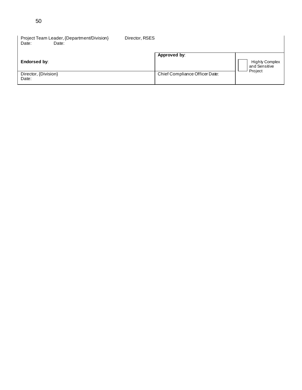| Project Team Leader, {Department/Division}<br>Date:<br>Date: | Director, RSES                 |                                                   |
|--------------------------------------------------------------|--------------------------------|---------------------------------------------------|
| Endorsed by:                                                 | Approved by:                   | <b>Highly Complex</b><br>and Sensitive<br>Project |
| Director, {Division}<br>Date:                                | Chief Compliance Officer Date: |                                                   |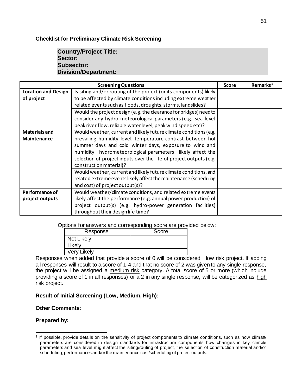#### **Checklist for Preliminary Climate Risk Screening**

## **Country/Project Title: Sector: Subsector: Division/Department:**

|                            | <b>Screening Questions</b>                                         | <b>Score</b> | Remarks <sup>3</sup> |
|----------------------------|--------------------------------------------------------------------|--------------|----------------------|
| <b>Location and Design</b> | Is siting and/or routing of the project (or its components) likely |              |                      |
| of project                 | to be affected by climate conditions including extreme weather     |              |                      |
|                            | related events such as floods, droughts, storms, landslides?       |              |                      |
|                            | Would the project design (e.g. the clearance for bridges) need to  |              |                      |
|                            | consider any hydro-meteorological parameters (e.g., sea-level,     |              |                      |
|                            | peak river flow, reliable water level, peak wind speed etc)?       |              |                      |
| <b>Materials and</b>       | Would weather, current and likely future climate conditions (e.g.  |              |                      |
| Maintenance                | prevailing humidity level, temperature contrast between hot        |              |                      |
|                            | summer days and cold winter days, exposure to wind and             |              |                      |
|                            | humidity hydrometeorological parameters likely affect the          |              |                      |
|                            | selection of project inputs over the life of project outputs (e.g. |              |                      |
|                            | construction material)?                                            |              |                      |
|                            | Would weather, current and likely future climate conditions, and   |              |                      |
|                            | related extreme events likely affect the maintenance (scheduling   |              |                      |
|                            | and cost) of project output(s)?                                    |              |                      |
| Performance of             | Would weather/climate conditions, and related extreme events       |              |                      |
| project outputs            | likely affect the performance (e.g. annual power production) of    |              |                      |
|                            | project output(s) (e.g. hydro-power generation facilities)         |              |                      |
|                            | throughout their design life time?                                 |              |                      |

Options for answers and corresponding score are provided below:

| Response           | Score |
|--------------------|-------|
| Not Likely         |       |
| Likely             |       |
| <b>Very Likely</b> |       |

Responses when added that provide a score of 0 will be considered low risk project. If adding all responses will result to a score of 1-4 and that no score of 2 was given to any single response, the project will be assigned a medium risk category. A total score of 5 or more (which include providing a score of 1 in all responses) or a 2 in any single response, will be categorized as high risk project.

## **Result of Initial Screening (Low, Medium, High):**

#### **Other Comments**:

#### **Prepared by:**

<sup>&</sup>lt;sup>3</sup> If possible, provide details on the sensitivity of project components to climate conditions, such as how climate parameters are considered in design standards for infrastructure components, how chan ges in key climate parameters and sea level might affect the siting/routing of project, the selection of construction material and/or scheduling, performances and/or the maintenance cost/scheduling of project outputs.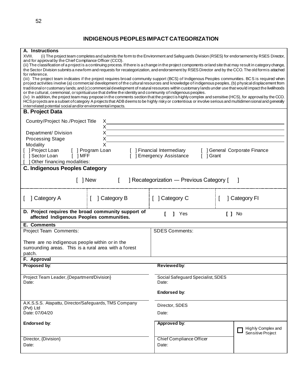# **INDIGENOUS PEOPLES IMPACT CATEGORIZATION**

| A. Instructions                                                                                                                                                                                                                                                                                       |                                          |                               |  |  |  |
|-------------------------------------------------------------------------------------------------------------------------------------------------------------------------------------------------------------------------------------------------------------------------------------------------------|------------------------------------------|-------------------------------|--|--|--|
| XVIII.<br>(i) The project team completes and submits the form to the Environment and Safeguards Division (RSES) for endorsement by RSES Director,                                                                                                                                                     |                                          |                               |  |  |  |
| and for approval by the Chief Compliance Officer (CCO).<br>(ii) The classification of a project is a continuing process. If there is a change in the project components or/and site that may result in category change,                                                                               |                                          |                               |  |  |  |
| the Sector Division submits a new form and requests for recategorization, and endorsement by RSES Director and by the CCO. The old form is attached                                                                                                                                                   |                                          |                               |  |  |  |
| for reference.                                                                                                                                                                                                                                                                                        |                                          |                               |  |  |  |
| (iii) The project team indicates if the project requires broad community support (BCS) of Indigenous Peoples communities. BCS is required when<br>project activities involve (a) commercial development of the cultural resources and knowledge of indigenous peoples, (b) physical displacement from |                                          |                               |  |  |  |
| traditional or customary lands; and (c) commercial development of natural resources within customary lands under use that would impact the livelihoods                                                                                                                                                |                                          |                               |  |  |  |
| or the cultural, ceremonial, or spiritual use that define the identity and community of indigenous peoples.                                                                                                                                                                                           |                                          |                               |  |  |  |
| (iv) In addition, the project team may propose in the comments section that the project is highly complex and sensitive (HCS), for approval by the CCO.                                                                                                                                               |                                          |                               |  |  |  |
| HCS projects are a subset of category A projects that ADB deems to be highly risky or contentious or involve serious and multidimen sional and generally<br>interrelated potential social and/or environmental impacts.                                                                               |                                          |                               |  |  |  |
| <b>B. Project Data</b>                                                                                                                                                                                                                                                                                |                                          |                               |  |  |  |
|                                                                                                                                                                                                                                                                                                       |                                          |                               |  |  |  |
| Country/Project No./Project Title<br>X                                                                                                                                                                                                                                                                |                                          |                               |  |  |  |
| X                                                                                                                                                                                                                                                                                                     |                                          |                               |  |  |  |
| Х<br>Department/ Division                                                                                                                                                                                                                                                                             |                                          |                               |  |  |  |
| <b>Processing Stage</b><br>X                                                                                                                                                                                                                                                                          |                                          |                               |  |  |  |
| X<br>Modality                                                                                                                                                                                                                                                                                         |                                          |                               |  |  |  |
| ] Project Loan<br>[ ] Program Loan                                                                                                                                                                                                                                                                    | [ ] Financial Intermediary               | [ ] General Corporate Finance |  |  |  |
| Sector Loan<br>$\lceil$ $\rceil$ MFF                                                                                                                                                                                                                                                                  | [ ] Emergency Assistance<br>[ ] Grant    |                               |  |  |  |
| Other financing modalities:                                                                                                                                                                                                                                                                           |                                          |                               |  |  |  |
| <b>C. Indigenous Peoples Category</b>                                                                                                                                                                                                                                                                 |                                          |                               |  |  |  |
|                                                                                                                                                                                                                                                                                                       |                                          |                               |  |  |  |
| 1 New                                                                                                                                                                                                                                                                                                 | ] Recategorization - Previous Category [ |                               |  |  |  |
|                                                                                                                                                                                                                                                                                                       |                                          |                               |  |  |  |
|                                                                                                                                                                                                                                                                                                       |                                          |                               |  |  |  |
| ] Category A<br>] Category B                                                                                                                                                                                                                                                                          | [ ] Category C                           | ] Category FI                 |  |  |  |
|                                                                                                                                                                                                                                                                                                       |                                          |                               |  |  |  |
| D. Project requires the broad community support of                                                                                                                                                                                                                                                    |                                          |                               |  |  |  |
| affected Indigenous Peoples communities.                                                                                                                                                                                                                                                              | Yes                                      | $[ ]$ No                      |  |  |  |
| E. Comments                                                                                                                                                                                                                                                                                           |                                          |                               |  |  |  |
| Project Team Comments:                                                                                                                                                                                                                                                                                | <b>SDES Comments:</b>                    |                               |  |  |  |
|                                                                                                                                                                                                                                                                                                       |                                          |                               |  |  |  |
| There are no indigenous people within or in the                                                                                                                                                                                                                                                       |                                          |                               |  |  |  |
| surrounding areas. This is a rural area with a forest                                                                                                                                                                                                                                                 |                                          |                               |  |  |  |
| patch.                                                                                                                                                                                                                                                                                                |                                          |                               |  |  |  |
| F. Approval                                                                                                                                                                                                                                                                                           |                                          |                               |  |  |  |
| Proposed by:                                                                                                                                                                                                                                                                                          | Reviewed by:                             |                               |  |  |  |
|                                                                                                                                                                                                                                                                                                       |                                          |                               |  |  |  |
| Project Team Leader, {Department/Division}                                                                                                                                                                                                                                                            | Social Safeguard Specialist, SDES        |                               |  |  |  |
| Date:                                                                                                                                                                                                                                                                                                 | Date:                                    |                               |  |  |  |
|                                                                                                                                                                                                                                                                                                       |                                          |                               |  |  |  |
|                                                                                                                                                                                                                                                                                                       | Endorsed by:                             |                               |  |  |  |
|                                                                                                                                                                                                                                                                                                       |                                          |                               |  |  |  |
| A.K.S.S.S. Atapattu, Director/Safeguards, TMS Company                                                                                                                                                                                                                                                 | Director, SDES                           |                               |  |  |  |
| (Pvt) Ltd<br>Date: 07/04/20                                                                                                                                                                                                                                                                           | Date:                                    |                               |  |  |  |
|                                                                                                                                                                                                                                                                                                       |                                          |                               |  |  |  |
| Endorsed by:                                                                                                                                                                                                                                                                                          | Approved by:                             |                               |  |  |  |
|                                                                                                                                                                                                                                                                                                       |                                          | Highly Complex and            |  |  |  |
|                                                                                                                                                                                                                                                                                                       |                                          | Sensitive Project             |  |  |  |
| Director, {Division}                                                                                                                                                                                                                                                                                  | Chief Compliance Officer                 |                               |  |  |  |
| Date:                                                                                                                                                                                                                                                                                                 | Date:                                    |                               |  |  |  |
|                                                                                                                                                                                                                                                                                                       |                                          |                               |  |  |  |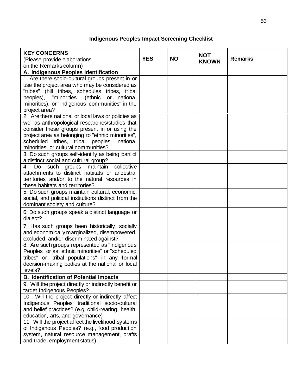# **Indigenous Peoples Impact Screening Checklist**

| <b>KEY CONCERNS</b>                                                                                |            |           |              |                |
|----------------------------------------------------------------------------------------------------|------------|-----------|--------------|----------------|
|                                                                                                    | <b>YES</b> | <b>NO</b> | <b>NOT</b>   | <b>Remarks</b> |
| (Please provide elaborations<br>on the Remarks column)                                             |            |           | <b>KNOWN</b> |                |
|                                                                                                    |            |           |              |                |
| A. Indigenous Peoples Identification                                                               |            |           |              |                |
| 1. Are there socio-cultural groups present in or                                                   |            |           |              |                |
| use the project area who may be considered as                                                      |            |           |              |                |
| "tribes" (hill tribes, schedules tribes, tribal                                                    |            |           |              |                |
| peoples), "minorities" (ethnic or national                                                         |            |           |              |                |
| minorities), or "indigenous communities" in the                                                    |            |           |              |                |
| project area?                                                                                      |            |           |              |                |
| 2. Are there national or local laws or policies as                                                 |            |           |              |                |
| well as anthropological researches/studies that                                                    |            |           |              |                |
| consider these groups present in or using the                                                      |            |           |              |                |
| project area as belonging to "ethnic minorities",<br>scheduled tribes, tribal peoples,<br>national |            |           |              |                |
| minorities, or cultural communities?                                                               |            |           |              |                |
| 3. Do such groups self-identify as being part of                                                   |            |           |              |                |
| a distinct social and cultural group?                                                              |            |           |              |                |
| collective<br>4. Do such groups maintain                                                           |            |           |              |                |
| attachments to distinct habitats or ancestral                                                      |            |           |              |                |
| territories and/or to the natural resources in                                                     |            |           |              |                |
| these habitats and territories?                                                                    |            |           |              |                |
| 5. Do such groups maintain cultural, economic,                                                     |            |           |              |                |
| social, and political institutions distinct from the                                               |            |           |              |                |
| dominant society and culture?                                                                      |            |           |              |                |
| 6. Do such groups speak a distinct language or                                                     |            |           |              |                |
| dialect?                                                                                           |            |           |              |                |
| 7. Has such groups been historically, socially                                                     |            |           |              |                |
| and economically marginalized, disempowered,                                                       |            |           |              |                |
| excluded, and/or discriminated against?                                                            |            |           |              |                |
| 8. Are such groups represented as "Indigenous"                                                     |            |           |              |                |
| Peoples" or as "ethnic minorities" or "scheduled                                                   |            |           |              |                |
| tribes" or "tribal populations" in any formal                                                      |            |           |              |                |
| decision-making bodies at the national or local                                                    |            |           |              |                |
| levels?                                                                                            |            |           |              |                |
| <b>B. Identification of Potential Impacts</b>                                                      |            |           |              |                |
| 9. Will the project directly or indirectly benefit or                                              |            |           |              |                |
| target Indigenous Peoples?                                                                         |            |           |              |                |
| 10. Will the project directly or indirectly affect                                                 |            |           |              |                |
| Indigenous Peoples' traditional socio-cultural                                                     |            |           |              |                |
| and belief practices? (e.g. child-rearing, health,                                                 |            |           |              |                |
| education, arts, and governance)                                                                   |            |           |              |                |
| 11. Will the project affect the livelihood systems                                                 |            |           |              |                |
| of Indigenous Peoples? (e.g., food production                                                      |            |           |              |                |
| system, natural resource management, crafts                                                        |            |           |              |                |
| and trade, employment status)                                                                      |            |           |              |                |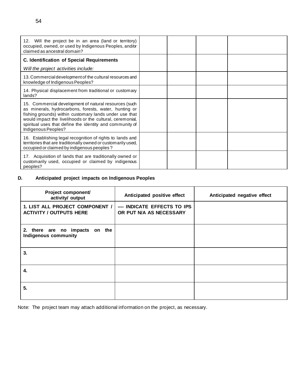| 12. Will the project be in an area (land or territory)<br>occupied, owned, or used by Indigenous Peoples, and/or<br>claimed as ancestral domain?                                                                                                                                                                         |  |  |
|--------------------------------------------------------------------------------------------------------------------------------------------------------------------------------------------------------------------------------------------------------------------------------------------------------------------------|--|--|
| <b>C. Identification of Special Requirements</b>                                                                                                                                                                                                                                                                         |  |  |
| Will the project activities include:                                                                                                                                                                                                                                                                                     |  |  |
| 13. Commercial development of the cultural resources and<br>knowledge of Indigenous Peoples?                                                                                                                                                                                                                             |  |  |
| 14. Physical displacement from traditional or customary<br>lands?                                                                                                                                                                                                                                                        |  |  |
| 15. Commercial development of natural resources (such<br>as minerals, hydrocarbons, forests, water, hunting or<br>fishing grounds) within customary lands under use that<br>would impact the livelihoods or the cultural, ceremonial,<br>spiritual uses that define the identity and community of<br>Indigenous Peoples? |  |  |
| 16. Establishing legal recognition of rights to lands and<br>territories that are traditionally owned or customarily used,<br>occupied or claimed by indigenous peoples?                                                                                                                                                 |  |  |
| 17. Acquisition of lands that are traditionally owned or<br>customarily used, occupied or claimed by indigenous<br>peoples?                                                                                                                                                                                              |  |  |

## **D. Anticipated project impacts on Indigenous Peoples**

| Project component/<br>activity/ output                            | Anticipated positive effect                            | Anticipated negative effect |
|-------------------------------------------------------------------|--------------------------------------------------------|-----------------------------|
| 1. LIST ALL PROJECT COMPONENT /<br><b>ACTIVITY / OUTPUTS HERE</b> | --- INDICATE EFFECTS TO IPS<br>OR PUT N/A AS NECESSARY |                             |
| 2. there are no impacts on the<br><b>Indigenous community</b>     |                                                        |                             |
| 3.                                                                |                                                        |                             |
| 4.                                                                |                                                        |                             |
| 5.                                                                |                                                        |                             |

Note: The project team may attach additional information on the project, as necessary.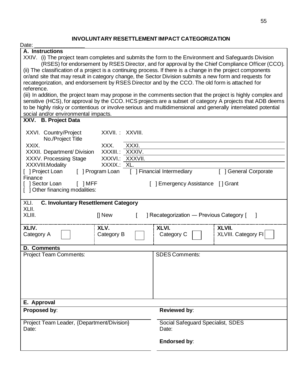# **INVOLUNTARY RESETTLEMENT IMPACT CATEGORIZATION**

| Date:                                                                                                                                                                                                                                                                                                                           |                                                                                                                                                                                                                             |  |  |  |  |
|---------------------------------------------------------------------------------------------------------------------------------------------------------------------------------------------------------------------------------------------------------------------------------------------------------------------------------|-----------------------------------------------------------------------------------------------------------------------------------------------------------------------------------------------------------------------------|--|--|--|--|
| A. Instructions                                                                                                                                                                                                                                                                                                                 |                                                                                                                                                                                                                             |  |  |  |  |
| XXIV. (i) The project team completes and submits the form to the Environment and Safeguards Division<br>(ii) The classification of a project is a continuing process. If there is a change in the project components<br>or/and site that may result in category change, the Sector Division submits a new form and requests for | (RSES) for endorsement by RSES Director, and for approval by the Chief Compliance Officer (CCO).                                                                                                                            |  |  |  |  |
| recategorization, and endorsement by RSES Director and by the CCO. The old form is attached for<br>reference.                                                                                                                                                                                                                   |                                                                                                                                                                                                                             |  |  |  |  |
|                                                                                                                                                                                                                                                                                                                                 | (iii) In addition, the project team may propose in the comments section that the project is highly complex and<br>sensitive (HCS), for approval by the CCO. HCS projects are a subset of category A projects that ADB deems |  |  |  |  |
| social and/or environmental impacts.                                                                                                                                                                                                                                                                                            | to be highly risky or contentious or involve serious and multidimensional and generally interrelated potential                                                                                                              |  |  |  |  |
| XXV. B. Project Data                                                                                                                                                                                                                                                                                                            |                                                                                                                                                                                                                             |  |  |  |  |
| XXVII. : XXVIII.<br>XXVI. Country/Project<br>No./Project Title                                                                                                                                                                                                                                                                  |                                                                                                                                                                                                                             |  |  |  |  |
| XXIX.<br>XXXI.<br>XXX.                                                                                                                                                                                                                                                                                                          |                                                                                                                                                                                                                             |  |  |  |  |
| XXXIV.<br>XXXIII.:<br>XXXII. Department/ Division                                                                                                                                                                                                                                                                               |                                                                                                                                                                                                                             |  |  |  |  |
| XXXV. Processing Stage<br>XXXVII.<br>XXXVI.:<br>XXXIX.:<br>XXXVIII.Modality<br>XL.                                                                                                                                                                                                                                              |                                                                                                                                                                                                                             |  |  |  |  |
| [ ] Project Loan<br>[ ] Program Loan                                                                                                                                                                                                                                                                                            | [ ] Financial Intermediary<br><b>General Corporate</b>                                                                                                                                                                      |  |  |  |  |
| Finance                                                                                                                                                                                                                                                                                                                         |                                                                                                                                                                                                                             |  |  |  |  |
| [ ] Sector Loan<br>$\lceil$ $\rceil$ MFF                                                                                                                                                                                                                                                                                        | ] Emergency Assistance [] Grant                                                                                                                                                                                             |  |  |  |  |
| [ ] Other financing modalities:                                                                                                                                                                                                                                                                                                 |                                                                                                                                                                                                                             |  |  |  |  |
| XLI.<br><b>C. Involuntary Resettlement Category</b><br>XLII.                                                                                                                                                                                                                                                                    |                                                                                                                                                                                                                             |  |  |  |  |
| XLIII.<br>$\prod$ New                                                                                                                                                                                                                                                                                                           | ] Recategorization - Previous Category [                                                                                                                                                                                    |  |  |  |  |
| XLIV.<br>XLV.<br>Category B<br>Category A                                                                                                                                                                                                                                                                                       | XLVI.<br>XLVII.<br>XLVIII. Category FI<br>Category C                                                                                                                                                                        |  |  |  |  |
| <b>D. Comments</b>                                                                                                                                                                                                                                                                                                              |                                                                                                                                                                                                                             |  |  |  |  |
| <b>Project Team Comments:</b>                                                                                                                                                                                                                                                                                                   | <b>SDES Comments:</b>                                                                                                                                                                                                       |  |  |  |  |
|                                                                                                                                                                                                                                                                                                                                 |                                                                                                                                                                                                                             |  |  |  |  |
|                                                                                                                                                                                                                                                                                                                                 |                                                                                                                                                                                                                             |  |  |  |  |
|                                                                                                                                                                                                                                                                                                                                 |                                                                                                                                                                                                                             |  |  |  |  |
|                                                                                                                                                                                                                                                                                                                                 |                                                                                                                                                                                                                             |  |  |  |  |
| E. Approval                                                                                                                                                                                                                                                                                                                     |                                                                                                                                                                                                                             |  |  |  |  |
| Proposed by:                                                                                                                                                                                                                                                                                                                    | Reviewed by:                                                                                                                                                                                                                |  |  |  |  |
|                                                                                                                                                                                                                                                                                                                                 |                                                                                                                                                                                                                             |  |  |  |  |
| Project Team Leader, {Department/Division}                                                                                                                                                                                                                                                                                      | Social Safeguard Specialist, SDES                                                                                                                                                                                           |  |  |  |  |
| Date:                                                                                                                                                                                                                                                                                                                           | Date:                                                                                                                                                                                                                       |  |  |  |  |
|                                                                                                                                                                                                                                                                                                                                 | <b>Endorsed by:</b>                                                                                                                                                                                                         |  |  |  |  |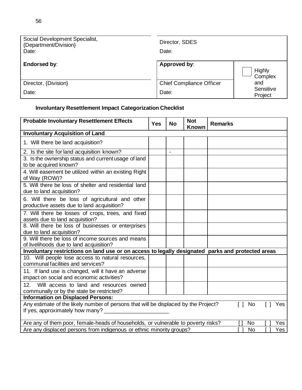| Social Development Specialist,<br>{Department/Division}<br>Date: | Director, SDES<br>Date:         |                      |
|------------------------------------------------------------------|---------------------------------|----------------------|
| Endorsed by:                                                     | Approved by:                    | Highly<br>Complex    |
| Director, {Division}                                             | <b>Chief Compliance Officer</b> | and                  |
| Date:                                                            | Date:                           | Sensitive<br>Project |

# **Involuntary Resettlement Impact Categorization Checklist**

| <b>Probable Involuntary Resettlement Effects</b>                                                                       | <b>Yes</b> | <b>No</b>                | <b>Not</b><br><b>Known</b> | <b>Remarks</b> |               |                   |     |
|------------------------------------------------------------------------------------------------------------------------|------------|--------------------------|----------------------------|----------------|---------------|-------------------|-----|
| <b>Involuntary Acquisition of Land</b>                                                                                 |            |                          |                            |                |               |                   |     |
| 1. Will there be land acquisition?                                                                                     |            |                          |                            |                |               |                   |     |
| 2. Is the site for land acquisition known?                                                                             |            | $\overline{\phantom{a}}$ |                            |                |               |                   |     |
| 3. Is the ownership status and current usage of land<br>to be acquired known?                                          |            |                          |                            |                |               |                   |     |
| 4. Will easement be utilized within an existing Right<br>of Way (ROW)?                                                 |            |                          |                            |                |               |                   |     |
| 5. Will there be loss of shelter and residential land<br>due to land acquisition?                                      |            |                          |                            |                |               |                   |     |
| 6. Will there be loss of agricultural and other<br>productive assets due to land acquisition?                          |            |                          |                            |                |               |                   |     |
| 7. Will there be losses of crops, trees, and fixed<br>assets due to land acquisition?                                  |            |                          |                            |                |               |                   |     |
| 8. Will there be loss of businesses or enterprises<br>due to land acquisition?                                         |            |                          |                            |                |               |                   |     |
| 9. Will there be loss of income sources and means<br>of livelihoods due to land acquisition?                           |            |                          |                            |                |               |                   |     |
| Involuntary restrictions on land use or on access to legally designated parks and protected areas                      |            |                          |                            |                |               |                   |     |
| 10. Will people lose access to natural resources,<br>communal facilities and services?                                 |            |                          |                            |                |               |                   |     |
| 11. If land use is changed, will it have an adverse<br>impact on social and economic activities?                       |            |                          |                            |                |               |                   |     |
| Will access to land and resources owned<br>12.<br>communally or by the state be restricted?                            |            |                          |                            |                |               |                   |     |
| <b>Information on Displaced Persons:</b>                                                                               |            |                          |                            |                |               |                   |     |
| Any estimate of the likely number of persons that will be displaced by the Project?<br>If yes, approximately how many? |            |                          |                            |                | $\lceil$   No | $\lceil$ $\rceil$ | Yes |
| Are any of them poor, female-heads of households, or vulnerable to poverty risks?                                      |            |                          |                            |                | <b>No</b>     |                   | Yes |
| Are any displaced persons from indigenous or ethnic minority groups?                                                   |            |                          |                            |                | No            |                   | Yes |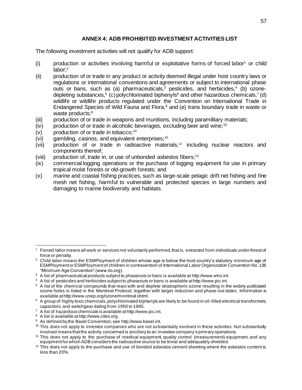## **ANNEX 4: ADB PROHIBITED INVESTMENT ACTIVITIES LIST**

The following investment activities will not qualify for ADB support:

- $(i)$  production or activities involving harmful or exploitative forms of forced labor<sup>1</sup> or child labor;<sup>2</sup>
- (ii) production of or trade in any product or activity deemed illegal under host country laws or regulations or international conventions and agreements or subject to international phase outs or bans, such as (a) pharmaceuticals,<sup>3</sup> pesticides, and herbicides,<sup>4</sup> (b) ozonedepleting substances,<sup>5</sup> (c) polychlorinated biphenyls<sup>6</sup> and other hazardous chemicals,<sup>7</sup> (d) wildlife or wildlife products regulated under the Convention on International Trade in Endangered Species of Wild Fauna and Flora, $8$  and (e) trans boundary trade in waste or waste products;<sup>9</sup>
- (iii) production of or trade in weapons and munitions, including paramilitary materials;
- $(iv)$  production of or trade in alcoholic beverages, excluding beer and wine;<sup>10</sup>
- $(v)$  production of or trade in tobacco;<sup>10</sup>
- (vi) gambling, casinos, and equivalent enterprises;<sup>10</sup>
- (vii) production of or trade in radioactive materials,<sup>11</sup> including nuclear reactors and components thereof;
- (viii) production of, trade in, or use of unbonded asbestos fibers;  $12$
- (ix) commercial logging operations or the purchase of logging equipment for use in primary tropical moist forests or old-growth forests; and
- (x) marine and coastal fishing practices, such as large-scale pelagic drift net fishing and fine mesh net fishing, harmful to vulnerable and protected species in large numbers and damaging to marine biodiversity and habitats.

Forced labor means all work or services not voluntarily performed, that is, extracted from individuals under threat of force or penalty.

<sup>&</sup>lt;sup>2</sup> Child labor means the ESMPloyment of children whose age is below the host country's statutory minimum age of ESMPloyment or ESMPloyment of children in contravention of International Labor Organization Convention No. 138 "Minimum Age Convention" (www.ilo.org).

 $3\,$  A list of pharmaceutical products subject to phaseouts or bans is available at http://www.who.int.

<sup>4</sup> A list of pesticides and herbicides subject to phaseouts or bans is available at http://www.pic.int.

<sup>5</sup> A list of the chemical compounds that react with and deplete stratospheric ozone resulting in the widely publicized ozone holes is listed in the Montreal Protocol, together with target reduction and phase-out dates. Information is available at http://www.unep.org/ozone/montreal.shtml.

 $6$  A group of highly toxic chemicals, polychlorinated biphenyls are likely to be found in oil-filled electrical transformers, capacitors, and switchgear dating from 1950 to 1985.

<sup>7</sup> A list of hazardous chemicals is available at http://www.pic.int.

<sup>8</sup> A list is available at http://www.cites.org.

<sup>9</sup> As defined by the Basel Convention; see http://www.basel.int.

 $10$  This does not apply to investee companies who are not substantially involved in these activities. Not substantially involved means that the activity concerned is ancillary to an investee company's primary operations.

<sup>&</sup>lt;sup>11</sup> This does not apply to the purchase of medical equipment, quality control (measurement) equipment, and any equipment for which ADB considers the radioactive source to be trivial and adequately shielded.

 $12$  This does not apply to the purchase and use of bonded asbestos cement sheeting where the asbestos content is less than 20%.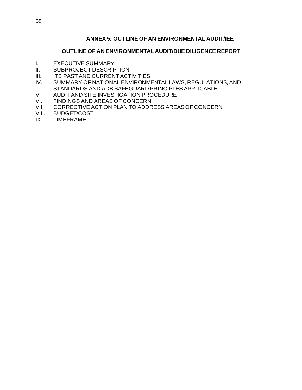## **ANNEX 5: OUTLINE OF AN ENVIRONMENTAL AUDIT/IEE**

#### **OUTLINE OF AN ENVIRONMENTAL AUDIT/DUE DILIGENCE REPORT**

- I. EXECUTIVE SUMMARY
- II. SUBPROJECT DESCRIPTION<br>III. ITS PAST AND CURRENT ACT
- ITS PAST AND CURRENT ACTIVITIES
- IV. SUMMARY OF NATIONAL ENVIRONMENTAL LAWS, REGULATIONS, AND STANDARDS AND ADB SAFEGUARD PRINCIPLES APPLICABLE
- V. AUDIT AND SITE INVESTIGATION PROCEDURE<br>VI. FINDINGS AND AREAS OF CONCERN
- VI. FINDINGS AND AREAS OF CONCERN<br>VII. CORRECTIVE ACTION PLAN TO ADDR
- CORRECTIVE ACTION PLAN TO ADDRESS AREAS OF CONCERN
- VIII. BUDGET/COST<br>IX. TIMEFRAME
- **TIMEFRAME**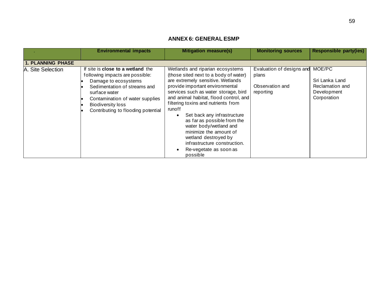## **ANNEX 6: GENERAL ESMP**

|                          | <b>Environmental impacts</b>                                                                                                                                                                                                                              | <b>Mitigation measure(s)</b>                                                                                                                                                                                                                                                                                                                                                                                                                                                                                                   | <b>Monitoring sources</b>                                          | <b>Responsible party(ies)</b>                                             |
|--------------------------|-----------------------------------------------------------------------------------------------------------------------------------------------------------------------------------------------------------------------------------------------------------|--------------------------------------------------------------------------------------------------------------------------------------------------------------------------------------------------------------------------------------------------------------------------------------------------------------------------------------------------------------------------------------------------------------------------------------------------------------------------------------------------------------------------------|--------------------------------------------------------------------|---------------------------------------------------------------------------|
| <b>1. PLANNING PHASE</b> |                                                                                                                                                                                                                                                           |                                                                                                                                                                                                                                                                                                                                                                                                                                                                                                                                |                                                                    |                                                                           |
| A. Site Selection        | If site is <b>close to a wetland</b> the<br>following impacts are possible:<br>Damage to ecosystems<br>Sedimentation of streams and<br>surface water<br>Contamination of water supplies<br><b>Biodiversity loss</b><br>Contributing to flooding potential | Wetlands and riparian ecosystems<br>(those sited next to a body of water)<br>are extremely sensitive. Wetlands<br>provide important environmental<br>services such as water storage, bird<br>and animal habitat, flood control, and<br>filtering toxins and nutrients from<br>runoff<br>Set back any infrastructure<br>$\bullet$<br>as far as possible from the<br>water body/wetland and<br>minimize the amount of<br>wetland destroyed by<br>infrastructure construction.<br>Re-vegetate as soon as<br>$\bullet$<br>possible | Evaluation of designs and<br>plans<br>Observation and<br>reporting | MOE/PC<br>Sri Lanka Land<br>Reclamation and<br>Development<br>Corporation |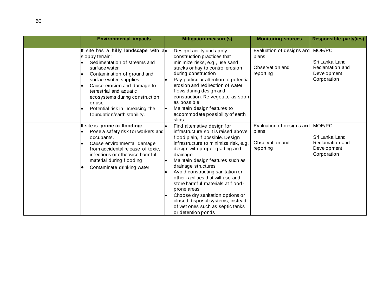| <b>Environmental impacts</b>                                                                                                                                                                                                                                                                                                                | <b>Mitigation measure(s)</b>                                                                                                                                                                                                                                                                                                                                                                                                                                                                                              | <b>Monitoring sources</b>                                          | <b>Responsible party(ies)</b>                                             |
|---------------------------------------------------------------------------------------------------------------------------------------------------------------------------------------------------------------------------------------------------------------------------------------------------------------------------------------------|---------------------------------------------------------------------------------------------------------------------------------------------------------------------------------------------------------------------------------------------------------------------------------------------------------------------------------------------------------------------------------------------------------------------------------------------------------------------------------------------------------------------------|--------------------------------------------------------------------|---------------------------------------------------------------------------|
| If site has a hilly landscape with a.<br>sloppy terrain:<br>Sedimentation of streams and<br>surface water<br>Contamination of ground and<br>surface water supplies<br>Cause erosion and damage to<br>terrestrial and aquatic<br>ecosystems during construction<br>or use<br>Potential risk in increasing the<br>foundation/earth stability. | Design facility and apply<br>construction practices that<br>minimize risks, e.g., use sand<br>stacks or hay to control erosion<br>during construction<br>Pay particular attention to potential<br>erosion and redirection of water<br>flows during design and<br>construction. Re-vegetate as soon<br>as possible<br>Maintain design features to<br>accommodate possibility of earth<br>slips.                                                                                                                            | Evaluation of designs and<br>plans<br>Observation and<br>reporting | MOE/PC<br>Sri Lanka Land<br>Reclamation and<br>Development<br>Corporation |
| If site is prone to flooding:<br>Pose a safety risk for workers and<br>occupants.<br>Cause environmental damage<br>from accidental release of toxic,<br>infectious or otherwise harmful<br>material during flooding<br>Contaminate drinking water                                                                                           | Find alternative design for<br>infrastructure so it is raised above<br>flood plain, if possible. Design<br>infrastructure to minimize risk, e.g.<br>design with proper grading and<br>drainage<br>Maintain design features such as<br>drainage structures<br>Avoid constructing sanitation or<br>other facilities that will use and<br>store harmful materials at flood-<br>prone areas<br>Choose dry sanitation options or<br>closed disposal systems, instead<br>of wet ones such as septic tanks<br>or detention ponds | Evaluation of designs and<br>plans<br>Observation and<br>reporting | MOE/PC<br>Sri Lanka Land<br>Reclamation and<br>Development<br>Corporation |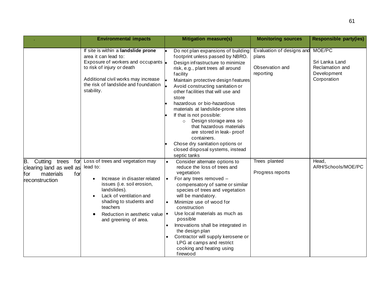|                                                                                                     | <b>Environmental impacts</b>                                                                                                                                                                                                                          | <b>Mitigation measure(s)</b>                                                                                                                                                                                                                                                                                                                                                                                                                                                                                                                                                                | <b>Monitoring sources</b>                                          | <b>Responsible party(ies)</b>                                             |
|-----------------------------------------------------------------------------------------------------|-------------------------------------------------------------------------------------------------------------------------------------------------------------------------------------------------------------------------------------------------------|---------------------------------------------------------------------------------------------------------------------------------------------------------------------------------------------------------------------------------------------------------------------------------------------------------------------------------------------------------------------------------------------------------------------------------------------------------------------------------------------------------------------------------------------------------------------------------------------|--------------------------------------------------------------------|---------------------------------------------------------------------------|
|                                                                                                     | If site is within a landslide prone<br>area it can lead to:<br>Exposure of workers and occupants  .<br>to risk of injury or death<br>Additional civil works may increase<br>the risk of landslide and foundation<br>stability.                        | Do not plan expansions of building<br>footprint unless passed by NBRO.<br>Design infrastructure to minimize<br>risk, e.g., plant trees all around<br>facility<br>Maintain protective design features<br>Avoid constructing sanitation or<br>other facilities that will use and<br>store<br>hazardous or bio-hazardous<br>materials at landslide-prone sites<br>If that is not possible:<br>Design storage area so<br>$\circ$<br>that hazardous materials<br>are stored in leak- proof<br>containers.<br>Chose dry sanitation options or<br>closed disposal systems, instead<br>septic tanks | Evaluation of designs and<br>plans<br>Observation and<br>reporting | MOE/PC<br>Sri Lanka Land<br>Reclamation and<br>Development<br>Corporation |
| В.<br>Cutting trees<br>for<br>clearing land as well as<br>materials<br>for<br>for<br>reconstruction | Loss of trees and vegetation may<br>lead to:<br>Increase in disaster related<br>issues (i.e. soil erosion,<br>landslides).<br>Lack of ventilation and<br>shading to students and<br>teachers<br>Reduction in aesthetic value<br>and greening of area. | Consider alternate options to<br>reduce the loss of trees and<br>vegetation<br>For any trees removed -<br>$\bullet$<br>compensatory of same or similar<br>species of trees and vegetation<br>will be mandatory.<br>Minimize use of wood for<br>construction<br>Use local materials as much as<br>$\bullet$<br>possible<br>Innovations shall be integrated in<br>the design plan<br>Contractor will supply kerosene or<br>LPG at camps and restrict<br>cooking and heating using<br>firewood                                                                                                 | Trees planted<br>Progress reports                                  | Head,<br>ARH/Schools/MOE/PC                                               |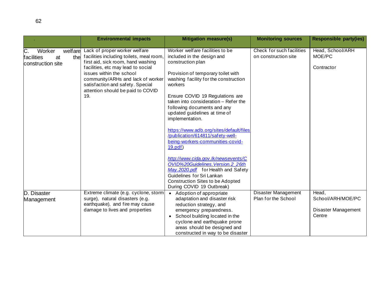|                                                              | <b>Environmental impacts</b>                                                                                                                                                                                                                                                                                   | <b>Mitigation measure(s)</b>                                                                                                                                                                                                                                                                                                                                                                                                                                                                                                                                                                                                                                                                   | <b>Monitoring sources</b>                         | <b>Responsible party(ies)</b>                               |
|--------------------------------------------------------------|----------------------------------------------------------------------------------------------------------------------------------------------------------------------------------------------------------------------------------------------------------------------------------------------------------------|------------------------------------------------------------------------------------------------------------------------------------------------------------------------------------------------------------------------------------------------------------------------------------------------------------------------------------------------------------------------------------------------------------------------------------------------------------------------------------------------------------------------------------------------------------------------------------------------------------------------------------------------------------------------------------------------|---------------------------------------------------|-------------------------------------------------------------|
| C.<br>Worker<br>the<br>facilities<br>at<br>construction site | welfare Lack of proper worker welfare<br>facilities including toilets, meal room,<br>first aid, sick room, hand washing<br>facilities, etc may lead to social<br>issues within the school<br>community/ARHs and lack of worker<br>satisfaction and safety. Special<br>attention should be paid to COVID<br>19. | Worker welfare facilities to be<br>included in the design and<br>construction plan<br>Provision of temporary toilet with<br>washing facility for the construction<br>workers<br>Ensure COVID 19 Regulations are<br>taken into consideration - Refer the<br>following documents and any<br>updated guidelines at time of<br>implementation.<br>https://www.adb.org/sites/default/files<br>/publication/614811/safety-well-<br>being-workers-communities-covid-<br>19.pdf<br>http://www.cida.gov.lk/newsevents/C<br>OVID%20Guidelines. Version.2 26th<br>May.2020.pdf for Health and Safety<br>Guidelines for Sri Lankan<br><b>Construction Sites to be Adopted</b><br>During COVID 19 Outbreak) | Check for such facilities<br>on construction site | Head, School/ARH<br>MOE/PC<br>Contractor                    |
| D. Disaster<br>Management                                    | Extreme climate (e.g. cyclone, storm)<br>surge), natural disasters (e.g.<br>earthquake), and fire may cause<br>damage to lives and properties                                                                                                                                                                  | • Adoption of appropriate<br>adaptation and disaster risk<br>reduction strategy, and<br>emergency preparedness.<br>• School building located in the<br>cyclone and earthquake prone<br>areas should be designed and<br>constructed in way to be disaster                                                                                                                                                                                                                                                                                                                                                                                                                                       | Disaster Management<br>Plan for the School        | Head,<br>School/ARH/MOE/PC<br>Disaster Management<br>Centre |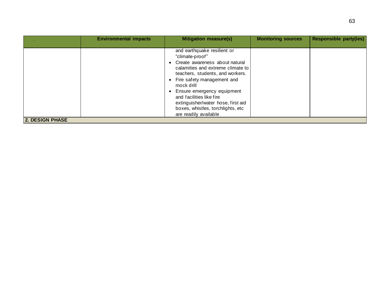|                        | <b>Environmental impacts</b> | <b>Mitigation measure(s)</b>                                                                                                                                                                                                                                                                                                                                              | <b>Monitoring sources</b> | <b>Responsible party(ies)</b> |
|------------------------|------------------------------|---------------------------------------------------------------------------------------------------------------------------------------------------------------------------------------------------------------------------------------------------------------------------------------------------------------------------------------------------------------------------|---------------------------|-------------------------------|
|                        |                              | and earthquake resilient or<br>"climate-proof"<br>• Create awareness about natural<br>calamities and extreme climate to<br>teachers, students, and workers.<br>• Fire safety management and<br>mock drill<br>• Ensure emergency equipment<br>and facilities like fire<br>extinguisher/water hose, first aid<br>boxes, whistles, torchlights, etc<br>are readily available |                           |                               |
| <b>2. DESIGN PHASE</b> |                              |                                                                                                                                                                                                                                                                                                                                                                           |                           |                               |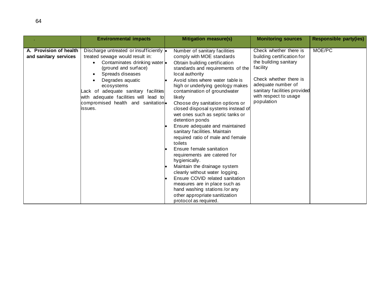|                                                 | <b>Environmental impacts</b>                                                                                                                                                                                                                                                                                                                                                | <b>Mitigation measure(s)</b>                                                                                                                                                                                                                                                                                                                                                                                                                                                                                                                                                                                                                                                                                                                                                                                                             | <b>Monitoring sources</b>                                                                                                                                                                                        | <b>Responsible party(ies)</b> |
|-------------------------------------------------|-----------------------------------------------------------------------------------------------------------------------------------------------------------------------------------------------------------------------------------------------------------------------------------------------------------------------------------------------------------------------------|------------------------------------------------------------------------------------------------------------------------------------------------------------------------------------------------------------------------------------------------------------------------------------------------------------------------------------------------------------------------------------------------------------------------------------------------------------------------------------------------------------------------------------------------------------------------------------------------------------------------------------------------------------------------------------------------------------------------------------------------------------------------------------------------------------------------------------------|------------------------------------------------------------------------------------------------------------------------------------------------------------------------------------------------------------------|-------------------------------|
| A. Provision of health<br>and sanitary services | Discharge untreated or insufficiently $\bullet$<br>treated sewage would result in:<br>Contaminates drinking water .<br>$\bullet$<br>(ground and surface)<br>Spreads diseases<br>$\bullet$<br>Degrades aquatic<br>$\bullet$<br>ecosystems<br>Lack of adequate sanitary facilities<br>with adequate facilities will lead to<br>compromised health and sanitation.<br>lissues. | Number of sanitary facilities<br>comply with MOE standards<br>Obtain building certification<br>standards and requirements of the<br>local authority<br>Avoid sites where water table is<br>high or underlying geology makes<br>contamination of groundwater<br>likely<br>Choose dry sanitation options or<br>closed disposal systems instead of<br>wet ones such as septic tanks or<br>detention ponds<br>Ensure adequate and maintained<br>sanitary facilities. Maintain<br>required ratio of male and female<br>toilets<br>Ensure female sanitation<br>requirements are catered for<br>hygienically.<br>Maintain the drainage system<br>cleanly without water logging.<br>Ensure COVID related sanitation<br>measures are in place such as<br>hand washing stations /or any<br>other appropriate sanitization<br>protocol as required. | Check whether there is<br>building certification for<br>the building sanitary<br>facility<br>Check whether there is<br>adequate number of<br>sanitary facilities provided<br>with respect to usage<br>population | MOE/PC                        |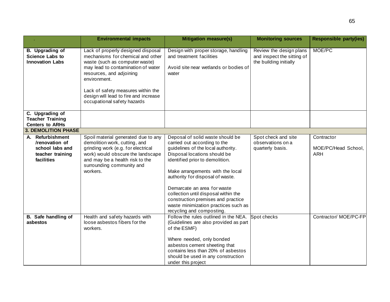|                                                                                         | <b>Environmental impacts</b>                                                                                                                                                                                                                                                                              | <b>Mitigation measure(s)</b>                                                                                                                                                                                                                                                                                                                                                                                                        | <b>Monitoring sources</b>                                                       | <b>Responsible party(ies)</b>                   |
|-----------------------------------------------------------------------------------------|-----------------------------------------------------------------------------------------------------------------------------------------------------------------------------------------------------------------------------------------------------------------------------------------------------------|-------------------------------------------------------------------------------------------------------------------------------------------------------------------------------------------------------------------------------------------------------------------------------------------------------------------------------------------------------------------------------------------------------------------------------------|---------------------------------------------------------------------------------|-------------------------------------------------|
| B. Upgrading of<br><b>Science Labs to</b><br><b>Innovation Labs</b>                     | Lack of properly designed disposal<br>mechanisms for chemical and other<br>waste (such as computer waste)<br>may lead to contamination of water<br>resources, and adjoining<br>environment.<br>Lack of safety measures within the<br>design will lead to fire and increase<br>occupational safety hazards | Design with proper storage, handling<br>and treatment facilities<br>Avoid site near wetlands or bodies of<br>water                                                                                                                                                                                                                                                                                                                  | Review the design plans<br>and inspect the sitting of<br>the building initially | MOE/PC                                          |
| C. Upgrading of<br><b>Teacher Training</b><br><b>Centers to ARHs</b>                    |                                                                                                                                                                                                                                                                                                           |                                                                                                                                                                                                                                                                                                                                                                                                                                     |                                                                                 |                                                 |
| <b>3. DEMOLITION PHASE</b>                                                              |                                                                                                                                                                                                                                                                                                           |                                                                                                                                                                                                                                                                                                                                                                                                                                     |                                                                                 |                                                 |
| A. Refurbishment<br>/renovation of<br>school labs and<br>teacher training<br>facilities | Spoil material generated due to any<br>demolition work, cutting, and<br>grinding work (e.g. for electrical<br>work) would obscure the landscape<br>and may be a health risk to the<br>surrounding community and<br>workers.                                                                               | Deposal of solid waste should be<br>carried out according to the<br>quidelines of the local authority.<br>Disposal locations should be<br>identified prior to demolition.<br>Make arrangements with the local<br>authority for disposal of waste.<br>Demarcate an area for waste<br>collection until disposal within the<br>construction premises and practice<br>waste minimization practices such as<br>recycling and composting. | Spot check and site<br>observations on a<br>quarterly basis.                    | Contractor<br>MOE/PC/Head School,<br><b>ARH</b> |
| B. Safe handling of<br>asbestos                                                         | Health and safety hazards with<br>loose asbestos fibers for the<br>workers.                                                                                                                                                                                                                               | Follow the rules outlined in the NEA.<br>(Guidelines are also provided as part<br>of the ESMF)<br>Where needed, only bonded<br>asbestos cement sheeting that<br>contains less than 20% of asbestos<br>should be used in any construction<br>under this project                                                                                                                                                                      | Spot checks                                                                     | Contractor/ MOE/PC-FP                           |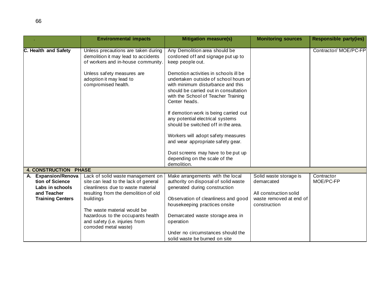|                                                                          | <b>Environmental impacts</b>                                                                                                                           | <b>Mitigation measure(s)</b>                                                                                                                                                                                         | <b>Monitoring sources</b>                                      | <b>Responsible party(ies)</b> |
|--------------------------------------------------------------------------|--------------------------------------------------------------------------------------------------------------------------------------------------------|----------------------------------------------------------------------------------------------------------------------------------------------------------------------------------------------------------------------|----------------------------------------------------------------|-------------------------------|
| C. Health and Safety                                                     | Unless precautions are taken during<br>demolition it may lead to accidents<br>of workers and in-house community.                                       | Any Demolition area should be<br>cordoned off and signage put up to<br>keep people out.                                                                                                                              |                                                                | Contractor/ MOE/PC-FP         |
|                                                                          | Unless safety measures are<br>adoption it may lead to<br>compromised health.                                                                           | Demotion activities in schools ill be<br>undertaken outside of school hours or<br>with minimum disturbance and this<br>should be carried out in consultation<br>with the School of Teacher Training<br>Center heads. |                                                                |                               |
|                                                                          |                                                                                                                                                        | If demotion work is being carried out<br>any potential electrical systems<br>should be switched off in the area.                                                                                                     |                                                                |                               |
|                                                                          |                                                                                                                                                        | Workers will adopt safety measures<br>and wear appropriate safety gear.                                                                                                                                              |                                                                |                               |
|                                                                          |                                                                                                                                                        | Dust screens may have to be put up<br>depending on the scale of the<br>demolition.                                                                                                                                   |                                                                |                               |
| <b>4. CONSTRUCTION PHASE</b>                                             |                                                                                                                                                        |                                                                                                                                                                                                                      |                                                                |                               |
| A. Expansion/Renova<br>tion of Science<br>Labs in schools<br>and Teacher | Lack of solid waste management on<br>site can lead to the lack of general<br>cleanliness due to waste material<br>resulting from the demolition of old | Make arrangements with the local<br>authority on disposal of solid waste<br>generated during construction                                                                                                            | Solid waste storage is<br>demarcated<br>All construction solid | Contractor<br>MOE/PC-FP       |
| <b>Training Centers</b>                                                  | buildings<br>The waste material would be                                                                                                               | Observation of cleanliness and good<br>housekeeping practices onsite                                                                                                                                                 | waste removed at end of<br>construction                        |                               |
|                                                                          | hazardous to the occupants health<br>and safety (i.e. injuries from<br>corroded metal waste)                                                           | Demarcated waste storage area in<br>operation                                                                                                                                                                        |                                                                |                               |
|                                                                          |                                                                                                                                                        | Under no circumstances should the<br>solid waste be burned on site                                                                                                                                                   |                                                                |                               |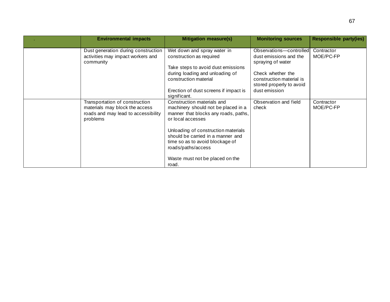| <b>Environmental impacts</b>                                                                                        | <b>Mitigation measure(s)</b>                                                                                                                              | <b>Monitoring sources</b>                                                                                                                           | <b>Responsible party(ies)</b> |
|---------------------------------------------------------------------------------------------------------------------|-----------------------------------------------------------------------------------------------------------------------------------------------------------|-----------------------------------------------------------------------------------------------------------------------------------------------------|-------------------------------|
| Dust generation during construction<br>activities may impact workers and<br>community                               | Wet down and spray water in<br>construction as required<br>Take steps to avoid dust emissions<br>during loading and unloading of<br>construction material | Observations-controlled<br>dust emissions and the<br>spraying of water<br>Check whether the<br>construction material is<br>stored properly to avoid | Contractor<br>MOE/PC-FP       |
|                                                                                                                     | Erection of dust screens if impact is<br>significant.                                                                                                     | dust emission                                                                                                                                       |                               |
| Transportation of construction<br>materials may block the access<br>roads and may lead to accessibility<br>problems | Construction materials and<br>machinery should not be placed in a<br>manner that blocks any roads, paths,<br>or local accesses                            | Observation and field<br>check                                                                                                                      | Contractor<br>MOE/PC-FP       |
|                                                                                                                     | Unloading of construction materials<br>should be carried in a manner and<br>time so as to avoid blockage of<br>roads/paths/access                         |                                                                                                                                                     |                               |
|                                                                                                                     | Waste must not be placed on the<br>road.                                                                                                                  |                                                                                                                                                     |                               |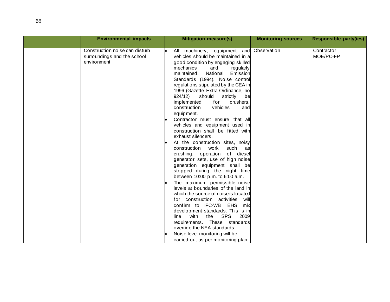| All machinery, equipment and Observation<br>Construction noise can disturb<br>Contractor<br>MOE/PC-FP<br>vehicles should be maintained in a<br>surroundings and the school<br>environment<br>good condition by engaging skilled<br>mechanics<br>and<br>regularly                                                                                                                                                                                                                                                                                                                                                                                                                                                                                                                                                                                                                                                                                                                                                                               | <b>Environmental impacts</b> | <b>Mitigation measure(s)</b>        | <b>Monitoring sources</b> | <b>Responsible party(ies)</b> |
|------------------------------------------------------------------------------------------------------------------------------------------------------------------------------------------------------------------------------------------------------------------------------------------------------------------------------------------------------------------------------------------------------------------------------------------------------------------------------------------------------------------------------------------------------------------------------------------------------------------------------------------------------------------------------------------------------------------------------------------------------------------------------------------------------------------------------------------------------------------------------------------------------------------------------------------------------------------------------------------------------------------------------------------------|------------------------------|-------------------------------------|---------------------------|-------------------------------|
| Standards (1994). Noise control<br>regulations stipulated by the CEA in<br>1996 (Gazette Extra Ordinance, no<br>924/12)<br>should<br>strictly<br>be<br>implemented<br>crushers,<br>for<br>vehicles<br>construction<br>and<br>equipment.<br>Contractor must ensure that all<br>vehicles and equipment used in<br>construction shall be fitted with<br>exhaust silencers.<br>At the construction sites, noisy<br>construction work<br>such<br>as<br>crushing, operation of diesel<br>generator sets, use of high noise<br>generation equipment shall be<br>stopped during the night time<br>between 10:00 p.m. to 6:00 a.m.<br>The maximum permissible noise<br>levels at boundaries of the land in<br>which the source of noise is located<br>for construction activities<br>will<br>confirm to IFC-WB<br>EHS<br>mix<br>development standards. This is in<br><b>SPS</b><br>2009<br>with<br>the<br>line<br>requirements. These standards<br>override the NEA standards.<br>Noise level monitoring will be<br>carried out as per monitoring plan. |                              | National<br>Emission<br>maintained. |                           |                               |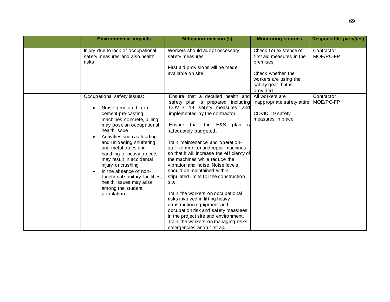| <b>Environmental impacts</b>                                                                                                                                                                                                                                                                                                                                                                                                                   | <b>Mitigation measure(s)</b>                                                                                                                                                                                                                                                                                                                                                                                                                                                                                                                                                                                                                                                                                                                   | <b>Monitoring sources</b>                                                                                                                        | <b>Responsible party(ies)</b> |
|------------------------------------------------------------------------------------------------------------------------------------------------------------------------------------------------------------------------------------------------------------------------------------------------------------------------------------------------------------------------------------------------------------------------------------------------|------------------------------------------------------------------------------------------------------------------------------------------------------------------------------------------------------------------------------------------------------------------------------------------------------------------------------------------------------------------------------------------------------------------------------------------------------------------------------------------------------------------------------------------------------------------------------------------------------------------------------------------------------------------------------------------------------------------------------------------------|--------------------------------------------------------------------------------------------------------------------------------------------------|-------------------------------|
| Injury due to lack of occupational<br>safety measures and also health<br>risks                                                                                                                                                                                                                                                                                                                                                                 | Workers should adopt necessary<br>safety measures<br>First aid provisions will be made<br>available on site                                                                                                                                                                                                                                                                                                                                                                                                                                                                                                                                                                                                                                    | Check for existence of<br>first aid measures in the<br>premises<br>Check whether the<br>workers are using the<br>safety gear that is<br>provided | Contractor<br>MOE/PC-FP       |
| Occupational safety issues:<br>Noise generated from<br>cement pre-casting<br>machines concrete, pilling<br>may pose an occupational<br>health issue<br>Activities such as loading<br>and unloading shuttering<br>and metal poles and<br>handling of heavy objects<br>may result in accidental<br>injury or crushing<br>In the absence of non-<br>functional sanitary facilities,<br>health issues may arise<br>among the student<br>population | Ensure that a detailed health and<br>safety plan is prepared including<br>COVID 19 safety measures and<br>implemented by the contractor,<br>Ensure that the H&S<br>plan is<br>adequately budgeted.<br>Train maintenance and operation-<br>staff to monitor and repair machines<br>so that it will increase the efficiency of<br>the machines while reduce the<br>vibration and noise. Noise levels<br>should be maintained within<br>stipulated limits for the construction<br>site<br>Train the workers on occupational<br>risks involved in lifting heavy<br>construction equipment and<br>occupation risk and safety measures<br>in the project site and environment.<br>Train the workers on managing risks,<br>emergencies anon first aid | All workers are<br>inappropriate safety attire<br>COVID 19 safety<br>measures in place                                                           | Contractor<br>MOE/PC-FP       |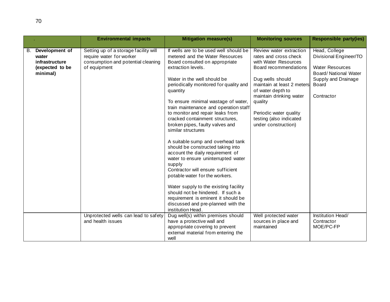|    |                                                                          | <b>Environmental impacts</b>                                                                                            | <b>Mitigation measure(s)</b>                                                                                                                                                                                                                                                                                                                                                                                                                                                | <b>Monitoring sources</b>                                                                                                                                                                                                                                                                  | <b>Responsible party(ies)</b>                                                                                                                   |
|----|--------------------------------------------------------------------------|-------------------------------------------------------------------------------------------------------------------------|-----------------------------------------------------------------------------------------------------------------------------------------------------------------------------------------------------------------------------------------------------------------------------------------------------------------------------------------------------------------------------------------------------------------------------------------------------------------------------|--------------------------------------------------------------------------------------------------------------------------------------------------------------------------------------------------------------------------------------------------------------------------------------------|-------------------------------------------------------------------------------------------------------------------------------------------------|
| В. | Development of<br>water<br>infrastructure<br>(expected to be<br>minimal) | Setting up of a storage facility will<br>require water for worker<br>consumption and potential cleaning<br>of equipment | If wells are to be used well should be<br>metered and the Water Resources<br>Board consulted on appropriate<br>extraction levels.<br>Water in the well should be<br>periodically monitored for quality and<br>quantity<br>To ensure minimal wastage of water,<br>train maintenance and operation staff<br>to monitor and repair leaks from<br>cracked containment structures,<br>broken pipes, faulty valves and<br>similar structures<br>A suitable sump and overhead tank | Review water extraction<br>rates and cross check<br>with Water Resources<br>Board recommendations<br>Dug wells should<br>maintain at least 2 meters<br>of water depth to<br>maintain drinking water<br>quality<br>Periodic water quality<br>testing (also indicated<br>under construction) | Head, College<br>Divisional Engineer/TO<br><b>Water Resources</b><br><b>Board/ National Water</b><br>Supply and Drainage<br>Board<br>Contractor |
|    |                                                                          | Unprotected wells can lead to safety                                                                                    | should be constructed taking into<br>account the daily requirement of<br>water to ensure uninterrupted water<br>supply<br>Contractor will ensure sufficient<br>potable water for the workers.<br>Water supply to the existing facility<br>should not be hindered. If such a<br>requirement is eminent it should be<br>discussed and pre-planned with the<br>institution Head.<br>Dug well(s) within premises should                                                         | Well protected water                                                                                                                                                                                                                                                                       | Institution Head/                                                                                                                               |
|    |                                                                          | and health issues                                                                                                       | have a protective wall and<br>appropriate covering to prevent<br>external material from entering the<br>well                                                                                                                                                                                                                                                                                                                                                                | sources in place and<br>maintained                                                                                                                                                                                                                                                         | Contractor<br>MOE/PC-FP                                                                                                                         |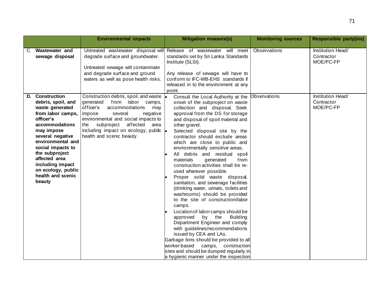|    |                                                                                                                                                                                                                                                                                                          | <b>Environmental impacts</b>                                                                                                                                                                                                                                                                    | <b>Mitigation measure(s)</b>                                                                                                                                                                                                                                                                                                                                                                                                                                                                                                                                                                                                                                                                                                                                                                                                                                                                                                                                                                                                         | <b>Monitoring sources</b> | <b>Responsible party(ies)</b>                |
|----|----------------------------------------------------------------------------------------------------------------------------------------------------------------------------------------------------------------------------------------------------------------------------------------------------------|-------------------------------------------------------------------------------------------------------------------------------------------------------------------------------------------------------------------------------------------------------------------------------------------------|--------------------------------------------------------------------------------------------------------------------------------------------------------------------------------------------------------------------------------------------------------------------------------------------------------------------------------------------------------------------------------------------------------------------------------------------------------------------------------------------------------------------------------------------------------------------------------------------------------------------------------------------------------------------------------------------------------------------------------------------------------------------------------------------------------------------------------------------------------------------------------------------------------------------------------------------------------------------------------------------------------------------------------------|---------------------------|----------------------------------------------|
| C. | Wastewater and<br>sewage disposal                                                                                                                                                                                                                                                                        | degrade surface and groundwater.<br>Untreated sewage will contaminate<br>and degrade surface and ground<br>waters as well as pose health risks.                                                                                                                                                 | Untreated wastewater disposal will Release of wastewater will meet<br>standards set by Sri Lanka Standards<br>Institute (SLSI).<br>Any release of sewage will have to<br>conform to IFC-WB-EHS standards if<br>released in to the environment at any<br>point.                                                                                                                                                                                                                                                                                                                                                                                                                                                                                                                                                                                                                                                                                                                                                                       | Observations              | Institution Head/<br>Contractor<br>MOE/PC-FP |
| D. | <b>Construction</b><br>debris, spoil, and<br>waste generated<br>from labor camps,<br>officer's<br>accommodations<br>may impose<br>several negative<br>environmental and<br>social impacts to<br>the subproject<br>affected area<br>including impact<br>on ecology, public<br>health and scenic<br>beauty | Construction debris, spoil, and waste<br>from labor camps,<br>generated<br>officer's<br>accommodations<br>may<br>impose<br>several<br>negative<br>environmental and social impacts to<br>subproject affected<br>the<br>area<br>including impact on ecology, public<br>health and scenic beauty. | Consult the Local Authority at the<br>onset of the subproject on waste<br>collection and disposal. Seek<br>approval from the DS for storage<br>and disposal of spoil material and<br>other gravel.<br>Selected disposal site by the<br>contractor should exclude areas<br>which are close to public and<br>environmentally sensitive areas.<br>All debris and residual spoil<br>materials<br>generated<br>from<br>construction activities shall be re-<br>used wherever possible.<br>Proper solid waste disposal,<br>sanitation, and sewerage facilities<br>(drinking water, urinals, toilets and<br>washrooms) should be provided<br>to the site of construction/labor<br>camps.<br>Location of labor camps should be<br>approved<br>by the<br><b>Building</b><br>Department Engineer and comply<br>with guidelines/recommendations<br>issued by CEA and LAs.<br>Garbage bins should be provided to all<br>worker-based<br>camps, construction<br>sites and should be dumped regularly in<br>a hygienic manner under the inspection | Observations              | Institution Head/<br>Contractor<br>MOE/PC-FP |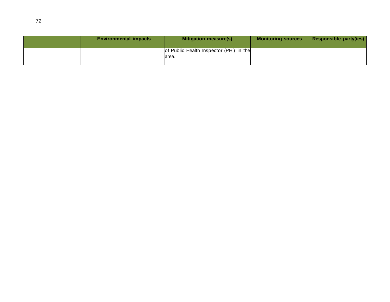| <b>Environmental impacts</b> | Mitigation measure(s)                             | <b>Monitoring sources</b> | Responsible party(ies) |
|------------------------------|---------------------------------------------------|---------------------------|------------------------|
|                              | of Public Health Inspector (PHI) in the<br>larea. |                           |                        |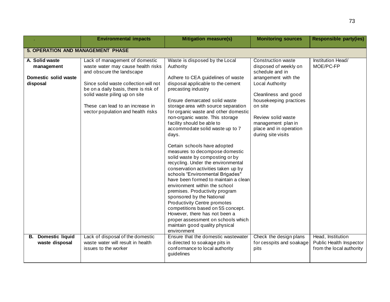|                                                      | <b>Environmental impacts</b>                                                                                                                                                                                                                                                                                           | <b>Monitoring sources</b>                                                                                                                                                                                                                                                                                                                                                                                                                                                                                                                                                                                                                                                                                                                        | <b>Responsible party(ies)</b>                                                                                                                                                                    |                                                                          |
|------------------------------------------------------|------------------------------------------------------------------------------------------------------------------------------------------------------------------------------------------------------------------------------------------------------------------------------------------------------------------------|--------------------------------------------------------------------------------------------------------------------------------------------------------------------------------------------------------------------------------------------------------------------------------------------------------------------------------------------------------------------------------------------------------------------------------------------------------------------------------------------------------------------------------------------------------------------------------------------------------------------------------------------------------------------------------------------------------------------------------------------------|--------------------------------------------------------------------------------------------------------------------------------------------------------------------------------------------------|--------------------------------------------------------------------------|
| <b>5. OPERATION AND MANAGEMENT PHASE</b>             |                                                                                                                                                                                                                                                                                                                        |                                                                                                                                                                                                                                                                                                                                                                                                                                                                                                                                                                                                                                                                                                                                                  |                                                                                                                                                                                                  |                                                                          |
| A. Solid waste<br>management<br>Domestic solid waste | Lack of management of domestic<br>waste water may cause health risks<br>and obscure the landscape                                                                                                                                                                                                                      | Waste is disposed by the Local<br>Authority                                                                                                                                                                                                                                                                                                                                                                                                                                                                                                                                                                                                                                                                                                      | <b>Construction waste</b><br>disposed of weekly on<br>schedule and in                                                                                                                            | Institution Head/<br>MOE/PC-FP                                           |
| disposal                                             | Since solid waste collection will not<br>be on a daily basis, there is risk of<br>precasting industry<br>solid waste piling up on site<br>These can lead to an increase in<br>vector population and health risks<br>facility should be able to<br>days.<br>sponsored by the National<br>maintain good quality physical | Adhere to CEA guidelines of waste<br>disposal applicable to the cement<br>Ensure demarcated solid waste<br>storage area with source separation<br>for organic waste and other domestic<br>non-organic waste. This storage<br>accommodate solid waste up to 7<br>Certain schools have adopted<br>measures to decompose domestic<br>solid waste by composting or by<br>recycling. Under the environmental<br>conservation activities taken up by<br>schools "Environmental Brigades"<br>have been formed to maintain a clean<br>environment within the school<br>premises. Productivity program<br><b>Productivity Centre promotes</b><br>competitions based on 5S concept.<br>However, there has not been a<br>proper assessment on schools which | arrangement with the<br>Local Authority<br>Cleanliness and good<br>housekeeping practices<br>on site<br>Review solid waste<br>management plan in<br>place and in operation<br>during site visits |                                                                          |
| <b>B.</b> Domestic liquid<br>waste disposal          | Lack of disposal of the domestic<br>waste water will result in health<br>issues to the worker                                                                                                                                                                                                                          | environment<br>Ensure that the domestic wastewater<br>is directed to soakage pits in<br>conformance to local authority<br>guidelines                                                                                                                                                                                                                                                                                                                                                                                                                                                                                                                                                                                                             | Check the design plans<br>for cesspits and soakage<br>pits                                                                                                                                       | Head, Institution<br>Public Health Inspector<br>from the local authority |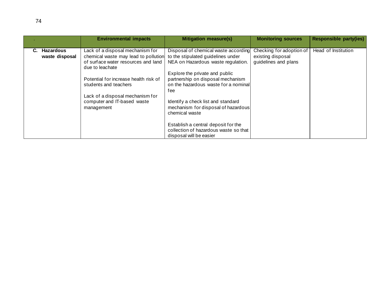|                | <b>Environmental impacts</b>                                                | <b>Mitigation measure(s)</b>                                              | <b>Monitoring sources</b>                 | <b>Responsible party(ies)</b> |
|----------------|-----------------------------------------------------------------------------|---------------------------------------------------------------------------|-------------------------------------------|-------------------------------|
| Hazardous      | Lack of a disposal mechanism for                                            | Disposal of chemical waste according                                      | Checking for adoption of                  | Head of Institution           |
| waste disposal | chemical waste may lead to pollution<br>of surface water resources and land | to the stipulated guidelines under<br>NEA on Hazardous waste regulation.  | existing disposal<br>guidelines and plans |                               |
|                | due to leachate                                                             |                                                                           |                                           |                               |
|                |                                                                             | Explore the private and public                                            |                                           |                               |
|                | Potential for increase health risk of<br>students and teachers              | partnership on disposal mechanism<br>on the hazardous waste for a nominal |                                           |                               |
|                |                                                                             | fee                                                                       |                                           |                               |
|                | Lack of a disposal mechanism for                                            |                                                                           |                                           |                               |
|                | computer and IT-based waste                                                 | Identify a check list and standard                                        |                                           |                               |
|                | management                                                                  | mechanism for disposal of hazardous<br>chemical waste                     |                                           |                               |
|                |                                                                             | Establish a central deposit for the                                       |                                           |                               |
|                |                                                                             | collection of hazardous waste so that                                     |                                           |                               |
|                |                                                                             | disposal will be easier                                                   |                                           |                               |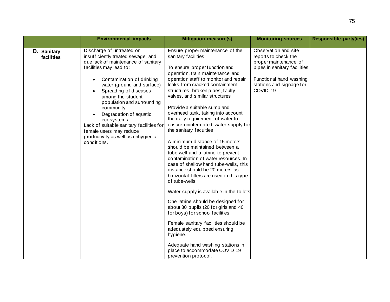|                           | <b>Environmental impacts</b>                                                                                                                                                                                                                                                                                                                                                                                                                              | <b>Mitigation measure(s)</b>                                                                                                                                                                                                                                                                                                                                                                                                                                                                                                                                                                                                                                                                                                                                                                                                                                                                                                                                                                                                                                                                           | <b>Monitoring sources</b>                                                                                                                                                 |  |  |  |  |
|---------------------------|-----------------------------------------------------------------------------------------------------------------------------------------------------------------------------------------------------------------------------------------------------------------------------------------------------------------------------------------------------------------------------------------------------------------------------------------------------------|--------------------------------------------------------------------------------------------------------------------------------------------------------------------------------------------------------------------------------------------------------------------------------------------------------------------------------------------------------------------------------------------------------------------------------------------------------------------------------------------------------------------------------------------------------------------------------------------------------------------------------------------------------------------------------------------------------------------------------------------------------------------------------------------------------------------------------------------------------------------------------------------------------------------------------------------------------------------------------------------------------------------------------------------------------------------------------------------------------|---------------------------------------------------------------------------------------------------------------------------------------------------------------------------|--|--|--|--|
| D. Sanitary<br>facilities | Discharge of untreated or<br>insufficiently treated sewage, and<br>due lack of maintenance of sanitary<br>facilities may lead to:<br>Contamination of drinking<br>water (ground and surface)<br>Spreading of diseases<br>among the student<br>population and surrounding<br>community<br>Degradation of aquatic<br>ecosystems<br>Lack of suitable sanitary facilities for<br>female users may reduce<br>productivity as well as unhygienic<br>conditions. | Ensure proper maintenance of the<br>sanitary facilities<br>To ensure proper function and<br>operation, train maintenance and<br>operation staff to monitor and repair<br>leaks from cracked containment<br>structures, broken pipes, faulty<br>valves, and similar structures<br>Provide a suitable sump and<br>overhead tank, taking into account<br>the daily requirement of water to<br>ensure uninterrupted water supply for<br>the sanitary faculties<br>A minimum distance of 15 meters<br>should be maintained between a<br>tube-well and a latrine to prevent<br>contamination of water resources. In<br>case of shallow hand tube-wells, this<br>distance should be 20 meters as<br>horizontal filters are used in this type<br>of tube-wells<br>Water supply is available in the toilets<br>One latrine should be designed for<br>about 30 pupils (20 for girls and 40<br>for boys) for school facilities.<br>Female sanitary facilities should be<br>adequately equipped ensuring<br>hygiene.<br>Adequate hand washing stations in<br>place to accommodate COVID 19<br>prevention protocol. | Observation and site<br>reports to check the<br>proper maintenance of<br>pipes in sanitary facilities<br>Functional hand washing<br>stations and signage for<br>COVID 19. |  |  |  |  |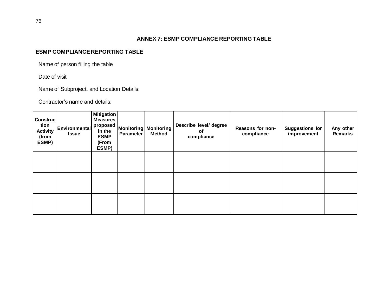#### **ANNEX 7: ESMP COMPLIANCE REPORTING TABLE**

## **ESMP COMPLIANCE REPORTING TABLE**

Name of person filling the table

Date of visit

Name of Subproject, and Location Details:

Contractor's name and details:

| <b>Construc</b><br>tion<br><b>Activity</b><br>(from<br>ESMP) | Environmental<br><b>Issue</b> | <b>Mitigation</b><br><b>Measures</b><br>proposed<br>in the<br><b>ESMP</b><br>(From<br>ESMP) | Parameter | <b>Monitoring Monitoring</b><br><b>Method</b> | Describe level/ degree<br>οf<br>compliance | Reasons for non-<br>compliance | <b>Suggestions for</b><br>improvement | Any other<br><b>Remarks</b> |
|--------------------------------------------------------------|-------------------------------|---------------------------------------------------------------------------------------------|-----------|-----------------------------------------------|--------------------------------------------|--------------------------------|---------------------------------------|-----------------------------|
|                                                              |                               |                                                                                             |           |                                               |                                            |                                |                                       |                             |
|                                                              |                               |                                                                                             |           |                                               |                                            |                                |                                       |                             |
|                                                              |                               |                                                                                             |           |                                               |                                            |                                |                                       |                             |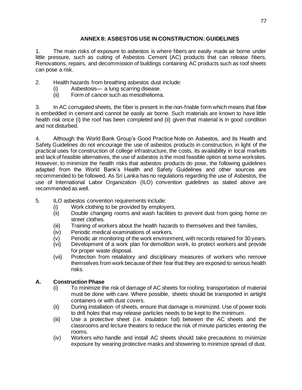## **ANNEX 8: ASBESTOS USE IN CONSTRUCTION: GUIDELINES**

1. The main risks of exposure to asbestos is where fibers are easily made air borne under little pressure, such as cutting of Asbestos Cement (AC) products that can release fibers. Renovations, repairs, and decommission of buildings containing AC products such as roof sheets can pose a risk.

2. Health hazards from breathing asbestos dust include:

- (i) Asbestosis— a lung scarring disease.
- (ii) Form of cancer such as mesothelioma.

3. In AC corrugated sheets, the fiber is present in the non-friable form which means that fiber is embedded in cement and cannot be easily air borne. Such materials are known to have little health risk once (i) the roof has been completed and (ii) given that material is in good condition and not disturbed.

4. Although the World Bank Group's Good Practice Note on Asbestos, and its Health and Safety Guidelines do not encourage the use of asbestos products in construction, in light of the practical uses for construction of college infrastructure, the costs, its availability in local markets and lack of feasible alternatives, the use of asbestos is the most feasible option at some worksites. However, to minimize the health risks that asbestos products do pose, the following guidelines adapted from the World Bank's Health and Safety Guidelines and other sources are recommended to be followed. As Sri Lanka has no regulations regarding the use of Asbestos, the use of International Labor Organization (ILO) convention guidelines as stated above are recommended as well.

- 5. ILO asbestos convention requirements include:
	- (i) Work clothing to be provided by employers.
	- (ii) Double changing rooms and wash facilities to prevent dust from going home on street clothes.
	- (iii) Training of workers about the health hazards to themselves and their families,
	- (iv) Periodic medical examinations of workers.
	- (v) Periodic air monitoring of the work environment, with records retained for 30 years.
	- (vi) Development of a work plan for demolition work, to protect workers and provide for proper waste disposal.
	- (vii) Protection from retaliatory and disciplinary measures of workers who remove themselves from work because of their fear that they are exposed to serious health risks.

# **A. Construction Phase**

- (i) To minimize the risk of damage of AC sheets for roofing, transportation of material must be done with care. Where possible, sheets should be transported in airtight containers or with dust covers.
- (ii) During installation of sheets, ensure that damage is minimized. Use of power tools to drill holes that may release particles needs to be kept to the minimum.
- (iii) Use a protective sheet (i.e. insulation foil) between the AC sheets and the classrooms and lecture theaters to reduce the risk of minute particles entering the rooms.
- (iv) Workers who handle and install AC sheets should take precautions to minimize exposure by wearing protective masks and showering to minimize spread of dust.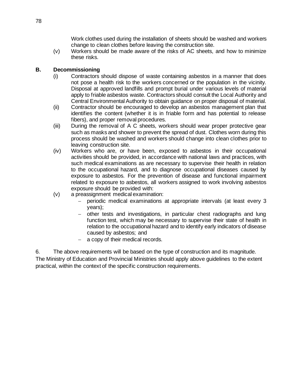Work clothes used during the installation of sheets should be washed and workers change to clean clothes before leaving the construction site.

(v) Workers should be made aware of the risks of AC sheets, and how to minimize these risks.

## **B. Decommissioning**

- (i) Contractors should dispose of waste containing asbestos in a manner that does not pose a health risk to the workers concerned or the population in the vicinity. Disposal at approved landfills and prompt burial under various levels of material apply to friable asbestos waste. Contractors should consult the Local Authority and Central Environmental Authority to obtain guidance on proper disposal of material.
- (ii) Contractor should be encouraged to develop an asbestos management plan that identifies the content (whether it is in friable form and has potential to release fibers), and proper removal procedures.
- (iii) During the removal of A C sheets, workers should wear proper protective gear such as masks and shower to prevent the spread of dust. Clothes worn during this process should be washed and workers should change into clean clothes prior to leaving construction site.
- (iv) Workers who are, or have been, exposed to asbestos in their occupational activities should be provided, in accordance with national laws and practices, with such medical examinations as are necessary to supervise their health in relation to the occupational hazard, and to diagnose occupational diseases caused by exposure to asbestos. For the prevention of disease and functional impairment related to exposure to asbestos, all workers assigned to work involving asbestos exposure should be provided with:
- (v) a preassignment medical examination:
	- − periodic medical examinations at appropriate intervals (at least every 3 years);
	- − other tests and investigations, in particular chest radiographs and lung function test, which may be necessary to supervise their state of health in relation to the occupational hazard and to identify early indicators of disease caused by asbestos; and
	- − a copy of their medical records.

6. The above requirements will be based on the type of construction and its magnitude.

The Ministry of Education and Provincial Ministries should apply above guidelines to the extent practical, within the context of the specific construction requirements.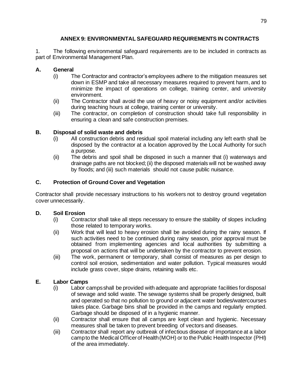# **ANNEX 9: ENVIRONMENTAL SAFEGUARD REQUIREMENTS IN CONTRACTS**

1. The following environmental safeguard requirements are to be included in contracts as part of Environmental Management Plan.

## **A. General**

- (i) The Contractor and contractor's employees adhere to the mitigation measures set down in ESMP and take all necessary measures required to prevent harm, and to minimize the impact of operations on college, training center, and university environment.
- (ii) The Contractor shall avoid the use of heavy or noisy equipment and/or activities during teaching hours at college, training center or university.
- (iii) The contractor, on completion of construction should take full responsibility in ensuring a clean and safe construction premises.

## **B. Disposal of solid waste and debris**

- (i) All construction debris and residual spoil material including any left earth shall be disposed by the contractor at a location approved by the Local Authority for such a purpose.
- (ii) The debris and spoil shall be disposed in such a manner that (i) waterways and drainage paths are not blocked; (ii) the disposed materials will not be washed away by floods; and (iii) such materials should not cause public nuisance.

# **C. Protection of Ground Cover and Vegetation**

Contractor shall provide necessary instructions to his workers not to destroy ground vegetation cover unnecessarily.

## **D. Soil Erosion**

- (i) Contractor shall take all steps necessary to ensure the stability of slopes including those related to temporary works.
- (ii) Work that will lead to heavy erosion shall be avoided during the rainy season. If such activities need to be continued during rainy season, prior approval must be obtained from implementing agencies and local authorities by submitting a proposal on actions that will be undertaken by the contractor to prevent erosion.
- (iii) The work, permanent or temporary, shall consist of measures as per design to control soil erosion, sedimentation and water pollution. Typical measures would include grass cover, slope drains, retaining walls etc.

## **E. Labor Camps**

- (i) Labor camps shall be provided with adequate and appropriate facilities for disposal of sewage and solid waste. The sewage systems shall be properly designed, built and operated so that no pollution to ground or adjacent water bodies/watercourses takes place. Garbage bins shall be provided in the camps and regularly emptied. Garbage should be disposed of in a hygienic manner.
- (ii) Contractor shall ensure that all camps are kept clean and hygienic. Necessary measures shall be taken to prevent breeding of vectors and diseases.
- (iii) Contractor shall report any outbreak of infectious disease of importance at a labor camp to the Medical Officer of Health (MOH) or to the Public Health Inspector (PHI) of the area immediately.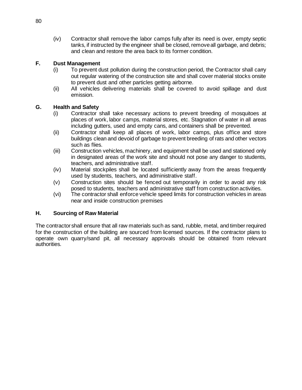(iv) Contractor shall remove the labor camps fully after its need is over, empty septic tanks, if instructed by the engineer shall be closed, remove all garbage, and debris; and clean and restore the area back to its former condition.

## **F. Dust Management**

- (i) To prevent dust pollution during the construction period, the Contractor shall carry out regular watering of the construction site and shall cover material stocks onsite to prevent dust and other particles getting airborne.
- (ii) All vehicles delivering materials shall be covered to avoid spillage and dust emission.

#### **G. Health and Safety**

- (i) Contractor shall take necessary actions to prevent breeding of mosquitoes at places of work, labor camps, material stores, etc. Stagnation of water in all areas including gutters, used and empty cans, and containers shall be prevented.
- (ii) Contractor shall keep all places of work, labor camps, plus office and store buildings clean and devoid of garbage to prevent breeding of rats and other vectors such as flies.
- (iii) Construction vehicles, machinery, and equipment shall be used and stationed only in designated areas of the work site and should not pose any danger to students, teachers, and administrative staff.
- (iv) Material stockpiles shall be located sufficiently away from the areas frequently used by students, teachers, and administrative staff.
- (v) Construction sites should be fenced out temporarily in order to avoid any risk posed to students, teachers and administrative staff from construction activities.
- (vi) The contractor shall enforce vehicle speed limits for construction vehicles in areas near and inside construction premises

#### **H. Sourcing of Raw Material**

The contractor shall ensure that all raw materials such as sand, rubble, metal, and timber required for the construction of the building are sourced from licensed sources. If the contractor plans to operate own quarry/sand pit, all necessary approvals should be obtained from relevant authorities.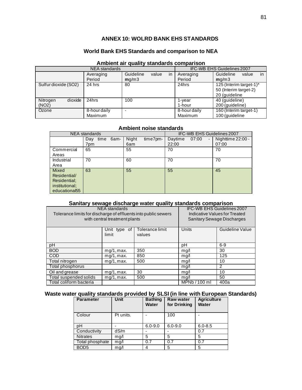#### **ANNEX 10: WOLRD BANK EHS STANDARDS**

## **World Bank EHS Standards and comparison to NEA**

#### **Ambient air quality standards comparison**

|                      | <b>NEA</b> standards | IFC-WB EHS Guidelines 2007 |       |                       |              |                          |
|----------------------|----------------------|----------------------------|-------|-----------------------|--------------|--------------------------|
|                      | Averaging            | Guideline                  | value | $\mathsf{I}$          | Averaging    | in<br>Guideline<br>value |
|                      | Period               | mg/m3                      |       |                       | Period       | mq/m3                    |
| Sulfur dioxide (SO2) | 24 hrs               | 80                         |       |                       | 24hrs        | 125 (Interim target-1)*  |
|                      |                      |                            |       | 50 (Interim target-2) |              |                          |
|                      |                      |                            |       |                       |              | 20 (guideline            |
| dioxide<br>Nitrogen  | 24hrs                | 100                        |       |                       | 1-year       | 40 (guideline)           |
| (NO2)                |                      |                            |       |                       | 1-hour       | 200 (guideline)          |
| Ozone                | 8-hour daily         |                            |       |                       | 8-hour daily | 160 (Interim target-1)   |
|                      | Maximum              |                            |       |                       | Maximum      | 100 (guideline           |

#### **Ambient noise standards**

| <b>NEA</b> standards      |             |      |       | IFC-WB EHS Guidelines 2007 |         |       |                          |                   |
|---------------------------|-------------|------|-------|----------------------------|---------|-------|--------------------------|-------------------|
|                           | time<br>Day | 6am- | Night | time7pm-                   | Daytime | 07:00 | $\overline{\phantom{0}}$ | Nighttime 22:00 - |
|                           | 7pm         |      | 6am   |                            | 22:00   |       |                          | 07:00             |
| Commercial                | 65          |      | 55    |                            | 70      |       |                          | 70                |
| Areas                     |             |      |       |                            |         |       |                          |                   |
| Industrial                | 70          |      | 60    |                            | 70      |       |                          | 70                |
| Area                      |             |      |       |                            |         |       |                          |                   |
| Mixed                     | 63          |      | 55    |                            | 55      |       |                          | 45                |
| Residential/              |             |      |       |                            |         |       |                          |                   |
| Residential:              |             |      |       |                            |         |       |                          |                   |
| institutional;            |             |      |       |                            |         |       |                          |                   |
| educational <sub>55</sub> |             |      |       |                            |         |       |                          |                   |

#### **Sanitary sewage discharge water quality standards comparison**

| NEA standards<br>Tolerance limits for discharge of effluents into public sewers<br>with central treatment plants |                       |                           | <b>IFC-WB EHS Guidelines 2007</b><br>Indicative Values for Treated<br>Sanitary Sewage Discharges |                 |
|------------------------------------------------------------------------------------------------------------------|-----------------------|---------------------------|--------------------------------------------------------------------------------------------------|-----------------|
|                                                                                                                  | Unit type of<br>limit | Tolerance limit<br>values | Units                                                                                            | Guideline Value |
| рH                                                                                                               |                       |                           | рH                                                                                               | $6-9$           |
| <b>BOD</b>                                                                                                       | mq/1, max.            | 350                       | mq/                                                                                              | 30              |
| <b>COD</b>                                                                                                       | mq/1, max.            | 850                       | mq/                                                                                              | 125             |
| Total nitrogen                                                                                                   | mq/1, max.            | 500                       | mg/l                                                                                             | 10              |
| Total phosphorus                                                                                                 |                       |                           | mq/                                                                                              | 2               |
| Oil and grease                                                                                                   | mq/1, max.            | 30                        | mg/l                                                                                             | 10              |
| Total suspended solids                                                                                           | mq/1, max.            | 500                       | mq/l                                                                                             | 50              |
| Total coliform bacteria                                                                                          |                       |                           | MPNb / 100 ml                                                                                    | 400a            |

## **Waste water quality standards provided by SLSI (in line with European Standards)**

| <b>Parameter</b> | <b>Unit</b> | <b>Bathing</b><br><b>Water</b> | <b>Raw water</b><br>for Drinking | <b>Agriculture</b><br><b>Water</b> |
|------------------|-------------|--------------------------------|----------------------------------|------------------------------------|
| Colour           | Pt units.   |                                | 100                              |                                    |
| рH               |             | $6.0 - 9.0$                    | $6.0 - 9.0$                      | $6.0 - 8.5$                        |
| Conductivity     | dS/m        |                                |                                  | 0.7                                |
| <b>Nitrates</b>  | mq/l        | 5                              | 5                                | 5                                  |
| Total phosphate  | mq/l        | 0.7                            | 0.7                              | 0.7                                |
| BOD <sub>5</sub> | mg/l        |                                | 5                                | 5                                  |